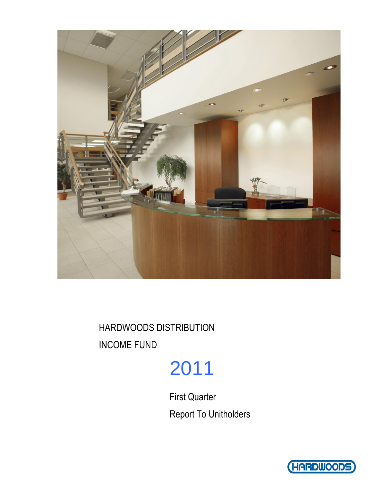

HARDWOODS DISTRIBUTION INCOME FUND

# 2011

First Quarter Report To Unitholders

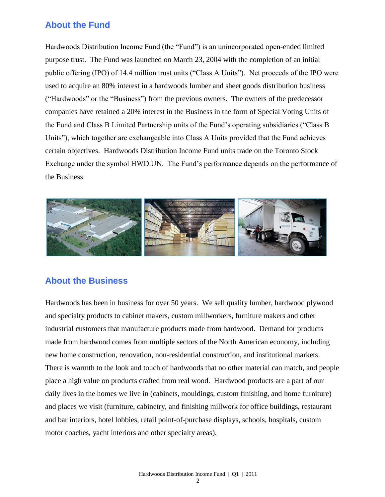# **About the Fund**

Hardwoods Distribution Income Fund (the "Fund") is an unincorporated open-ended limited purpose trust. The Fund was launched on March 23, 2004 with the completion of an initial public offering (IPO) of 14.4 million trust units ("Class A Units"). Net proceeds of the IPO were used to acquire an 80% interest in a hardwoods lumber and sheet goods distribution business ("Hardwoods" or the "Business") from the previous owners. The owners of the predecessor companies have retained a 20% interest in the Business in the form of Special Voting Units of the Fund and Class B Limited Partnership units of the Fund's operating subsidiaries ("Class B Units"), which together are exchangeable into Class A Units provided that the Fund achieves certain objectives. Hardwoods Distribution Income Fund units trade on the Toronto Stock Exchange under the symbol HWD.UN. The Fund's performance depends on the performance of the Business.



# **About the Business**

Hardwoods has been in business for over 50 years. We sell quality lumber, hardwood plywood and specialty products to cabinet makers, custom millworkers, furniture makers and other industrial customers that manufacture products made from hardwood. Demand for products made from hardwood comes from multiple sectors of the North American economy, including new home construction, renovation, non-residential construction, and institutional markets. There is warmth to the look and touch of hardwoods that no other material can match, and people place a high value on products crafted from real wood. Hardwood products are a part of our daily lives in the homes we live in (cabinets, mouldings, custom finishing, and home furniture) and places we visit (furniture, cabinetry, and finishing millwork for office buildings, restaurant and bar interiors, hotel lobbies, retail point-of-purchase displays, schools, hospitals, custom motor coaches, yacht interiors and other specialty areas).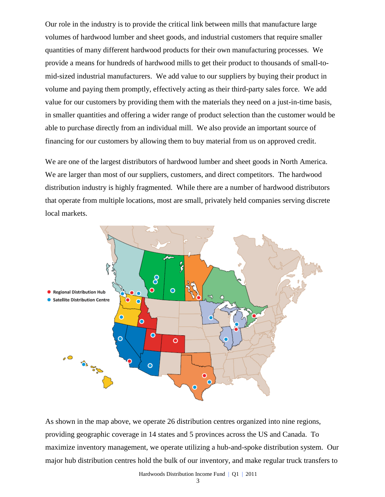Our role in the industry is to provide the critical link between mills that manufacture large volumes of hardwood lumber and sheet goods, and industrial customers that require smaller quantities of many different hardwood products for their own manufacturing processes. We provide a means for hundreds of hardwood mills to get their product to thousands of small-tomid-sized industrial manufacturers. We add value to our suppliers by buying their product in volume and paying them promptly, effectively acting as their third-party sales force. We add value for our customers by providing them with the materials they need on a just-in-time basis, in smaller quantities and offering a wider range of product selection than the customer would be able to purchase directly from an individual mill. We also provide an important source of financing for our customers by allowing them to buy material from us on approved credit.

We are one of the largest distributors of hardwood lumber and sheet goods in North America. We are larger than most of our suppliers, customers, and direct competitors. The hardwood distribution industry is highly fragmented. While there are a number of hardwood distributors that operate from multiple locations, most are small, privately held companies serving discrete local markets.



As shown in the map above, we operate 26 distribution centres organized into nine regions, providing geographic coverage in 14 states and 5 provinces across the US and Canada. To maximize inventory management, we operate utilizing a hub-and-spoke distribution system. Our major hub distribution centres hold the bulk of our inventory, and make regular truck transfers to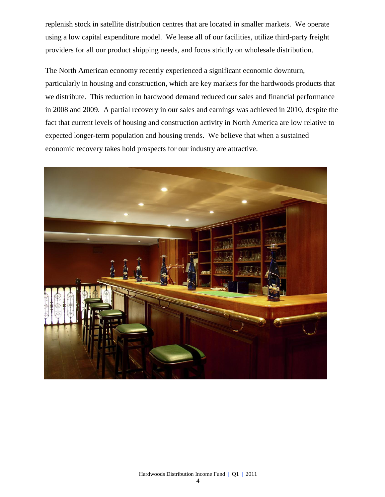replenish stock in satellite distribution centres that are located in smaller markets. We operate using a low capital expenditure model. We lease all of our facilities, utilize third-party freight providers for all our product shipping needs, and focus strictly on wholesale distribution.

The North American economy recently experienced a significant economic downturn, particularly in housing and construction, which are key markets for the hardwoods products that we distribute. This reduction in hardwood demand reduced our sales and financial performance in 2008 and 2009. A partial recovery in our sales and earnings was achieved in 2010, despite the fact that current levels of housing and construction activity in North America are low relative to expected longer-term population and housing trends. We believe that when a sustained economic recovery takes hold prospects for our industry are attractive.

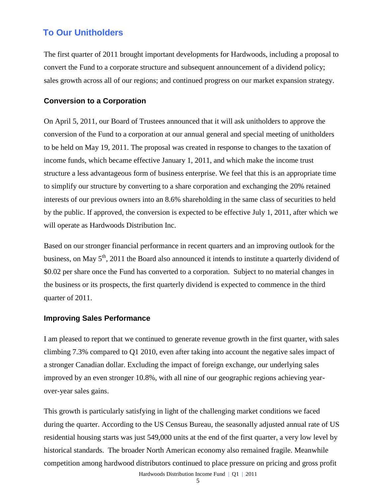# **To Our Unitholders**

The first quarter of 2011 brought important developments for Hardwoods, including a proposal to convert the Fund to a corporate structure and subsequent announcement of a dividend policy; sales growth across all of our regions; and continued progress on our market expansion strategy.

### **Conversion to a Corporation**

On April 5, 2011, our Board of Trustees announced that it will ask unitholders to approve the conversion of the Fund to a corporation at our annual general and special meeting of unitholders to be held on May 19, 2011. The proposal was created in response to changes to the taxation of income funds, which became effective January 1, 2011, and which make the income trust structure a less advantageous form of business enterprise. We feel that this is an appropriate time to simplify our structure by converting to a share corporation and exchanging the 20% retained interests of our previous owners into an 8.6% shareholding in the same class of securities to held by the public. If approved, the conversion is expected to be effective July 1, 2011, after which we will operate as Hardwoods Distribution Inc.

Based on our stronger financial performance in recent quarters and an improving outlook for the business, on May 5<sup>th</sup>, 2011 the Board also announced it intends to institute a quarterly dividend of \$0.02 per share once the Fund has converted to a corporation. Subject to no material changes in the business or its prospects, the first quarterly dividend is expected to commence in the third quarter of 2011.

### **Improving Sales Performance**

I am pleased to report that we continued to generate revenue growth in the first quarter, with sales climbing 7.3% compared to Q1 2010, even after taking into account the negative sales impact of a stronger Canadian dollar. Excluding the impact of foreign exchange, our underlying sales improved by an even stronger 10.8%, with all nine of our geographic regions achieving yearover-year sales gains.

Hardwoods Distribution Income Fund | Q1 | 2011 This growth is particularly satisfying in light of the challenging market conditions we faced during the quarter. According to the US Census Bureau, the seasonally adjusted annual rate of US residential housing starts was just 549,000 units at the end of the first quarter, a very low level by historical standards. The broader North American economy also remained fragile. Meanwhile competition among hardwood distributors continued to place pressure on pricing and gross profit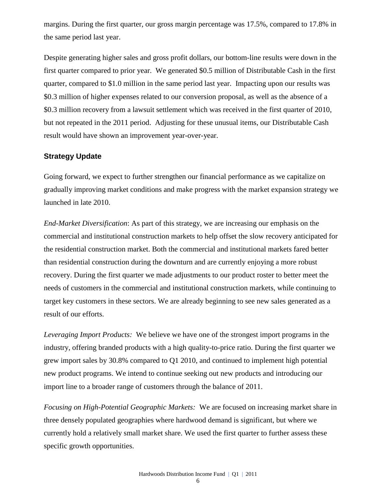margins. During the first quarter, our gross margin percentage was 17.5%, compared to 17.8% in the same period last year.

Despite generating higher sales and gross profit dollars, our bottom-line results were down in the first quarter compared to prior year. We generated \$0.5 million of Distributable Cash in the first quarter, compared to \$1.0 million in the same period last year. Impacting upon our results was \$0.3 million of higher expenses related to our conversion proposal, as well as the absence of a \$0.3 million recovery from a lawsuit settlement which was received in the first quarter of 2010, but not repeated in the 2011 period. Adjusting for these unusual items, our Distributable Cash result would have shown an improvement year-over-year.

### **Strategy Update**

Going forward, we expect to further strengthen our financial performance as we capitalize on gradually improving market conditions and make progress with the market expansion strategy we launched in late 2010.

*End-Market Diversification*: As part of this strategy, we are increasing our emphasis on the commercial and institutional construction markets to help offset the slow recovery anticipated for the residential construction market. Both the commercial and institutional markets fared better than residential construction during the downturn and are currently enjoying a more robust recovery. During the first quarter we made adjustments to our product roster to better meet the needs of customers in the commercial and institutional construction markets, while continuing to target key customers in these sectors. We are already beginning to see new sales generated as a result of our efforts.

*Leveraging Import Products:* We believe we have one of the strongest import programs in the industry, offering branded products with a high quality-to-price ratio. During the first quarter we grew import sales by 30.8% compared to Q1 2010, and continued to implement high potential new product programs. We intend to continue seeking out new products and introducing our import line to a broader range of customers through the balance of 2011.

*Focusing on High-Potential Geographic Markets:* We are focused on increasing market share in three densely populated geographies where hardwood demand is significant, but where we currently hold a relatively small market share. We used the first quarter to further assess these specific growth opportunities.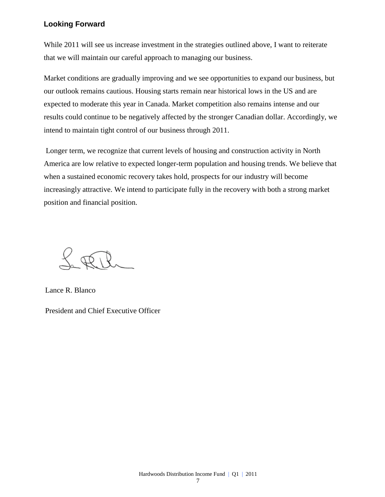### **Looking Forward**

While 2011 will see us increase investment in the strategies outlined above, I want to reiterate that we will maintain our careful approach to managing our business.

Market conditions are gradually improving and we see opportunities to expand our business, but our outlook remains cautious. Housing starts remain near historical lows in the US and are expected to moderate this year in Canada. Market competition also remains intense and our results could continue to be negatively affected by the stronger Canadian dollar. Accordingly, we intend to maintain tight control of our business through 2011.

Longer term, we recognize that current levels of housing and construction activity in North America are low relative to expected longer-term population and housing trends. We believe that when a sustained economic recovery takes hold, prospects for our industry will become increasingly attractive. We intend to participate fully in the recovery with both a strong market position and financial position.

h RR

Lance R. Blanco

President and Chief Executive Officer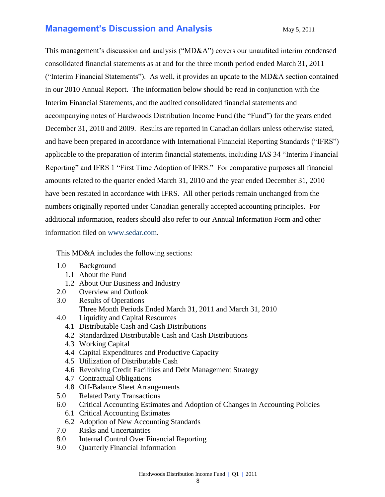# **Management's Discussion and Analysis** May 5, 2011

This management's discussion and analysis ("MD&A") covers our unaudited interim condensed consolidated financial statements as at and for the three month period ended March 31, 2011 ("Interim Financial Statements"). As well, it provides an update to the MD&A section contained in our 2010 Annual Report. The information below should be read in conjunction with the Interim Financial Statements, and the audited consolidated financial statements and accompanying notes of Hardwoods Distribution Income Fund (the "Fund") for the years ended December 31, 2010 and 2009. Results are reported in Canadian dollars unless otherwise stated, and have been prepared in accordance with International Financial Reporting Standards ("IFRS") applicable to the preparation of interim financial statements, including IAS 34 "Interim Financial Reporting" and IFRS 1 "First Time Adoption of IFRS." For comparative purposes all financial amounts related to the quarter ended March 31, 2010 and the year ended December 31, 2010 have been restated in accordance with IFRS. All other periods remain unchanged from the numbers originally reported under Canadian generally accepted accounting principles. For additional information, readers should also refer to our Annual Information Form and other information filed on [www.sedar.com.](http://www.sedar.com/)

This MD&A includes the following sections:

- 1.0 Background
	- 1.1 About the Fund
	- 1.2 About Our Business and Industry
- 2.0 Overview and Outlook
- 3.0 Results of Operations Three Month Periods Ended March 31, 2011 and March 31, 2010
- 4.0 Liquidity and Capital Resources
	- 4.1 Distributable Cash and Cash Distributions
	- 4.2 Standardized Distributable Cash and Cash Distributions
	- 4.3 Working Capital
	- 4.4 Capital Expenditures and Productive Capacity
	- 4.5 Utilization of Distributable Cash
	- 4.6 Revolving Credit Facilities and Debt Management Strategy
	- 4.7 Contractual Obligations
	- 4.8 Off-Balance Sheet Arrangements
- 5.0 Related Party Transactions
- 6.0 Critical Accounting Estimates and Adoption of Changes in Accounting Policies 6.1 Critical Accounting Estimates
	- 6.2 Adoption of New Accounting Standards
- 7.0 Risks and Uncertainties
- 8.0 Internal Control Over Financial Reporting
- 9.0 Quarterly Financial Information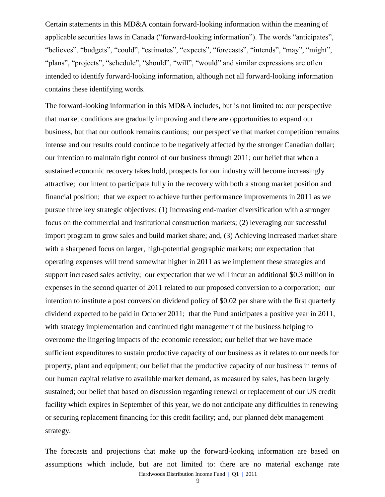Certain statements in this MD&A contain forward-looking information within the meaning of applicable securities laws in Canada ("forward-looking information"). The words "anticipates", "believes", "budgets", "could", "estimates", "expects", "forecasts", "intends", "may", "might", "plans", "projects", "schedule", "should", "will", "would" and similar expressions are often intended to identify forward-looking information, although not all forward-looking information contains these identifying words.

The forward-looking information in this MD&A includes, but is not limited to: our perspective that market conditions are gradually improving and there are opportunities to expand our business, but that our outlook remains cautious; our perspective that market competition remains intense and our results could continue to be negatively affected by the stronger Canadian dollar; our intention to maintain tight control of our business through 2011; our belief that when a sustained economic recovery takes hold, prospects for our industry will become increasingly attractive; our intent to participate fully in the recovery with both a strong market position and financial position; that we expect to achieve further performance improvements in 2011 as we pursue three key strategic objectives: (1) Increasing end-market diversification with a stronger focus on the commercial and institutional construction markets; (2) leveraging our successful import program to grow sales and build market share; and, (3) Achieving increased market share with a sharpened focus on larger, high-potential geographic markets; our expectation that operating expenses will trend somewhat higher in 2011 as we implement these strategies and support increased sales activity; our expectation that we will incur an additional \$0.3 million in expenses in the second quarter of 2011 related to our proposed conversion to a corporation; our intention to institute a post conversion dividend policy of \$0.02 per share with the first quarterly dividend expected to be paid in October 2011; that the Fund anticipates a positive year in 2011, with strategy implementation and continued tight management of the business helping to overcome the lingering impacts of the economic recession; our belief that we have made sufficient expenditures to sustain productive capacity of our business as it relates to our needs for property, plant and equipment; our belief that the productive capacity of our business in terms of our human capital relative to available market demand, as measured by sales, has been largely sustained; our belief that based on discussion regarding renewal or replacement of our US credit facility which expires in September of this year, we do not anticipate any difficulties in renewing or securing replacement financing for this credit facility; and, our planned debt management strategy.

Hardwoods Distribution Income Fund | Q1 | 2011 The forecasts and projections that make up the forward-looking information are based on assumptions which include, but are not limited to: there are no material exchange rate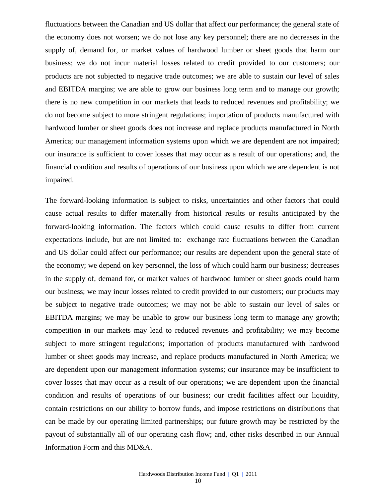fluctuations between the Canadian and US dollar that affect our performance; the general state of the economy does not worsen; we do not lose any key personnel; there are no decreases in the supply of, demand for, or market values of hardwood lumber or sheet goods that harm our business; we do not incur material losses related to credit provided to our customers; our products are not subjected to negative trade outcomes; we are able to sustain our level of sales and EBITDA margins; we are able to grow our business long term and to manage our growth; there is no new competition in our markets that leads to reduced revenues and profitability; we do not become subject to more stringent regulations; importation of products manufactured with hardwood lumber or sheet goods does not increase and replace products manufactured in North America; our management information systems upon which we are dependent are not impaired; our insurance is sufficient to cover losses that may occur as a result of our operations; and, the financial condition and results of operations of our business upon which we are dependent is not impaired.

The forward-looking information is subject to risks, uncertainties and other factors that could cause actual results to differ materially from historical results or results anticipated by the forward-looking information. The factors which could cause results to differ from current expectations include, but are not limited to: exchange rate fluctuations between the Canadian and US dollar could affect our performance; our results are dependent upon the general state of the economy; we depend on key personnel, the loss of which could harm our business; decreases in the supply of, demand for, or market values of hardwood lumber or sheet goods could harm our business; we may incur losses related to credit provided to our customers; our products may be subject to negative trade outcomes; we may not be able to sustain our level of sales or EBITDA margins; we may be unable to grow our business long term to manage any growth; competition in our markets may lead to reduced revenues and profitability; we may become subject to more stringent regulations; importation of products manufactured with hardwood lumber or sheet goods may increase, and replace products manufactured in North America; we are dependent upon our management information systems; our insurance may be insufficient to cover losses that may occur as a result of our operations; we are dependent upon the financial condition and results of operations of our business; our credit facilities affect our liquidity, contain restrictions on our ability to borrow funds, and impose restrictions on distributions that can be made by our operating limited partnerships; our future growth may be restricted by the payout of substantially all of our operating cash flow; and, other risks described in our Annual Information Form and this MD&A.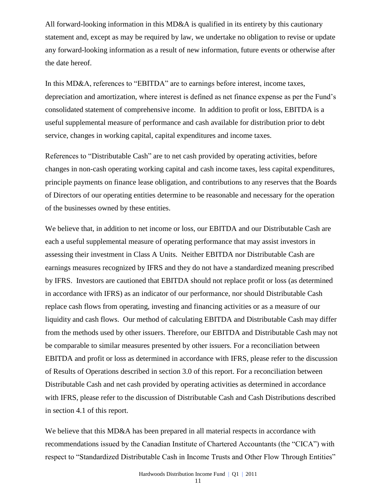All forward-looking information in this MD&A is qualified in its entirety by this cautionary statement and, except as may be required by law, we undertake no obligation to revise or update any forward-looking information as a result of new information, future events or otherwise after the date hereof.

In this MD&A, references to "EBITDA" are to earnings before interest, income taxes, depreciation and amortization, where interest is defined as net finance expense as per the Fund's consolidated statement of comprehensive income. In addition to profit or loss, EBITDA is a useful supplemental measure of performance and cash available for distribution prior to debt service, changes in working capital, capital expenditures and income taxes.

References to "Distributable Cash" are to net cash provided by operating activities, before changes in non-cash operating working capital and cash income taxes, less capital expenditures, principle payments on finance lease obligation, and contributions to any reserves that the Boards of Directors of our operating entities determine to be reasonable and necessary for the operation of the businesses owned by these entities.

We believe that, in addition to net income or loss, our EBITDA and our Distributable Cash are each a useful supplemental measure of operating performance that may assist investors in assessing their investment in Class A Units. Neither EBITDA nor Distributable Cash are earnings measures recognized by IFRS and they do not have a standardized meaning prescribed by IFRS. Investors are cautioned that EBITDA should not replace profit or loss (as determined in accordance with IFRS) as an indicator of our performance, nor should Distributable Cash replace cash flows from operating, investing and financing activities or as a measure of our liquidity and cash flows. Our method of calculating EBITDA and Distributable Cash may differ from the methods used by other issuers. Therefore, our EBITDA and Distributable Cash may not be comparable to similar measures presented by other issuers. For a reconciliation between EBITDA and profit or loss as determined in accordance with IFRS, please refer to the discussion of Results of Operations described in section 3.0 of this report. For a reconciliation between Distributable Cash and net cash provided by operating activities as determined in accordance with IFRS, please refer to the discussion of Distributable Cash and Cash Distributions described in section 4.1 of this report.

We believe that this MD&A has been prepared in all material respects in accordance with recommendations issued by the Canadian Institute of Chartered Accountants (the "CICA") with respect to "Standardized Distributable Cash in Income Trusts and Other Flow Through Entities"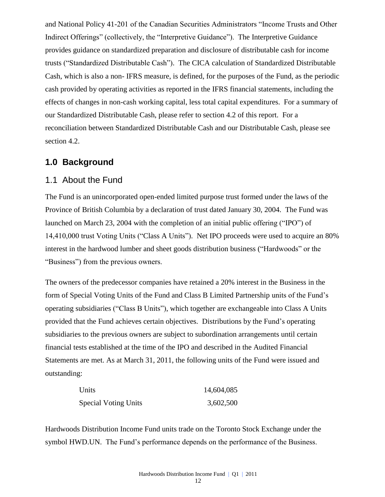and National Policy 41-201 of the Canadian Securities Administrators "Income Trusts and Other Indirect Offerings" (collectively, the "Interpretive Guidance"). The Interpretive Guidance provides guidance on standardized preparation and disclosure of distributable cash for income trusts ("Standardized Distributable Cash"). The CICA calculation of Standardized Distributable Cash, which is also a non- IFRS measure, is defined, for the purposes of the Fund, as the periodic cash provided by operating activities as reported in the IFRS financial statements, including the effects of changes in non-cash working capital, less total capital expenditures. For a summary of our Standardized Distributable Cash, please refer to section 4.2 of this report. For a reconciliation between Standardized Distributable Cash and our Distributable Cash, please see section 4.2.

# **1.0 Background**

### 1.1 About the Fund

The Fund is an unincorporated open-ended limited purpose trust formed under the laws of the Province of British Columbia by a declaration of trust dated January 30, 2004. The Fund was launched on March 23, 2004 with the completion of an initial public offering ("IPO") of 14,410,000 trust Voting Units ("Class A Units"). Net IPO proceeds were used to acquire an 80% interest in the hardwood lumber and sheet goods distribution business ("Hardwoods" or the "Business") from the previous owners.

The owners of the predecessor companies have retained a 20% interest in the Business in the form of Special Voting Units of the Fund and Class B Limited Partnership units of the Fund's operating subsidiaries ("Class B Units"), which together are exchangeable into Class A Units provided that the Fund achieves certain objectives. Distributions by the Fund's operating subsidiaries to the previous owners are subject to subordination arrangements until certain financial tests established at the time of the IPO and described in the Audited Financial Statements are met. As at March 31, 2011, the following units of the Fund were issued and outstanding:

| Units                       | 14,604,085 |
|-----------------------------|------------|
| <b>Special Voting Units</b> | 3,602,500  |

Hardwoods Distribution Income Fund units trade on the Toronto Stock Exchange under the symbol HWD.UN. The Fund's performance depends on the performance of the Business.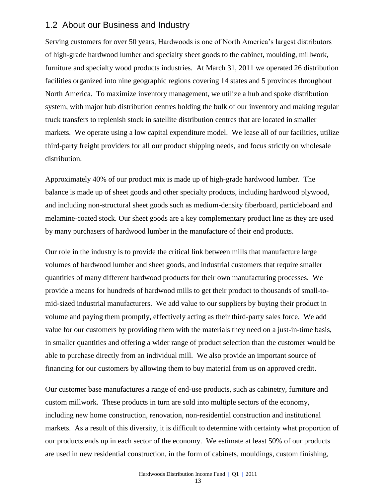### 1.2 About our Business and Industry

Serving customers for over 50 years, Hardwoods is one of North America's largest distributors of high-grade hardwood lumber and specialty sheet goods to the cabinet, moulding, millwork, furniture and specialty wood products industries. At March 31, 2011 we operated 26 distribution facilities organized into nine geographic regions covering 14 states and 5 provinces throughout North America. To maximize inventory management, we utilize a hub and spoke distribution system, with major hub distribution centres holding the bulk of our inventory and making regular truck transfers to replenish stock in satellite distribution centres that are located in smaller markets. We operate using a low capital expenditure model. We lease all of our facilities, utilize third-party freight providers for all our product shipping needs, and focus strictly on wholesale distribution.

Approximately 40% of our product mix is made up of high-grade hardwood lumber. The balance is made up of sheet goods and other specialty products, including hardwood plywood, and including non-structural sheet goods such as medium-density fiberboard, particleboard and melamine-coated stock. Our sheet goods are a key complementary product line as they are used by many purchasers of hardwood lumber in the manufacture of their end products.

Our role in the industry is to provide the critical link between mills that manufacture large volumes of hardwood lumber and sheet goods, and industrial customers that require smaller quantities of many different hardwood products for their own manufacturing processes. We provide a means for hundreds of hardwood mills to get their product to thousands of small-tomid-sized industrial manufacturers. We add value to our suppliers by buying their product in volume and paying them promptly, effectively acting as their third-party sales force. We add value for our customers by providing them with the materials they need on a just-in-time basis, in smaller quantities and offering a wider range of product selection than the customer would be able to purchase directly from an individual mill. We also provide an important source of financing for our customers by allowing them to buy material from us on approved credit.

Our customer base manufactures a range of end-use products, such as cabinetry, furniture and custom millwork. These products in turn are sold into multiple sectors of the economy, including new home construction, renovation, non-residential construction and institutional markets. As a result of this diversity, it is difficult to determine with certainty what proportion of our products ends up in each sector of the economy. We estimate at least 50% of our products are used in new residential construction, in the form of cabinets, mouldings, custom finishing,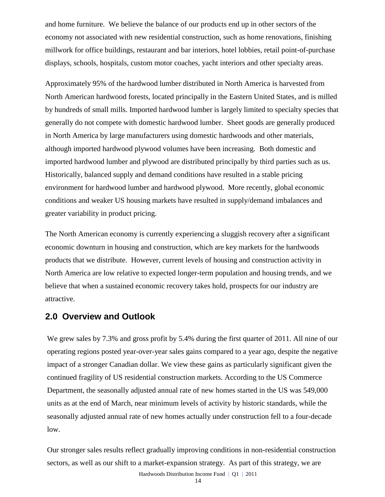and home furniture. We believe the balance of our products end up in other sectors of the economy not associated with new residential construction, such as home renovations, finishing millwork for office buildings, restaurant and bar interiors, hotel lobbies, retail point-of-purchase displays, schools, hospitals, custom motor coaches, yacht interiors and other specialty areas.

Approximately 95% of the hardwood lumber distributed in North America is harvested from North American hardwood forests, located principally in the Eastern United States, and is milled by hundreds of small mills. Imported hardwood lumber is largely limited to specialty species that generally do not compete with domestic hardwood lumber. Sheet goods are generally produced in North America by large manufacturers using domestic hardwoods and other materials, although imported hardwood plywood volumes have been increasing. Both domestic and imported hardwood lumber and plywood are distributed principally by third parties such as us. Historically, balanced supply and demand conditions have resulted in a stable pricing environment for hardwood lumber and hardwood plywood. More recently, global economic conditions and weaker US housing markets have resulted in supply/demand imbalances and greater variability in product pricing.

The North American economy is currently experiencing a sluggish recovery after a significant economic downturn in housing and construction, which are key markets for the hardwoods products that we distribute. However, current levels of housing and construction activity in North America are low relative to expected longer-term population and housing trends, and we believe that when a sustained economic recovery takes hold, prospects for our industry are attractive.

### **2.0 Overview and Outlook**

We grew sales by 7.3% and gross profit by 5.4% during the first quarter of 2011. All nine of our operating regions posted year-over-year sales gains compared to a year ago, despite the negative impact of a stronger Canadian dollar. We view these gains as particularly significant given the continued fragility of US residential construction markets. According to the US Commerce Department, the seasonally adjusted annual rate of new homes started in the US was 549,000 units as at the end of March, near minimum levels of activity by historic standards, while the seasonally adjusted annual rate of new homes actually under construction fell to a four-decade low.

Hardwoods Distribution Income Fund | Q1 | 2011 Our stronger sales results reflect gradually improving conditions in non-residential construction sectors, as well as our shift to a market-expansion strategy. As part of this strategy, we are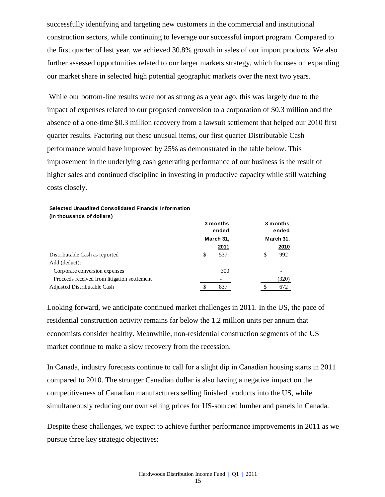successfully identifying and targeting new customers in the commercial and institutional construction sectors, while continuing to leverage our successful import program. Compared to the first quarter of last year, we achieved 30.8% growth in sales of our import products. We also further assessed opportunities related to our larger markets strategy, which focuses on expanding our market share in selected high potential geographic markets over the next two years.

While our bottom-line results were not as strong as a year ago, this was largely due to the impact of expenses related to our proposed conversion to a corporation of \$0.3 million and the absence of a one-time \$0.3 million recovery from a lawsuit settlement that helped our 2010 first quarter results. Factoring out these unusual items, our first quarter Distributable Cash performance would have improved by 25% as demonstrated in the table below. This improvement in the underlying cash generating performance of our business is the result of higher sales and continued discipline in investing in productive capacity while still watching costs closely.

### **Selected Unaudited Consolidated Financial Information**

**(in thousands of dollars) 3 months ended 3 months ended March 31, March 31, 2011 2010** Distributable Cash as reported  $\frac{1}{2}$  8 537 \$ 992 Add (deduct): Corporate conversion expenses 300 -Proceeds received from litigation settlement - (320) Adjusted Distributable Cash  $\$$  837  $\$$  672

Looking forward, we anticipate continued market challenges in 2011. In the US, the pace of residential construction activity remains far below the 1.2 million units per annum that economists consider healthy. Meanwhile, non-residential construction segments of the US market continue to make a slow recovery from the recession.

In Canada, industry forecasts continue to call for a slight dip in Canadian housing starts in 2011 compared to 2010. The stronger Canadian dollar is also having a negative impact on the competitiveness of Canadian manufacturers selling finished products into the US, while simultaneously reducing our own selling prices for US-sourced lumber and panels in Canada.

Despite these challenges, we expect to achieve further performance improvements in 2011 as we pursue three key strategic objectives: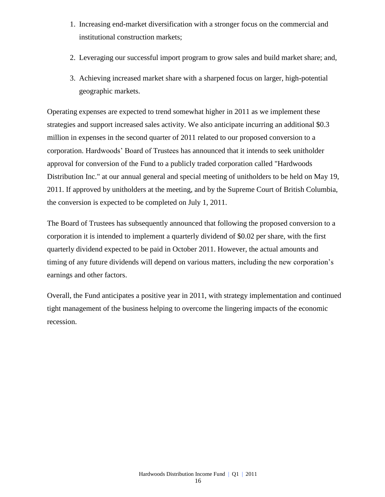- 1. Increasing end-market diversification with a stronger focus on the commercial and institutional construction markets;
- 2. Leveraging our successful import program to grow sales and build market share; and,
- 3. Achieving increased market share with a sharpened focus on larger, high-potential geographic markets.

Operating expenses are expected to trend somewhat higher in 2011 as we implement these strategies and support increased sales activity. We also anticipate incurring an additional \$0.3 million in expenses in the second quarter of 2011 related to our proposed conversion to a corporation. Hardwoods' Board of Trustees has announced that it intends to seek unitholder approval for conversion of the Fund to a publicly traded corporation called "Hardwoods Distribution Inc." at our annual general and special meeting of unitholders to be held on May 19, 2011. If approved by unitholders at the meeting, and by the Supreme Court of British Columbia, the conversion is expected to be completed on July 1, 2011.

The Board of Trustees has subsequently announced that following the proposed conversion to a corporation it is intended to implement a quarterly dividend of \$0.02 per share, with the first quarterly dividend expected to be paid in October 2011. However, the actual amounts and timing of any future dividends will depend on various matters, including the new corporation's earnings and other factors.

Overall, the Fund anticipates a positive year in 2011, with strategy implementation and continued tight management of the business helping to overcome the lingering impacts of the economic recession.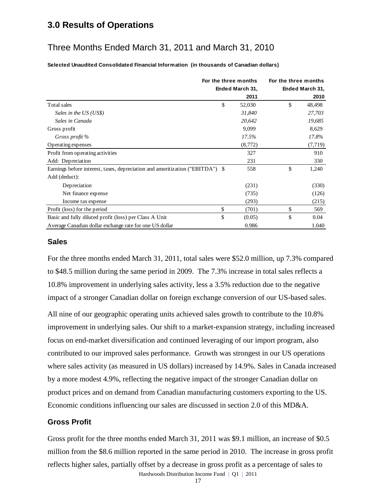# **3.0 Results of Operations**

# Three Months Ended March 31, 2011 and March 31, 2010

**Selected Unaudited Consolidated Financial Information (in thousands of Canadian dollars)**

|                                                                               | For the three months | For the three months |                 |  |
|-------------------------------------------------------------------------------|----------------------|----------------------|-----------------|--|
|                                                                               | Ended March 31,      |                      | Ended March 31, |  |
|                                                                               | 2011                 |                      | 2010            |  |
| Total sales                                                                   | \$<br>52,030         | \$                   | 48,498          |  |
| Sales in the US (US\$)                                                        | 31,840               |                      | 27,703          |  |
| Sales in Canada                                                               | 20,642               |                      | 19,685          |  |
| Gross profit                                                                  | 9,099                |                      | 8,629           |  |
| Gross profit %                                                                | 17.5%                |                      | 17.8%           |  |
| Operating expenses                                                            | (8,772)              |                      | (7, 719)        |  |
| Profit from operating activities                                              | 327                  |                      | 910             |  |
| Add: Depreciation                                                             | 231                  |                      | 330             |  |
| Earnings before interest, taxes, depreciation and amoritization ("EBITDA") \$ | 558                  | \$                   | 1,240           |  |
| Add (deduct):                                                                 |                      |                      |                 |  |
| Depreciation                                                                  | (231)                |                      | (330)           |  |
| Net finance expense                                                           | (735)                |                      | (126)           |  |
| Income tax expense                                                            | (293)                |                      | (215)           |  |
| Profit (loss) for the period                                                  | \$<br>(701)          | \$                   | 569             |  |
| Basic and fully diluted profit (loss) per Class A Unit                        | \$<br>(0.05)         | \$                   | 0.04            |  |
| Average Canadian dollar exchange rate for one US dollar                       | 0.986                |                      | 1.040           |  |

### **Sales**

For the three months ended March 31, 2011, total sales were \$52.0 million, up 7.3% compared to \$48.5 million during the same period in 2009. The 7.3% increase in total sales reflects a 10.8% improvement in underlying sales activity, less a 3.5% reduction due to the negative impact of a stronger Canadian dollar on foreign exchange conversion of our US-based sales.

All nine of our geographic operating units achieved sales growth to contribute to the 10.8% improvement in underlying sales. Our shift to a market-expansion strategy, including increased focus on end-market diversification and continued leveraging of our import program, also contributed to our improved sales performance. Growth was strongest in our US operations where sales activity (as measured in US dollars) increased by 14.9%. Sales in Canada increased by a more modest 4.9%, reflecting the negative impact of the stronger Canadian dollar on product prices and on demand from Canadian manufacturing customers exporting to the US. Economic conditions influencing our sales are discussed in section 2.0 of this MD&A.

### **Gross Profit**

Hardwoods Distribution Income Fund | Q1 | 2011 Gross profit for the three months ended March 31, 2011 was \$9.1 million, an increase of \$0.5 million from the \$8.6 million reported in the same period in 2010. The increase in gross profit reflects higher sales, partially offset by a decrease in gross profit as a percentage of sales to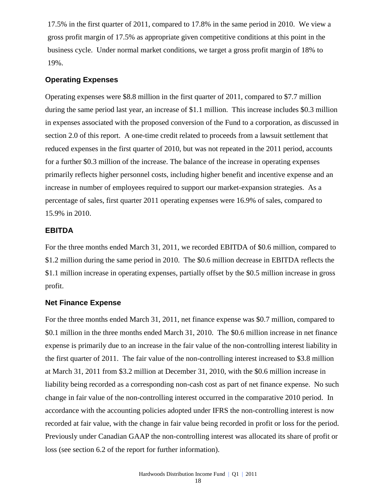17.5% in the first quarter of 2011, compared to 17.8% in the same period in 2010. We view a gross profit margin of 17.5% as appropriate given competitive conditions at this point in the business cycle. Under normal market conditions, we target a gross profit margin of 18% to 19%.

### **Operating Expenses**

Operating expenses were \$8.8 million in the first quarter of 2011, compared to \$7.7 million during the same period last year, an increase of \$1.1 million. This increase includes \$0.3 million in expenses associated with the proposed conversion of the Fund to a corporation, as discussed in section 2.0 of this report. A one-time credit related to proceeds from a lawsuit settlement that reduced expenses in the first quarter of 2010, but was not repeated in the 2011 period, accounts for a further \$0.3 million of the increase. The balance of the increase in operating expenses primarily reflects higher personnel costs, including higher benefit and incentive expense and an increase in number of employees required to support our market-expansion strategies. As a percentage of sales, first quarter 2011 operating expenses were 16.9% of sales, compared to 15.9% in 2010.

### **EBITDA**

For the three months ended March 31, 2011, we recorded EBITDA of \$0.6 million, compared to \$1.2 million during the same period in 2010. The \$0.6 million decrease in EBITDA reflects the \$1.1 million increase in operating expenses, partially offset by the \$0.5 million increase in gross profit.

### **Net Finance Expense**

For the three months ended March 31, 2011, net finance expense was \$0.7 million, compared to \$0.1 million in the three months ended March 31, 2010. The \$0.6 million increase in net finance expense is primarily due to an increase in the fair value of the non-controlling interest liability in the first quarter of 2011. The fair value of the non-controlling interest increased to \$3.8 million at March 31, 2011 from \$3.2 million at December 31, 2010, with the \$0.6 million increase in liability being recorded as a corresponding non-cash cost as part of net finance expense. No such change in fair value of the non-controlling interest occurred in the comparative 2010 period. In accordance with the accounting policies adopted under IFRS the non-controlling interest is now recorded at fair value, with the change in fair value being recorded in profit or loss for the period. Previously under Canadian GAAP the non-controlling interest was allocated its share of profit or loss (see section 6.2 of the report for further information).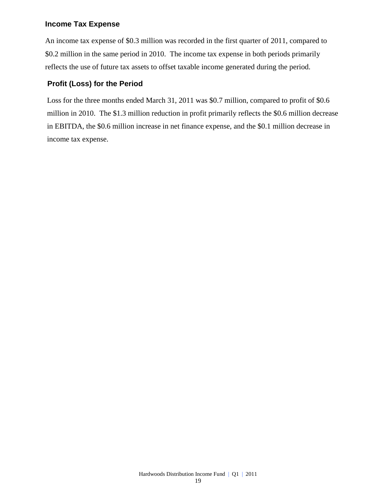### **Income Tax Expense**

An income tax expense of \$0.3 million was recorded in the first quarter of 2011, compared to \$0.2 million in the same period in 2010. The income tax expense in both periods primarily reflects the use of future tax assets to offset taxable income generated during the period.

### **Profit (Loss) for the Period**

Loss for the three months ended March 31, 2011 was \$0.7 million, compared to profit of \$0.6 million in 2010. The \$1.3 million reduction in profit primarily reflects the \$0.6 million decrease in EBITDA, the \$0.6 million increase in net finance expense, and the \$0.1 million decrease in income tax expense.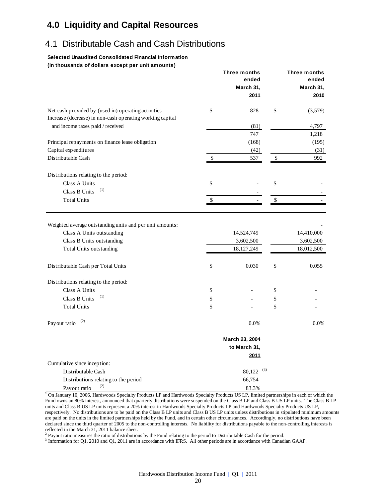# **4.0 Liquidity and Capital Resources**

# 4.1 Distributable Cash and Cash Distributions

#### **Selected Unaudited Consolidated Financial Information (in thousands of dollars except per unit amounts)**

|                                                                                          | Three months                          |      | Three months                          |
|------------------------------------------------------------------------------------------|---------------------------------------|------|---------------------------------------|
|                                                                                          | ended                                 |      | ended                                 |
|                                                                                          | March 31,                             |      | March 31,                             |
|                                                                                          | 2011                                  |      | 2010                                  |
| Net cash provided by (used in) operating activities                                      | \$<br>828                             | \$   | (3,579)                               |
| Increase (decrease) in non-cash operating working capital                                |                                       |      |                                       |
| and income taxes paid / received                                                         | (81)                                  |      | 4,797                                 |
|                                                                                          | 747                                   |      | 1,218                                 |
| Principal repayments on finance lease obligation                                         | (168)                                 |      | (195)                                 |
| Capital expenditures                                                                     | (42)                                  |      | (31)                                  |
| Distributable Cash                                                                       | \$<br>537                             | $\$$ | 992                                   |
| Distributions relating to the period:                                                    |                                       |      |                                       |
| Class A Units                                                                            | \$                                    | \$   |                                       |
| (1)<br>Class B Units                                                                     |                                       |      |                                       |
| <b>Total Units</b>                                                                       | \$                                    | \$   |                                       |
| Class A Units outstanding<br>Class B Units outstanding<br><b>Total Units outstanding</b> | 14,524,749<br>3,602,500<br>18,127,249 |      | 14,410,000<br>3,602,500<br>18,012,500 |
| Distributable Cash per Total Units                                                       | \$<br>0.030                           | \$   | 0.055                                 |
| Distributions relating to the period:                                                    |                                       |      |                                       |
| Class A Units                                                                            | \$                                    | \$   |                                       |
| (1)<br>Class B Units                                                                     | \$                                    | \$   |                                       |
| <b>Total Units</b>                                                                       | \$                                    | \$   |                                       |
| (2)<br>Payout ratio                                                                      | 0.0%                                  |      | 0.0%                                  |
|                                                                                          | March 23, 2004                        |      |                                       |
|                                                                                          | to March 31,                          |      |                                       |
|                                                                                          | 2011                                  |      |                                       |
| Cumulative since inception:                                                              |                                       |      |                                       |
| Distributable Cash                                                                       | (3)<br>80,122                         |      |                                       |
| Distributions relating to the period                                                     | 66,754                                |      |                                       |
| (2)<br>Payout ratio                                                                      | 83.3%                                 |      |                                       |

**<sup>1</sup>** On January 10, 2006, Hardwoods Specialty Products LP and Hardwoods Specialty Products US LP, limited partnerships in each of which the Fund owns an 80% interest, announced that quarterly distributions were suspended on the Class B LP and Class B US LP units. The Class B LP units and Class B US LP units represent a 20% interest in Hardwoods Specialty Products LP and Hardwoods Specialty Products US LP, respectively. No distributions are to be paid on the Class B LP units and Class B US LP units unless distributions in stipulated minimum amounts are paid on the units in the limited partnerships held by the Fund, and in certain other circumstances. Accordingly, no distributions have been declared since the third quarter of 2005 to the non-controlling interests. No liability for distributions payable to the non-controlling interests is reflected in the March 31, 2011 balance sheet.

<sup>2</sup> Payout ratio measures the ratio of distributions by the Fund relating to the period to Distributable Cash for the period.

<sup>3</sup> Information for Q1, 2010 and Q1, 2011 are in accordance with IFRS. All other periods are in accordance with Canadian GAAP.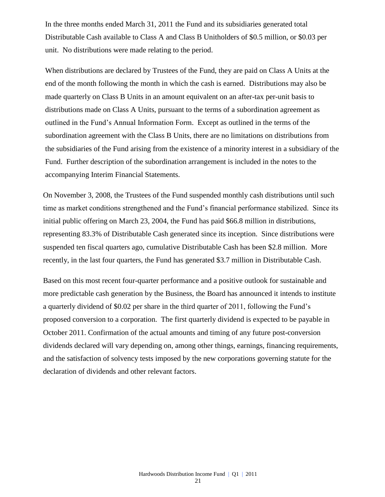In the three months ended March 31, 2011 the Fund and its subsidiaries generated total Distributable Cash available to Class A and Class B Unitholders of \$0.5 million, or \$0.03 per unit. No distributions were made relating to the period.

When distributions are declared by Trustees of the Fund, they are paid on Class A Units at the end of the month following the month in which the cash is earned. Distributions may also be made quarterly on Class B Units in an amount equivalent on an after-tax per-unit basis to distributions made on Class A Units, pursuant to the terms of a subordination agreement as outlined in the Fund's Annual Information Form. Except as outlined in the terms of the subordination agreement with the Class B Units, there are no limitations on distributions from the subsidiaries of the Fund arising from the existence of a minority interest in a subsidiary of the Fund. Further description of the subordination arrangement is included in the notes to the accompanying Interim Financial Statements.

On November 3, 2008, the Trustees of the Fund suspended monthly cash distributions until such time as market conditions strengthened and the Fund's financial performance stabilized. Since its initial public offering on March 23, 2004, the Fund has paid \$66.8 million in distributions, representing 83.3% of Distributable Cash generated since its inception. Since distributions were suspended ten fiscal quarters ago, cumulative Distributable Cash has been \$2.8 million. More recently, in the last four quarters, the Fund has generated \$3.7 million in Distributable Cash.

Based on this most recent four-quarter performance and a positive outlook for sustainable and more predictable cash generation by the Business, the Board has announced it intends to institute a quarterly dividend of \$0.02 per share in the third quarter of 2011, following the Fund's proposed conversion to a corporation. The first quarterly dividend is expected to be payable in October 2011. Confirmation of the actual amounts and timing of any future post-conversion dividends declared will vary depending on, among other things, earnings, financing requirements, and the satisfaction of solvency tests imposed by the new corporations governing statute for the declaration of dividends and other relevant factors.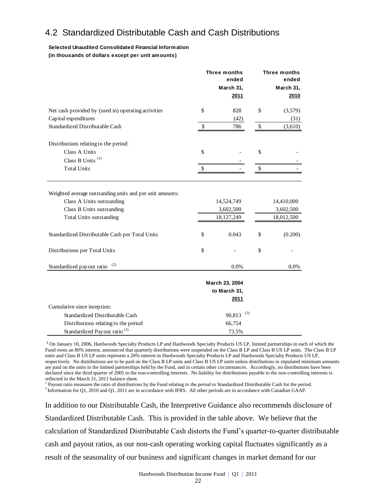# 4.2 Standardized Distributable Cash and Cash Distributions

#### **Selected Unaudited Consolidated Financial Information (in thousands of dollars except per unit amounts)**

|                                                                                                                                                      | <b>Three months</b><br>Three months<br>ended<br>ended<br>March 31,<br>March 31,<br>2011 |                                        |              |                                       |  |
|------------------------------------------------------------------------------------------------------------------------------------------------------|-----------------------------------------------------------------------------------------|----------------------------------------|--------------|---------------------------------------|--|
| Net cash provided by (used in) operating activities                                                                                                  | \$                                                                                      | 828                                    | \$           | (3,579)                               |  |
| Capital expenditures                                                                                                                                 |                                                                                         | (42)                                   |              | (31)                                  |  |
| Standardized Distributable Cash                                                                                                                      | \$                                                                                      | 786                                    | $\mathbb{S}$ | (3,610)                               |  |
| Distributions relating to the period:                                                                                                                |                                                                                         |                                        |              |                                       |  |
| Class A Units<br>Class B Units <sup>(1)</sup>                                                                                                        | \$                                                                                      |                                        | \$           |                                       |  |
| <b>Total Units</b>                                                                                                                                   | \$                                                                                      |                                        | \$           |                                       |  |
| Weighted average outstanding units and per unit amounts:<br>Class A Units outstanding<br>Class B Units outstanding<br><b>Total Units outstanding</b> |                                                                                         | 14,524,749<br>3,602,500<br>18,127,249  |              | 14,410,000<br>3,602,500<br>18,012,500 |  |
| Standardized Distributable Cash per Total Units                                                                                                      | \$                                                                                      | 0.043                                  | \$           | (0.200)                               |  |
| Distributions per Total Units                                                                                                                        | $\mathbb{S}$                                                                            |                                        | \$           |                                       |  |
| (2)<br>Standardized payout ratio                                                                                                                     |                                                                                         | 0.0%                                   |              | $0.0\%$                               |  |
|                                                                                                                                                      |                                                                                         | March 23, 2004<br>to March 31,<br>2011 |              |                                       |  |
| Cumulative since inception:                                                                                                                          |                                                                                         |                                        |              |                                       |  |
| Standardized Distributable Cash                                                                                                                      |                                                                                         | (3)<br>90,813                          |              |                                       |  |
| Distributions relating to the period                                                                                                                 |                                                                                         | 66,754                                 |              |                                       |  |
| Standardized Payout ratio <sup>(2)</sup>                                                                                                             |                                                                                         | 73.5%                                  |              |                                       |  |

**<sup>1</sup>** On January 10, 2006, Hardwoods Specialty Products LP and Hardwoods Specialty Products US LP, limited partnerships in each of which the Fund owns an 80% interest, announced that quarterly distributions were suspended on the Class B LP and Class B US LP units. The Class B LP units and Class B US LP units represent a 20% interest in Hardwoods Specialty Products LP and Hardwoods Specialty Products US LP, respectively. No distributions are to be paid on the Class B LP units and Class B US LP units unless distributions in stipulated minimum amounts are paid on the units in the limited partnerships held by the Fund, and in certain other circumstances. Accordingly, no distributions have been declared since the third quarter of 2005 to the non-controlling interests. No liability for distributions payable to the non-controlling interests is reflected in the March 31, 2011 balance sheet.

<sup>2</sup> Payout ratio measures the ratio of distributions by the Fund relating to the period to Standardized Distributable Cash for the period.

<sup>3</sup> Information for Q1, 2010 and Q1, 2011 are in accordance with IFRS. All other periods are in accordance with Canadian GAAP.

In addition to our Distributable Cash, the Interpretive Guidance also recommends disclosure of Standardized Distributable Cash. This is provided in the table above. We believe that the calculation of Standardized Distributable Cash distorts the Fund's quarter-to-quarter distributable cash and payout ratios, as our non-cash operating working capital fluctuates significantly as a result of the seasonality of our business and significant changes in market demand for our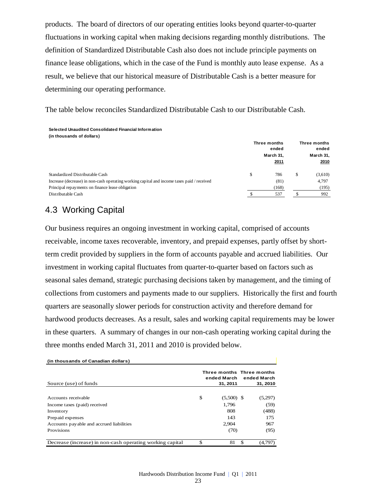products. The board of directors of our operating entities looks beyond quarter-to-quarter fluctuations in working capital when making decisions regarding monthly distributions. The definition of Standardized Distributable Cash also does not include principle payments on finance lease obligations, which in the case of the Fund is monthly auto lease expense. As a result, we believe that our historical measure of Distributable Cash is a better measure for determining our operating performance.

The table below reconciles Standardized Distributable Cash to our Distributable Cash.

#### **Selected Unaudited Consolidated Financial Information**

| (in thousands of dollars)                                                                  |                       |       |           |                       |
|--------------------------------------------------------------------------------------------|-----------------------|-------|-----------|-----------------------|
|                                                                                            | Three months<br>ended |       |           | Three months<br>ended |
|                                                                                            | March 31.             |       | March 31, |                       |
|                                                                                            |                       | 2011  |           | 2010                  |
| Standardized Distributable Cash                                                            | \$                    | 786   | \$        | (3,610)               |
| Increase (decrease) in non-cash operating working capital and income taxes paid / received |                       | (81)  |           | 4.797                 |
| Principal repayments on finance lease obligation                                           |                       | (168) |           | (195)                 |
| Distributable Cash                                                                         |                       | 537   | JЪ.       | 992                   |

# 4.3 Working Capital

Our business requires an ongoing investment in working capital, comprised of accounts receivable, income taxes recoverable, inventory, and prepaid expenses, partly offset by shortterm credit provided by suppliers in the form of accounts payable and accrued liabilities. Our investment in working capital fluctuates from quarter-to-quarter based on factors such as seasonal sales demand, strategic purchasing decisions taken by management, and the timing of collections from customers and payments made to our suppliers. Historically the first and fourth quarters are seasonally slower periods for construction activity and therefore demand for hardwood products decreases. As a result, sales and working capital requirements may be lower in these quarters. A summary of changes in our non-cash operating working capital during the three months ended March 31, 2011 and 2010 is provided below.

| (in thousands of Canadian dollars)                        |                         |                                                      |         |  |
|-----------------------------------------------------------|-------------------------|------------------------------------------------------|---------|--|
| Source (use) of funds                                     | ended March<br>31, 2011 | Three months Three months<br>ended March<br>31, 2010 |         |  |
|                                                           |                         |                                                      |         |  |
| Accounts receivable                                       | \$<br>$(5,500)$ \$      |                                                      | (5,297) |  |
| Income taxes (paid) received                              | 1.796                   |                                                      | (59)    |  |
| Inventory                                                 | 808                     |                                                      | (488)   |  |
| Prepaid expenses                                          | 143                     |                                                      | 175     |  |
| Accounts payable and accrued liabilities                  | 2.904                   |                                                      | 967     |  |
| <b>Provisions</b>                                         | (70)                    |                                                      | (95)    |  |
| Decrease (increase) in non-cash operating working capital | \$<br>81                | \$.                                                  | (4,797) |  |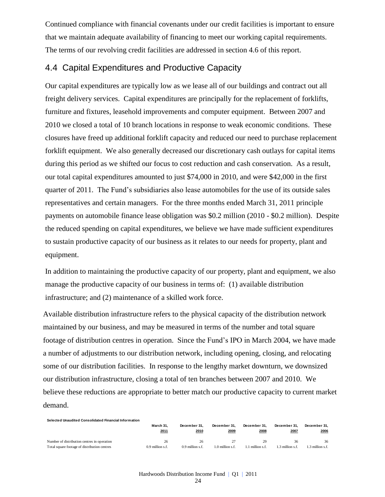Continued compliance with financial covenants under our credit facilities is important to ensure that we maintain adequate availability of financing to meet our working capital requirements. The terms of our revolving credit facilities are addressed in section 4.6 of this report.

# 4.4 Capital Expenditures and Productive Capacity

Our capital expenditures are typically low as we lease all of our buildings and contract out all freight delivery services. Capital expenditures are principally for the replacement of forklifts, furniture and fixtures, leasehold improvements and computer equipment. Between 2007 and 2010 we closed a total of 10 branch locations in response to weak economic conditions. These closures have freed up additional forklift capacity and reduced our need to purchase replacement forklift equipment. We also generally decreased our discretionary cash outlays for capital items during this period as we shifted our focus to cost reduction and cash conservation. As a result, our total capital expenditures amounted to just \$74,000 in 2010, and were \$42,000 in the first quarter of 2011. The Fund's subsidiaries also lease automobiles for the use of its outside sales representatives and certain managers. For the three months ended March 31, 2011 principle payments on automobile finance lease obligation was \$0.2 million (2010 - \$0.2 million). Despite the reduced spending on capital expenditures, we believe we have made sufficient expenditures to sustain productive capacity of our business as it relates to our needs for property, plant and equipment.

In addition to maintaining the productive capacity of our property, plant and equipment, we also manage the productive capacity of our business in terms of: (1) available distribution infrastructure; and (2) maintenance of a skilled work force.

Available distribution infrastructure refers to the physical capacity of the distribution network maintained by our business, and may be measured in terms of the number and total square footage of distribution centres in operation. Since the Fund's IPO in March 2004, we have made a number of adjustments to our distribution network, including opening, closing, and relocating some of our distribution facilities. In response to the lengthy market downturn, we downsized our distribution infrastructure, closing a total of ten branches between 2007 and 2010. We believe these reductions are appropriate to better match our productive capacity to current market demand.

| Selected Unaudited Consolidated Financial Information |                    |                    |                    |              |                |                 |  |  |  |  |
|-------------------------------------------------------|--------------------|--------------------|--------------------|--------------|----------------|-----------------|--|--|--|--|
|                                                       | March 31.          | December 31.       | December 31.       | December 31. | December 31.   | December 31.    |  |  |  |  |
|                                                       | 2011               | 2010               | 2009               | 2008         | 2007           | 2006            |  |  |  |  |
| Number of distribution centres in operation           | 26                 | 26                 | 27                 | 29           | 36             | 36              |  |  |  |  |
| Total square footage of distribution centres          | $0.9$ million s.f. | $0.9$ million s.f. | $1.0$ million s.f. | million s.f  | .3 million s.f | .3 million s.f. |  |  |  |  |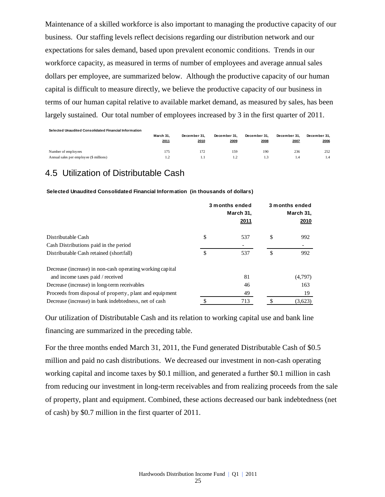Maintenance of a skilled workforce is also important to managing the productive capacity of our business. Our staffing levels reflect decisions regarding our distribution network and our expectations for sales demand, based upon prevalent economic conditions. Trends in our workforce capacity, as measured in terms of number of employees and average annual sales dollars per employee, are summarized below. Although the productive capacity of our human capital is difficult to measure directly, we believe the productive capacity of our business in terms of our human capital relative to available market demand, as measured by sales, has been largely sustained. Our total number of employees increased by 3 in the first quarter of 2011.

**Selected Unaudited Consolidated Financial Information** 

|                                                                | March 31. | December 31. | December 31. | December 31. | December 31. | December 31. |
|----------------------------------------------------------------|-----------|--------------|--------------|--------------|--------------|--------------|
|                                                                | 2011      | 2010         | 2009         | 2008         | 2007         | 2006         |
| Number of employees<br>Annual sales per employee (\$ millions) | 175<br>.  |              | 159          | 190<br>1.3   | 236<br>1.4   | 252<br>1.4   |

# 4.5 Utilization of Distributable Cash

**Selected Unaudited Consolidated Financial Information (in thousands of dollars)**

|                                                           | 3 months ended<br>March 31,<br>2011 |    | 3 months ended<br>March 31,<br>2010 |
|-----------------------------------------------------------|-------------------------------------|----|-------------------------------------|
| Distributable Cash                                        | \$<br>537                           | \$ | 992                                 |
| Cash Distributions paid in the period                     |                                     |    |                                     |
| Distributable Cash retained (shortfall)                   | \$<br>537                           | \$ | 992                                 |
| Decrease (increase) in non-cash operating working capital |                                     |    |                                     |
| and income taxes paid / received                          | 81                                  |    | (4,797)                             |
| Decrease (increase) in long-term receivables              | 46                                  |    | 163                                 |
| Proceeds from disposal of property, plant and equipment   | 49                                  |    | 19                                  |
| Decrease (increase) in bank indebtedness, net of cash     | \$<br>713                           | S. | (3,623)                             |

Our utilization of Distributable Cash and its relation to working capital use and bank line financing are summarized in the preceding table.

For the three months ended March 31, 2011, the Fund generated Distributable Cash of \$0.5 million and paid no cash distributions. We decreased our investment in non-cash operating working capital and income taxes by \$0.1 million, and generated a further \$0.1 million in cash from reducing our investment in long-term receivables and from realizing proceeds from the sale of property, plant and equipment. Combined, these actions decreased our bank indebtedness (net of cash) by \$0.7 million in the first quarter of 2011.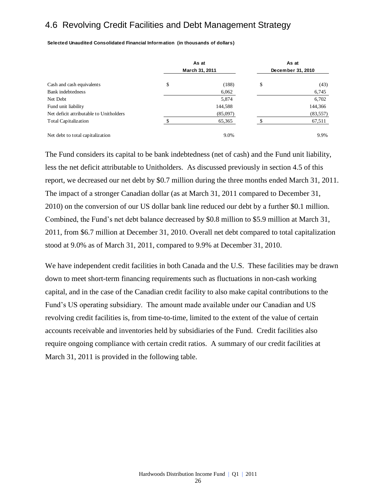# 4.6 Revolving Credit Facilities and Debt Management Strategy

**Selected Unaudited Consolidated Financial Information (in thousands of dollars)**

|                                         | As at<br>March 31, 2011 | As at<br>December 31, 2010 |           |  |
|-----------------------------------------|-------------------------|----------------------------|-----------|--|
| Cash and cash equivalents               | \$<br>(188)             | \$                         | (43)      |  |
| <b>Bank</b> indebtedness                | 6,062                   |                            | 6,745     |  |
| Net Debt                                | 5,874                   |                            | 6,702     |  |
| Fund unit liability                     | 144,588                 |                            | 144,366   |  |
| Net deficit attributable to Unitholders | (85,097)                |                            | (83, 557) |  |
| <b>Total Capitalization</b>             | 65,365                  |                            | 67,511    |  |
| Net debt to total capitalization        | 9.0%                    |                            | 9.9%      |  |

The Fund considers its capital to be bank indebtedness (net of cash) and the Fund unit liability, less the net deficit attributable to Unitholders. As discussed previously in section 4.5 of this report, we decreased our net debt by \$0.7 million during the three months ended March 31, 2011. The impact of a stronger Canadian dollar (as at March 31, 2011 compared to December 31, 2010) on the conversion of our US dollar bank line reduced our debt by a further \$0.1 million. Combined, the Fund's net debt balance decreased by \$0.8 million to \$5.9 million at March 31, 2011, from \$6.7 million at December 31, 2010. Overall net debt compared to total capitalization stood at 9.0% as of March 31, 2011, compared to 9.9% at December 31, 2010.

We have independent credit facilities in both Canada and the U.S. These facilities may be drawn down to meet short-term financing requirements such as fluctuations in non-cash working capital, and in the case of the Canadian credit facility to also make capital contributions to the Fund's US operating subsidiary. The amount made available under our Canadian and US revolving credit facilities is, from time-to-time, limited to the extent of the value of certain accounts receivable and inventories held by subsidiaries of the Fund. Credit facilities also require ongoing compliance with certain credit ratios. A summary of our credit facilities at March 31, 2011 is provided in the following table.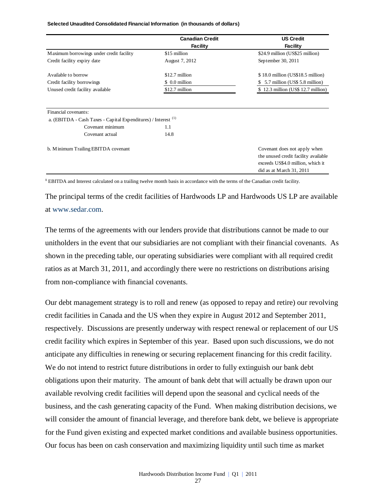|                                                                                                   | <b>Canadian Credit</b> | <b>US Credit</b>                                                                                                                      |
|---------------------------------------------------------------------------------------------------|------------------------|---------------------------------------------------------------------------------------------------------------------------------------|
|                                                                                                   | <b>Facility</b>        | Facility                                                                                                                              |
| Maximum borrowings under credit facility                                                          | \$15 million           | \$24.9 million (US\$25 million)                                                                                                       |
| Credit facility expiry date                                                                       | August 7, 2012         | September 30, 2011                                                                                                                    |
| Available to borrow                                                                               | $$12.7$ million        | $$18.0$ million (US\$18.5 million)                                                                                                    |
| Credit facility borrowings                                                                        | \$ 0.0 million         | 5.7 million (US\$ 5.8 million)                                                                                                        |
| Unused credit facility available                                                                  | \$12.7 million         | \$12.3 million (US\$12.7 million)                                                                                                     |
| Financial covenants:<br>a. (EBITDA - Cash Taxes - Capital Expenditures) / Interest <sup>(1)</sup> |                        |                                                                                                                                       |
| Covenant minimum                                                                                  | 1.1                    |                                                                                                                                       |
| Covenant actual                                                                                   | 14.8                   |                                                                                                                                       |
| b. Minimum Trailing EBITDA covenant                                                               |                        | Covenant does not apply when<br>the unused credit facility available<br>exceeds US\$4.0 million, which it<br>did as at March 31, 2011 |

#### **Selected Unaudited Consolidated Financial Information (in thousands of dollars)**

**<sup>1</sup>** EBITDA and Interest calculated on a trailing twelve month basis in accordance with the terms of the Canadian credit facility.

The principal terms of the credit facilities of Hardwoods LP and Hardwoods US LP are available at [www.sedar.com.](http://www.sedar.com/)

The terms of the agreements with our lenders provide that distributions cannot be made to our unitholders in the event that our subsidiaries are not compliant with their financial covenants. As shown in the preceding table, our operating subsidiaries were compliant with all required credit ratios as at March 31, 2011, and accordingly there were no restrictions on distributions arising from non-compliance with financial covenants.

Our debt management strategy is to roll and renew (as opposed to repay and retire) our revolving credit facilities in Canada and the US when they expire in August 2012 and September 2011, respectively. Discussions are presently underway with respect renewal or replacement of our US credit facility which expires in September of this year. Based upon such discussions, we do not anticipate any difficulties in renewing or securing replacement financing for this credit facility. We do not intend to restrict future distributions in order to fully extinguish our bank debt obligations upon their maturity. The amount of bank debt that will actually be drawn upon our available revolving credit facilities will depend upon the seasonal and cyclical needs of the business, and the cash generating capacity of the Fund. When making distribution decisions, we will consider the amount of financial leverage, and therefore bank debt, we believe is appropriate for the Fund given existing and expected market conditions and available business opportunities. Our focus has been on cash conservation and maximizing liquidity until such time as market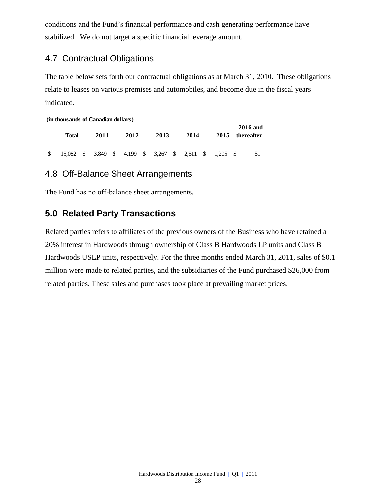conditions and the Fund's financial performance and cash generating performance have stabilized. We do not target a specific financial leverage amount.

# 4.7 Contractual Obligations

The table below sets forth our contractual obligations as at March 31, 2010. These obligations relate to leases on various premises and automobiles, and become due in the fiscal years indicated.

#### **(in thousands of Canadian dollars)**

| Total                                                     |  | 2011 |  | 2012 |  | 2013 |  | 2014 |  |  | <b>2016</b> and<br>2015 thereafter |  |
|-----------------------------------------------------------|--|------|--|------|--|------|--|------|--|--|------------------------------------|--|
| \$ 15,082 \$ 3,849 \$ 4,199 \$ 3,267 \$ 2,511 \$ 1,205 \$ |  |      |  |      |  |      |  |      |  |  | 51                                 |  |

# 4.8 Off-Balance Sheet Arrangements

The Fund has no off-balance sheet arrangements.

# **5.0 Related Party Transactions**

Related parties refers to affiliates of the previous owners of the Business who have retained a 20% interest in Hardwoods through ownership of Class B Hardwoods LP units and Class B Hardwoods USLP units, respectively. For the three months ended March 31, 2011, sales of \$0.1 million were made to related parties, and the subsidiaries of the Fund purchased \$26,000 from related parties. These sales and purchases took place at prevailing market prices.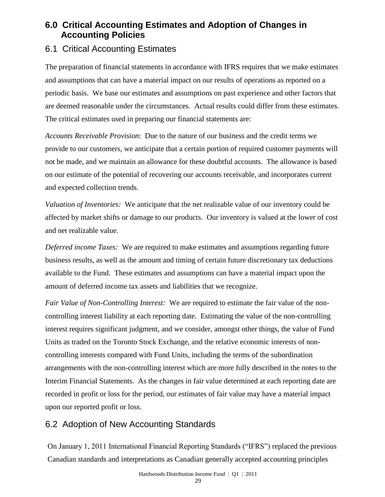# **6.0 Critical Accounting Estimates and Adoption of Changes in Accounting Policies**

# 6.1 Critical Accounting Estimates

The preparation of financial statements in accordance with IFRS requires that we make estimates and assumptions that can have a material impact on our results of operations as reported on a periodic basis. We base our estimates and assumptions on past experience and other factors that are deemed reasonable under the circumstances. Actual results could differ from these estimates. The critical estimates used in preparing our financial statements are:

*Accounts Receivable Provision*: Due to the nature of our business and the credit terms we provide to our customers, we anticipate that a certain portion of required customer payments will not be made, and we maintain an allowance for these doubtful accounts. The allowance is based on our estimate of the potential of recovering our accounts receivable, and incorporates current and expected collection trends.

*Valuation of Inventories:* We anticipate that the net realizable value of our inventory could be affected by market shifts or damage to our products. Our inventory is valued at the lower of cost and net realizable value.

*Deferred income Taxes:* We are required to make estimates and assumptions regarding future business results, as well as the amount and timing of certain future discretionary tax deductions available to the Fund. These estimates and assumptions can have a material impact upon the amount of deferred income tax assets and liabilities that we recognize.

*Fair Value of Non-Controlling Interest:* We are required to estimate the fair value of the noncontrolling interest liability at each reporting date. Estimating the value of the non-controlling interest requires significant judgment, and we consider, amongst other things, the value of Fund Units as traded on the Toronto Stock Exchange, and the relative economic interests of noncontrolling interests compared with Fund Units, including the terms of the subordination arrangements with the non-controlling interest which are more fully described in the notes to the Interim Financial Statements. As the changes in fair value determined at each reporting date are recorded in profit or loss for the period, our estimates of fair value may have a material impact upon our reported profit or loss.

# 6.2 Adoption of New Accounting Standards

On January 1, 2011 International Financial Reporting Standards ("IFRS") replaced the previous Canadian standards and interpretations as Canadian generally accepted accounting principles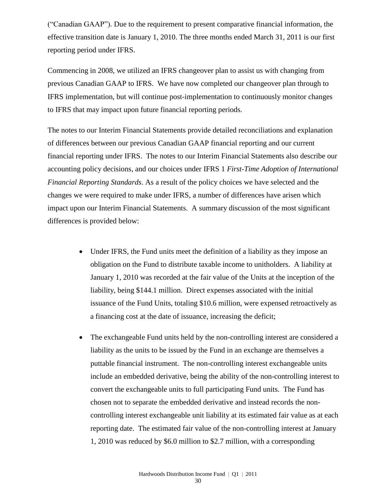("Canadian GAAP"). Due to the requirement to present comparative financial information, the effective transition date is January 1, 2010. The three months ended March 31, 2011 is our first reporting period under IFRS.

Commencing in 2008, we utilized an IFRS changeover plan to assist us with changing from previous Canadian GAAP to IFRS. We have now completed our changeover plan through to IFRS implementation, but will continue post-implementation to continuously monitor changes to IFRS that may impact upon future financial reporting periods.

The notes to our Interim Financial Statements provide detailed reconciliations and explanation of differences between our previous Canadian GAAP financial reporting and our current financial reporting under IFRS. The notes to our Interim Financial Statements also describe our accounting policy decisions, and our choices under IFRS 1 *First-Time Adoption of International Financial Reporting Standards*. As a result of the policy choices we have selected and the changes we were required to make under IFRS, a number of differences have arisen which impact upon our Interim Financial Statements. A summary discussion of the most significant differences is provided below:

- Under IFRS, the Fund units meet the definition of a liability as they impose an obligation on the Fund to distribute taxable income to unitholders. A liability at January 1, 2010 was recorded at the fair value of the Units at the inception of the liability, being \$144.1 million. Direct expenses associated with the initial issuance of the Fund Units, totaling \$10.6 million, were expensed retroactively as a financing cost at the date of issuance, increasing the deficit;
- The exchangeable Fund units held by the non-controlling interest are considered a liability as the units to be issued by the Fund in an exchange are themselves a puttable financial instrument. The non-controlling interest exchangeable units include an embedded derivative, being the ability of the non-controlling interest to convert the exchangeable units to full participating Fund units. The Fund has chosen not to separate the embedded derivative and instead records the noncontrolling interest exchangeable unit liability at its estimated fair value as at each reporting date. The estimated fair value of the non-controlling interest at January 1, 2010 was reduced by \$6.0 million to \$2.7 million, with a corresponding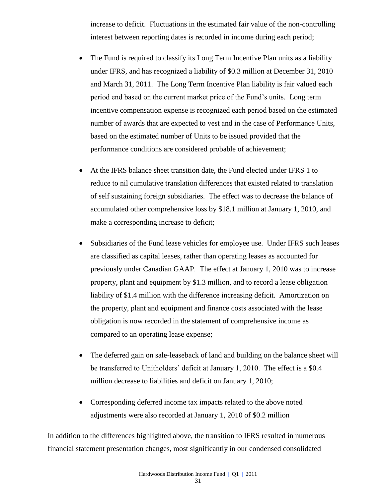increase to deficit. Fluctuations in the estimated fair value of the non-controlling interest between reporting dates is recorded in income during each period;

- The Fund is required to classify its Long Term Incentive Plan units as a liability under IFRS, and has recognized a liability of \$0.3 million at December 31, 2010 and March 31, 2011. The Long Term Incentive Plan liability is fair valued each period end based on the current market price of the Fund's units. Long term incentive compensation expense is recognized each period based on the estimated number of awards that are expected to vest and in the case of Performance Units, based on the estimated number of Units to be issued provided that the performance conditions are considered probable of achievement;
- At the IFRS balance sheet transition date, the Fund elected under IFRS 1 to reduce to nil cumulative translation differences that existed related to translation of self sustaining foreign subsidiaries. The effect was to decrease the balance of accumulated other comprehensive loss by \$18.1 million at January 1, 2010, and make a corresponding increase to deficit;
- Subsidiaries of the Fund lease vehicles for employee use. Under IFRS such leases are classified as capital leases, rather than operating leases as accounted for previously under Canadian GAAP. The effect at January 1, 2010 was to increase property, plant and equipment by \$1.3 million, and to record a lease obligation liability of \$1.4 million with the difference increasing deficit. Amortization on the property, plant and equipment and finance costs associated with the lease obligation is now recorded in the statement of comprehensive income as compared to an operating lease expense;
- The deferred gain on sale-leaseback of land and building on the balance sheet will be transferred to Unitholders' deficit at January 1, 2010. The effect is a \$0.4 million decrease to liabilities and deficit on January 1, 2010;
- Corresponding deferred income tax impacts related to the above noted adjustments were also recorded at January 1, 2010 of \$0.2 million

In addition to the differences highlighted above, the transition to IFRS resulted in numerous financial statement presentation changes, most significantly in our condensed consolidated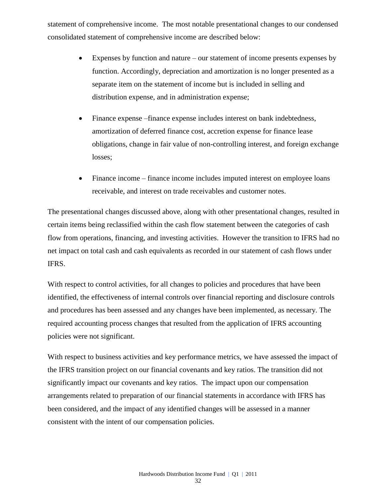statement of comprehensive income. The most notable presentational changes to our condensed consolidated statement of comprehensive income are described below:

- Expenses by function and nature our statement of income presents expenses by function. Accordingly, depreciation and amortization is no longer presented as a separate item on the statement of income but is included in selling and distribution expense, and in administration expense;
- Finance expense –finance expense includes interest on bank indebtedness, amortization of deferred finance cost, accretion expense for finance lease obligations, change in fair value of non-controlling interest, and foreign exchange losses;
- Finance income finance income includes imputed interest on employee loans receivable, and interest on trade receivables and customer notes.

The presentational changes discussed above, along with other presentational changes, resulted in certain items being reclassified within the cash flow statement between the categories of cash flow from operations, financing, and investing activities. However the transition to IFRS had no net impact on total cash and cash equivalents as recorded in our statement of cash flows under IFRS.

With respect to control activities, for all changes to policies and procedures that have been identified, the effectiveness of internal controls over financial reporting and disclosure controls and procedures has been assessed and any changes have been implemented, as necessary. The required accounting process changes that resulted from the application of IFRS accounting policies were not significant.

With respect to business activities and key performance metrics, we have assessed the impact of the IFRS transition project on our financial covenants and key ratios. The transition did not significantly impact our covenants and key ratios. The impact upon our compensation arrangements related to preparation of our financial statements in accordance with IFRS has been considered, and the impact of any identified changes will be assessed in a manner consistent with the intent of our compensation policies.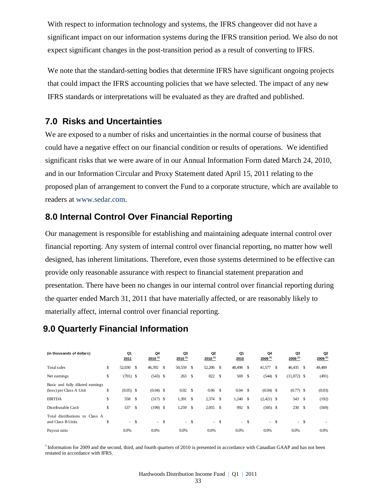With respect to information technology and systems, the IFRS changeover did not have a significant impact on our information systems during the IFRS transition period. We also do not expect significant changes in the post-transition period as a result of converting to IFRS.

We note that the standard-setting bodies that determine IFRS have significant ongoing projects that could impact the IFRS accounting policies that we have selected. The impact of any new IFRS standards or interpretations will be evaluated as they are drafted and published.

# **7.0 Risks and Uncertainties**

We are exposed to a number of risks and uncertainties in the normal course of business that could have a negative effect on our financial condition or results of operations. We identified significant risks that we were aware of in our Annual Information Form dated March 24, 2010, and in our Information Circular and Proxy Statement dated April 15, 2011 relating to the proposed plan of arrangement to convert the Fund to a corporate structure, which are available to readers at [www.sedar.com.](http://www.sedar.com/)

# **8.0 Internal Control Over Financial Reporting**

Our management is responsible for establishing and maintaining adequate internal control over financial reporting. Any system of internal control over financial reporting, no matter how well designed, has inherent limitations. Therefore, even those systems determined to be effective can provide only reasonable assurance with respect to financial statement preparation and presentation. There have been no changes in our internal control over financial reporting during the quarter ended March 31, 2011 that have materially affected, or are reasonably likely to materially affect, internal control over financial reporting.

# **9.0 Quarterly Financial Information**

| (in thousands of dollars)                                   | Q1<br>2011        |      | Q4<br>$2010^{(1)}$ | Q3<br>$2010^{(1)}$ |               | Q <sub>2</sub><br>$2010^{(1)}$ |       | Q1<br>2010 |        | Q4<br>$2009^{(1)}$ |      | Q3<br>$2009^{(1)}$ | Q <sub>2</sub><br>$2009^{(1)}$ |
|-------------------------------------------------------------|-------------------|------|--------------------|--------------------|---------------|--------------------------------|-------|------------|--------|--------------------|------|--------------------|--------------------------------|
| Total sales                                                 | \$<br>52,030      | - \$ | 46,392             | \$<br>50,559       | \$            | 52,206 \$                      |       | 48,498     | \$     | 41,577             | - \$ | $46,435$ \$        | 49,489                         |
| Net earnings                                                | \$<br>$(701)$ \$  |      | $(543)$ \$         | 263                | <sup>\$</sup> | 822 \$                         |       | 569        | \$     | $(544)$ \$         |      | $(11,072)$ \$      | (491)                          |
| Basic and fully diluted earnings<br>(loss) per Class A Unit | \$<br>$(0.05)$ \$ |      | $(0.04)$ \$        | 0.02               | -S            | $0.06$ \$                      |       | 0.04       | \$     | $(0.04)$ \$        |      | $(0.77)$ \$        | (0.03)                         |
| <b>EBITDA</b>                                               | \$<br>558         | - \$ | $(317)$ \$         | 1,391              | \$            | $2,374$ \$                     |       | 1,240      | \$     | $(2,421)$ \$       |      | 543 \$             | (192)                          |
| Distributable Cash                                          | \$<br>537         | -S   | $(199)$ \$         | 1,259              | \$            | $2,055$ \$                     |       | 992        | \$     | $(505)$ \$         |      | 230S               | (569)                          |
| Total distributions to Class A<br>and Class B Units         | \$<br>$- S$       |      | $- S$              |                    | $- S$         |                                | $- S$ |            | $-$ \$ |                    | - \$ | $-$ \$             |                                |
| Payout ratio                                                | 0.0%              |      | 0.0%               | 0.0%               |               | 0.0%                           |       | 0.0%       |        | 0.0%               |      | 0.0%               | 0.0%                           |

<sup>1</sup> Information for 2009 and the second, third, and fourth quarters of 2010 is presented in accordance with Canadian GAAP and has not been restated in accordance with IFRS.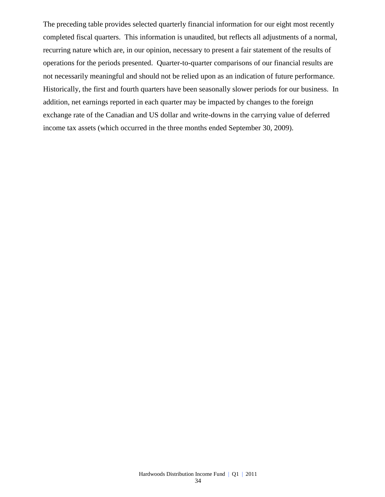The preceding table provides selected quarterly financial information for our eight most recently completed fiscal quarters. This information is unaudited, but reflects all adjustments of a normal, recurring nature which are, in our opinion, necessary to present a fair statement of the results of operations for the periods presented. Quarter-to-quarter comparisons of our financial results are not necessarily meaningful and should not be relied upon as an indication of future performance. Historically, the first and fourth quarters have been seasonally slower periods for our business. In addition, net earnings reported in each quarter may be impacted by changes to the foreign exchange rate of the Canadian and US dollar and write-downs in the carrying value of deferred income tax assets (which occurred in the three months ended September 30, 2009).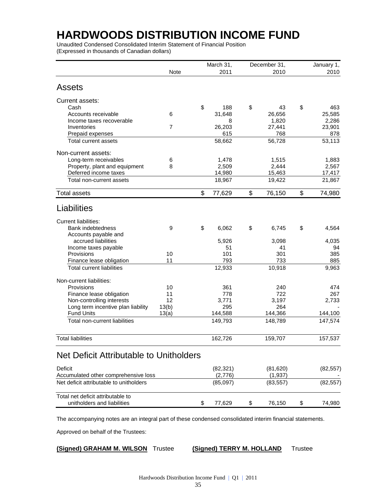# **HARDWOODS DISTRIBUTION INCOME FUND**

Unaudited Condensed Consolidated Interim Statement of Financial Position (Expressed in thousands of Canadian dollars)

| <b>Note</b><br>2011<br>2010<br><b>Assets</b><br>Current assets:<br>\$<br>\$<br>\$<br>Cash<br>188<br>43<br>Accounts receivable<br>6<br>31,648<br>26,656<br>Income taxes recoverable<br>1,820<br>8<br>$\overline{7}$<br>27,441<br>23,901<br>Inventories<br>26,203<br>615<br>768<br>878<br>Prepaid expenses<br>58,662<br>56,728<br>53,113<br><b>Total current assets</b><br>Non-current assets:<br>Long-term receivables<br>6<br>1,478<br>1,515<br>8<br>Property, plant and equipment<br>2,509<br>2,444<br>2,567<br>Deferred income taxes<br>14,980<br>15,463<br>17,417<br>21,867<br>Total non-current assets<br>18,967<br>19,422<br>\$<br>\$<br>\$<br><b>Total assets</b><br>77,629<br>76,150<br>Liabilities<br><b>Current liabilities:</b><br>\$<br>\$<br>\$<br>9<br>6,062<br><b>Bank indebtedness</b><br>6,745<br>Accounts payable and<br>accrued liabilities<br>5,926<br>3,098<br>Income taxes payable<br>51<br>41<br>10<br>101<br>301<br>385<br>Provisions<br>11<br>793<br>733<br>Finance lease obligation<br>885<br><b>Total current liabilities</b><br>12,933<br>10,918<br>9,963<br>Non-current liabilities:<br>361<br>Provisions<br>10<br>240<br>Finance lease obligation<br>722<br>11<br>778<br>12<br>Non-controlling interests<br>3,771<br>3,197<br>Long term incentive plan liability<br>13(b)<br>295<br>264<br><b>Fund Units</b><br>144,588<br>13(a)<br>144,366<br>144,100<br>147,574<br>Total non-current liabilities<br>149,793<br>148,789<br><b>Total liabilities</b><br>162,726<br>159,707<br>Net Deficit Attributable to Unitholders<br>Deficit<br>(82, 321)<br>(81, 620)<br>(82, 557)<br>Accumulated other comprehensive loss<br>(2,776)<br>(1,937)<br>Net deficit attributable to unitholders<br>(85,097)<br>(83, 557)<br>Total net deficit attributable to |  | March 31, | December 31, | January 1, |  |
|-----------------------------------------------------------------------------------------------------------------------------------------------------------------------------------------------------------------------------------------------------------------------------------------------------------------------------------------------------------------------------------------------------------------------------------------------------------------------------------------------------------------------------------------------------------------------------------------------------------------------------------------------------------------------------------------------------------------------------------------------------------------------------------------------------------------------------------------------------------------------------------------------------------------------------------------------------------------------------------------------------------------------------------------------------------------------------------------------------------------------------------------------------------------------------------------------------------------------------------------------------------------------------------------------------------------------------------------------------------------------------------------------------------------------------------------------------------------------------------------------------------------------------------------------------------------------------------------------------------------------------------------------------------------------------------------------------------------------------------------------------------------------------|--|-----------|--------------|------------|--|
|                                                                                                                                                                                                                                                                                                                                                                                                                                                                                                                                                                                                                                                                                                                                                                                                                                                                                                                                                                                                                                                                                                                                                                                                                                                                                                                                                                                                                                                                                                                                                                                                                                                                                                                                                                             |  |           |              | 2010       |  |
|                                                                                                                                                                                                                                                                                                                                                                                                                                                                                                                                                                                                                                                                                                                                                                                                                                                                                                                                                                                                                                                                                                                                                                                                                                                                                                                                                                                                                                                                                                                                                                                                                                                                                                                                                                             |  |           |              |            |  |
|                                                                                                                                                                                                                                                                                                                                                                                                                                                                                                                                                                                                                                                                                                                                                                                                                                                                                                                                                                                                                                                                                                                                                                                                                                                                                                                                                                                                                                                                                                                                                                                                                                                                                                                                                                             |  |           |              |            |  |
|                                                                                                                                                                                                                                                                                                                                                                                                                                                                                                                                                                                                                                                                                                                                                                                                                                                                                                                                                                                                                                                                                                                                                                                                                                                                                                                                                                                                                                                                                                                                                                                                                                                                                                                                                                             |  |           |              | 463        |  |
|                                                                                                                                                                                                                                                                                                                                                                                                                                                                                                                                                                                                                                                                                                                                                                                                                                                                                                                                                                                                                                                                                                                                                                                                                                                                                                                                                                                                                                                                                                                                                                                                                                                                                                                                                                             |  |           |              | 25,585     |  |
|                                                                                                                                                                                                                                                                                                                                                                                                                                                                                                                                                                                                                                                                                                                                                                                                                                                                                                                                                                                                                                                                                                                                                                                                                                                                                                                                                                                                                                                                                                                                                                                                                                                                                                                                                                             |  |           |              | 2,286      |  |
|                                                                                                                                                                                                                                                                                                                                                                                                                                                                                                                                                                                                                                                                                                                                                                                                                                                                                                                                                                                                                                                                                                                                                                                                                                                                                                                                                                                                                                                                                                                                                                                                                                                                                                                                                                             |  |           |              |            |  |
|                                                                                                                                                                                                                                                                                                                                                                                                                                                                                                                                                                                                                                                                                                                                                                                                                                                                                                                                                                                                                                                                                                                                                                                                                                                                                                                                                                                                                                                                                                                                                                                                                                                                                                                                                                             |  |           |              |            |  |
|                                                                                                                                                                                                                                                                                                                                                                                                                                                                                                                                                                                                                                                                                                                                                                                                                                                                                                                                                                                                                                                                                                                                                                                                                                                                                                                                                                                                                                                                                                                                                                                                                                                                                                                                                                             |  |           |              |            |  |
|                                                                                                                                                                                                                                                                                                                                                                                                                                                                                                                                                                                                                                                                                                                                                                                                                                                                                                                                                                                                                                                                                                                                                                                                                                                                                                                                                                                                                                                                                                                                                                                                                                                                                                                                                                             |  |           |              |            |  |
|                                                                                                                                                                                                                                                                                                                                                                                                                                                                                                                                                                                                                                                                                                                                                                                                                                                                                                                                                                                                                                                                                                                                                                                                                                                                                                                                                                                                                                                                                                                                                                                                                                                                                                                                                                             |  |           |              | 1,883      |  |
|                                                                                                                                                                                                                                                                                                                                                                                                                                                                                                                                                                                                                                                                                                                                                                                                                                                                                                                                                                                                                                                                                                                                                                                                                                                                                                                                                                                                                                                                                                                                                                                                                                                                                                                                                                             |  |           |              |            |  |
|                                                                                                                                                                                                                                                                                                                                                                                                                                                                                                                                                                                                                                                                                                                                                                                                                                                                                                                                                                                                                                                                                                                                                                                                                                                                                                                                                                                                                                                                                                                                                                                                                                                                                                                                                                             |  |           |              |            |  |
|                                                                                                                                                                                                                                                                                                                                                                                                                                                                                                                                                                                                                                                                                                                                                                                                                                                                                                                                                                                                                                                                                                                                                                                                                                                                                                                                                                                                                                                                                                                                                                                                                                                                                                                                                                             |  |           |              |            |  |
|                                                                                                                                                                                                                                                                                                                                                                                                                                                                                                                                                                                                                                                                                                                                                                                                                                                                                                                                                                                                                                                                                                                                                                                                                                                                                                                                                                                                                                                                                                                                                                                                                                                                                                                                                                             |  |           |              | 74,980     |  |
|                                                                                                                                                                                                                                                                                                                                                                                                                                                                                                                                                                                                                                                                                                                                                                                                                                                                                                                                                                                                                                                                                                                                                                                                                                                                                                                                                                                                                                                                                                                                                                                                                                                                                                                                                                             |  |           |              |            |  |
|                                                                                                                                                                                                                                                                                                                                                                                                                                                                                                                                                                                                                                                                                                                                                                                                                                                                                                                                                                                                                                                                                                                                                                                                                                                                                                                                                                                                                                                                                                                                                                                                                                                                                                                                                                             |  |           |              |            |  |
|                                                                                                                                                                                                                                                                                                                                                                                                                                                                                                                                                                                                                                                                                                                                                                                                                                                                                                                                                                                                                                                                                                                                                                                                                                                                                                                                                                                                                                                                                                                                                                                                                                                                                                                                                                             |  |           |              | 4,564      |  |
|                                                                                                                                                                                                                                                                                                                                                                                                                                                                                                                                                                                                                                                                                                                                                                                                                                                                                                                                                                                                                                                                                                                                                                                                                                                                                                                                                                                                                                                                                                                                                                                                                                                                                                                                                                             |  |           |              |            |  |
|                                                                                                                                                                                                                                                                                                                                                                                                                                                                                                                                                                                                                                                                                                                                                                                                                                                                                                                                                                                                                                                                                                                                                                                                                                                                                                                                                                                                                                                                                                                                                                                                                                                                                                                                                                             |  |           |              | 4,035      |  |
|                                                                                                                                                                                                                                                                                                                                                                                                                                                                                                                                                                                                                                                                                                                                                                                                                                                                                                                                                                                                                                                                                                                                                                                                                                                                                                                                                                                                                                                                                                                                                                                                                                                                                                                                                                             |  |           |              | 94         |  |
|                                                                                                                                                                                                                                                                                                                                                                                                                                                                                                                                                                                                                                                                                                                                                                                                                                                                                                                                                                                                                                                                                                                                                                                                                                                                                                                                                                                                                                                                                                                                                                                                                                                                                                                                                                             |  |           |              |            |  |
|                                                                                                                                                                                                                                                                                                                                                                                                                                                                                                                                                                                                                                                                                                                                                                                                                                                                                                                                                                                                                                                                                                                                                                                                                                                                                                                                                                                                                                                                                                                                                                                                                                                                                                                                                                             |  |           |              |            |  |
|                                                                                                                                                                                                                                                                                                                                                                                                                                                                                                                                                                                                                                                                                                                                                                                                                                                                                                                                                                                                                                                                                                                                                                                                                                                                                                                                                                                                                                                                                                                                                                                                                                                                                                                                                                             |  |           |              |            |  |
|                                                                                                                                                                                                                                                                                                                                                                                                                                                                                                                                                                                                                                                                                                                                                                                                                                                                                                                                                                                                                                                                                                                                                                                                                                                                                                                                                                                                                                                                                                                                                                                                                                                                                                                                                                             |  |           |              |            |  |
|                                                                                                                                                                                                                                                                                                                                                                                                                                                                                                                                                                                                                                                                                                                                                                                                                                                                                                                                                                                                                                                                                                                                                                                                                                                                                                                                                                                                                                                                                                                                                                                                                                                                                                                                                                             |  |           |              | 474        |  |
|                                                                                                                                                                                                                                                                                                                                                                                                                                                                                                                                                                                                                                                                                                                                                                                                                                                                                                                                                                                                                                                                                                                                                                                                                                                                                                                                                                                                                                                                                                                                                                                                                                                                                                                                                                             |  |           |              | 267        |  |
|                                                                                                                                                                                                                                                                                                                                                                                                                                                                                                                                                                                                                                                                                                                                                                                                                                                                                                                                                                                                                                                                                                                                                                                                                                                                                                                                                                                                                                                                                                                                                                                                                                                                                                                                                                             |  |           |              | 2,733      |  |
|                                                                                                                                                                                                                                                                                                                                                                                                                                                                                                                                                                                                                                                                                                                                                                                                                                                                                                                                                                                                                                                                                                                                                                                                                                                                                                                                                                                                                                                                                                                                                                                                                                                                                                                                                                             |  |           |              |            |  |
|                                                                                                                                                                                                                                                                                                                                                                                                                                                                                                                                                                                                                                                                                                                                                                                                                                                                                                                                                                                                                                                                                                                                                                                                                                                                                                                                                                                                                                                                                                                                                                                                                                                                                                                                                                             |  |           |              |            |  |
|                                                                                                                                                                                                                                                                                                                                                                                                                                                                                                                                                                                                                                                                                                                                                                                                                                                                                                                                                                                                                                                                                                                                                                                                                                                                                                                                                                                                                                                                                                                                                                                                                                                                                                                                                                             |  |           |              |            |  |
|                                                                                                                                                                                                                                                                                                                                                                                                                                                                                                                                                                                                                                                                                                                                                                                                                                                                                                                                                                                                                                                                                                                                                                                                                                                                                                                                                                                                                                                                                                                                                                                                                                                                                                                                                                             |  |           |              | 157,537    |  |
|                                                                                                                                                                                                                                                                                                                                                                                                                                                                                                                                                                                                                                                                                                                                                                                                                                                                                                                                                                                                                                                                                                                                                                                                                                                                                                                                                                                                                                                                                                                                                                                                                                                                                                                                                                             |  |           |              |            |  |
|                                                                                                                                                                                                                                                                                                                                                                                                                                                                                                                                                                                                                                                                                                                                                                                                                                                                                                                                                                                                                                                                                                                                                                                                                                                                                                                                                                                                                                                                                                                                                                                                                                                                                                                                                                             |  |           |              |            |  |
|                                                                                                                                                                                                                                                                                                                                                                                                                                                                                                                                                                                                                                                                                                                                                                                                                                                                                                                                                                                                                                                                                                                                                                                                                                                                                                                                                                                                                                                                                                                                                                                                                                                                                                                                                                             |  |           |              |            |  |
|                                                                                                                                                                                                                                                                                                                                                                                                                                                                                                                                                                                                                                                                                                                                                                                                                                                                                                                                                                                                                                                                                                                                                                                                                                                                                                                                                                                                                                                                                                                                                                                                                                                                                                                                                                             |  |           |              | (82, 557)  |  |
|                                                                                                                                                                                                                                                                                                                                                                                                                                                                                                                                                                                                                                                                                                                                                                                                                                                                                                                                                                                                                                                                                                                                                                                                                                                                                                                                                                                                                                                                                                                                                                                                                                                                                                                                                                             |  |           |              |            |  |
| unitholders and liabilities<br>\$<br>77,629<br>\$<br>76,150                                                                                                                                                                                                                                                                                                                                                                                                                                                                                                                                                                                                                                                                                                                                                                                                                                                                                                                                                                                                                                                                                                                                                                                                                                                                                                                                                                                                                                                                                                                                                                                                                                                                                                                 |  | \$        |              | 74,980     |  |

The accompanying notes are an integral part of these condensed consolidated interim financial statements.

Approved on behalf of the Trustees:

tee **(Signed) TERRY M. HOLLAND** Trustee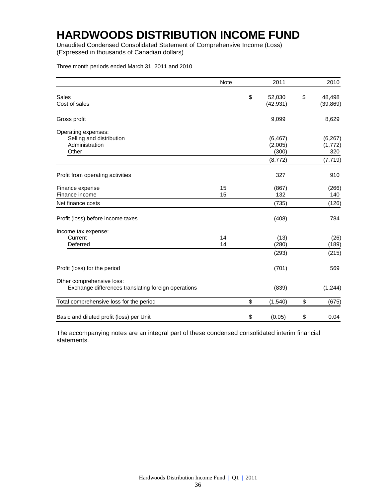# **HARDWOODS DISTRIBUTION INCOME FUND**

Unaudited Condensed Consolidated Statement of Comprehensive Income (Loss) (Expressed in thousands of Canadian dollars)

Three month periods ended March 31, 2011 and 2010

|                                                                                  | Note     | 2011                      | 2010                      |
|----------------------------------------------------------------------------------|----------|---------------------------|---------------------------|
| Sales<br>Cost of sales                                                           |          | \$<br>52,030<br>(42, 931) | \$<br>48,498<br>(39, 869) |
| Gross profit                                                                     |          | 9,099                     | 8,629                     |
| Operating expenses:<br>Selling and distribution<br>Administration                |          | (6, 467)<br>(2,005)       | (6, 267)<br>(1, 772)      |
| Other                                                                            |          | (300)<br>(8, 772)         | 320<br>(7, 719)           |
| Profit from operating activities                                                 |          | 327                       | 910                       |
| Finance expense<br>Finance income                                                | 15<br>15 | (867)<br>132              | (266)<br>140              |
| Net finance costs                                                                |          | (735)                     | (126)                     |
| Profit (loss) before income taxes                                                |          | (408)                     | 784                       |
| Income tax expense:<br>Current<br>Deferred                                       | 14<br>14 | (13)<br>(280)             | (26)<br>(189)             |
|                                                                                  |          | (293)                     | (215)                     |
| Profit (loss) for the period                                                     |          | (701)                     | 569                       |
| Other comprehensive loss:<br>Exchange differences translating foreign operations |          | (839)                     | (1, 244)                  |
| Total comprehensive loss for the period                                          |          | \$<br>(1,540)             | \$<br>(675)               |
| Basic and diluted profit (loss) per Unit                                         |          | \$<br>(0.05)              | \$<br>0.04                |

The accompanying notes are an integral part of these condensed consolidated interim financial statements.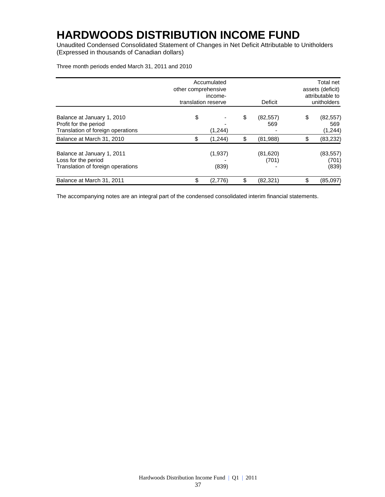# **HARDWOODS DISTRIBUTION INCOME FUND**

Unaudited Condensed Consolidated Statement of Changes in Net Deficit Attributable to Unitholders (Expressed in thousands of Canadian dollars)

Three month periods ended March 31, 2011 and 2010

|                                                                                          | other comprehensive<br>translation reserve | Accumulated<br>income- | Deficit | Total net<br>assets (deficit)<br>attributable to<br>unitholders |    |                              |
|------------------------------------------------------------------------------------------|--------------------------------------------|------------------------|---------|-----------------------------------------------------------------|----|------------------------------|
| Balance at January 1, 2010<br>Profit for the period<br>Translation of foreign operations | \$                                         | (1,244)                | \$      | (82, 557)<br>569                                                | \$ | (82, 557)<br>569<br>(1, 244) |
| Balance at March 31, 2010                                                                | \$                                         | (1, 244)               | \$      | (81,988)                                                        | \$ | (83, 232)                    |
| Balance at January 1, 2011<br>Loss for the period<br>Translation of foreign operations   |                                            | (1,937)<br>(839)       |         | (81, 620)<br>(701)                                              |    | (83, 557)<br>(701)<br>(839)  |
| Balance at March 31, 2011                                                                | \$                                         | (2,776)                | \$      | (82, 321)                                                       | \$ | (85,097)                     |

The accompanying notes are an integral part of the condensed consolidated interim financial statements.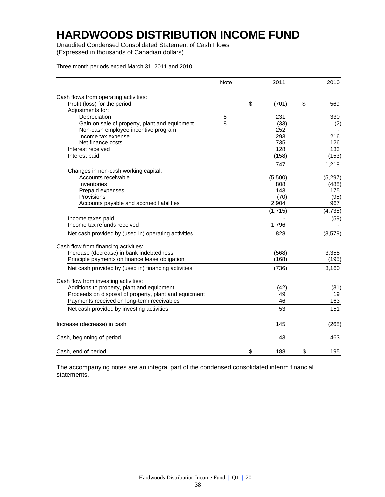# **HARDWOODS DISTRIBUTION INCOME FUND**

Unaudited Condensed Consolidated Statement of Cash Flows (Expressed in thousands of Canadian dollars)

Three month periods ended March 31, 2011 and 2010

|                                                       | <b>Note</b> | 2011        | 2010      |
|-------------------------------------------------------|-------------|-------------|-----------|
| Cash flows from operating activities:                 |             |             |           |
| Profit (loss) for the period                          |             | \$<br>(701) | \$<br>569 |
| Adjustments for:                                      |             |             |           |
| Depreciation                                          | 8           | 231         | 330       |
| Gain on sale of property, plant and equipment         | 8           | (33)        | (2)       |
| Non-cash employee incentive program                   |             | 252         |           |
| Income tax expense                                    |             | 293         | 216       |
| Net finance costs                                     |             | 735         | 126       |
| Interest received                                     |             | 128         | 133       |
| Interest paid                                         |             | (158)       | (153)     |
|                                                       |             | 747         | 1,218     |
| Changes in non-cash working capital:                  |             |             |           |
| Accounts receivable                                   |             | (5,500)     | (5, 297)  |
| Inventories                                           |             | 808         | (488)     |
| Prepaid expenses                                      |             | 143         | 175       |
| Provisions                                            |             | (70)        | (95)      |
| Accounts payable and accrued liabilities              |             | 2,904       | 967       |
|                                                       |             | (1,715)     | (4,738)   |
| Income taxes paid                                     |             |             | (59)      |
| Income tax refunds received                           |             | 1,796       |           |
| Net cash provided by (used in) operating activities   |             | 828         | (3,579)   |
| Cash flow from financing activities:                  |             |             |           |
| Increase (decrease) in bank indebtedness              |             | (568)       | 3,355     |
| Principle payments on finance lease obligation        |             | (168)       | (195)     |
| Net cash provided by (used in) financing activities   |             | (736)       | 3,160     |
| Cash flow from investing activities:                  |             |             |           |
| Additions to property, plant and equipment            |             | (42)        | (31)      |
| Proceeds on disposal of property, plant and equipment |             | 49          | 19        |
| Payments received on long-term receivables            |             | 46          | 163       |
| Net cash provided by investing activities             |             | 53          | 151       |
| Increase (decrease) in cash                           |             | 145         | (268)     |
| Cash, beginning of period                             |             | 43          | 463       |
| Cash, end of period                                   |             | \$<br>188   | \$<br>195 |

The accompanying notes are an integral part of the condensed consolidated interim financial statements.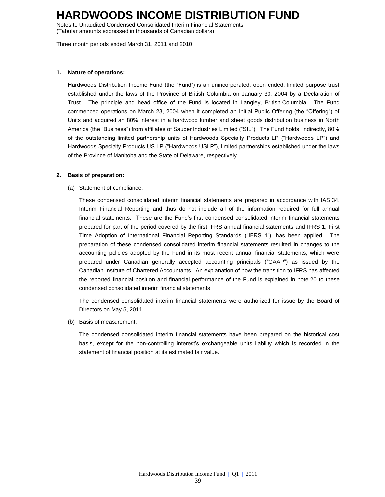Notes to Unaudited Condensed Consolidated Interim Financial Statements (Tabular amounts expressed in thousands of Canadian dollars)

Three month periods ended March 31, 2011 and 2010

### **1. Nature of operations:**

Hardwoods Distribution Income Fund (the "Fund") is an unincorporated, open ended, limited purpose trust established under the laws of the Province of British Columbia on January 30, 2004 by a Declaration of Trust. The principle and head office of the Fund is located in Langley, British Columbia. The Fund commenced operations on March 23, 2004 when it completed an Initial Public Offering (the "Offering") of Units and acquired an 80% interest in a hardwood lumber and sheet goods distribution business in North America (the "Business") from affiliates of Sauder Industries Limited ("SIL"). The Fund holds, indirectly, 80% of the outstanding limited partnership units of Hardwoods Specialty Products LP ("Hardwoods LP") and Hardwoods Specialty Products US LP ("Hardwoods USLP"), limited partnerships established under the laws of the Province of Manitoba and the State of Delaware, respectively.

### **2. Basis of preparation:**

(a) Statement of compliance:

These condensed consolidated interim financial statements are prepared in accordance with IAS 34, Interim Financial Reporting and thus do not include all of the information required for full annual financial statements. These are the Fund's first condensed consolidated interim financial statements prepared for part of the period covered by the first IFRS annual financial statements and IFRS 1, First Time Adoption of International Financial Reporting Standards ("IFRS 1"), has been applied. The preparation of these condensed consolidated interim financial statements resulted in changes to the accounting policies adopted by the Fund in its most recent annual financial statements, which were prepared under Canadian generally accepted accounting principals ("GAAP") as issued by the Canadian Institute of Chartered Accountants. An explanation of how the transition to IFRS has affected the reported financial position and financial performance of the Fund is explained in note 20 to these condensed consolidated interim financial statements.

The condensed consolidated interim financial statements were authorized for issue by the Board of Directors on May 5, 2011.

(b) Basis of measurement:

The condensed consolidated interim financial statements have been prepared on the historical cost basis, except for the non-controlling interest's exchangeable units liability which is recorded in the statement of financial position at its estimated fair value.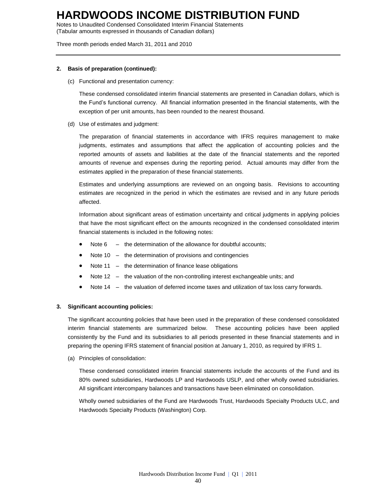Notes to Unaudited Condensed Consolidated Interim Financial Statements (Tabular amounts expressed in thousands of Canadian dollars)

Three month periods ended March 31, 2011 and 2010

### **2. Basis of preparation (continued):**

(c) Functional and presentation currency:

These condensed consolidated interim financial statements are presented in Canadian dollars, which is the Fund's functional currency. All financial information presented in the financial statements, with the exception of per unit amounts, has been rounded to the nearest thousand.

(d) Use of estimates and judgment:

The preparation of financial statements in accordance with IFRS requires management to make judgments, estimates and assumptions that affect the application of accounting policies and the reported amounts of assets and liabilities at the date of the financial statements and the reported amounts of revenue and expenses during the reporting period. Actual amounts may differ from the estimates applied in the preparation of these financial statements.

Estimates and underlying assumptions are reviewed on an ongoing basis. Revisions to accounting estimates are recognized in the period in which the estimates are revised and in any future periods affected.

Information about significant areas of estimation uncertainty and critical judgments in applying policies that have the most significant effect on the amounts recognized in the condensed consolidated interim financial statements is included in the following notes:

- Note 6 the determination of the allowance for doubtful accounts;
- Note 10 the determination of provisions and contingencies
- Note 11 the determination of finance lease obligations
- Note 12 the valuation of the non-controlling interest exchangeable units; and
- Note 14 the valuation of deferred income taxes and utilization of tax loss carry forwards.

### **3. Significant accounting policies:**

The significant accounting policies that have been used in the preparation of these condensed consolidated interim financial statements are summarized below. These accounting policies have been applied consistently by the Fund and its subsidiaries to all periods presented in these financial statements and in preparing the opening IFRS statement of financial position at January 1, 2010, as required by IFRS 1.

(a) Principles of consolidation:

These condensed consolidated interim financial statements include the accounts of the Fund and its 80% owned subsidiaries, Hardwoods LP and Hardwoods USLP, and other wholly owned subsidiaries. All significant intercompany balances and transactions have been eliminated on consolidation.

Wholly owned subsidiaries of the Fund are Hardwoods Trust, Hardwoods Specialty Products ULC, and Hardwoods Specialty Products (Washington) Corp.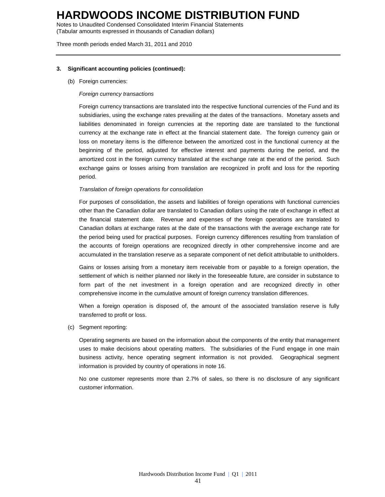Notes to Unaudited Condensed Consolidated Interim Financial Statements (Tabular amounts expressed in thousands of Canadian dollars)

Three month periods ended March 31, 2011 and 2010

### **3. Significant accounting policies (continued):**

(b) Foreign currencies:

#### *Foreign currency transactions*

Foreign currency transactions are translated into the respective functional currencies of the Fund and its subsidiaries, using the exchange rates prevailing at the dates of the transactions. Monetary assets and liabilities denominated in foreign currencies at the reporting date are translated to the functional currency at the exchange rate in effect at the financial statement date. The foreign currency gain or loss on monetary items is the difference between the amortized cost in the functional currency at the beginning of the period, adjusted for effective interest and payments during the period, and the amortized cost in the foreign currency translated at the exchange rate at the end of the period. Such exchange gains or losses arising from translation are recognized in profit and loss for the reporting period.

#### *Translation of foreign operations for consolidation*

For purposes of consolidation, the assets and liabilities of foreign operations with functional currencies other than the Canadian dollar are translated to Canadian dollars using the rate of exchange in effect at the financial statement date. Revenue and expenses of the foreign operations are translated to Canadian dollars at exchange rates at the date of the transactions with the average exchange rate for the period being used for practical purposes. Foreign currency differences resulting from translation of the accounts of foreign operations are recognized directly in other comprehensive income and are accumulated in the translation reserve as a separate component of net deficit attributable to unitholders.

Gains or losses arising from a monetary item receivable from or payable to a foreign operation, the settlement of which is neither planned nor likely in the foreseeable future, are consider in substance to form part of the net investment in a foreign operation and are recognized directly in other comprehensive income in the cumulative amount of foreign currency translation differences.

When a foreign operation is disposed of, the amount of the associated translation reserve is fully transferred to profit or loss.

(c) Segment reporting:

Operating segments are based on the information about the components of the entity that management uses to make decisions about operating matters. The subsidiaries of the Fund engage in one main business activity, hence operating segment information is not provided. Geographical segment information is provided by country of operations in note 16.

No one customer represents more than 2.7% of sales, so there is no disclosure of any significant customer information.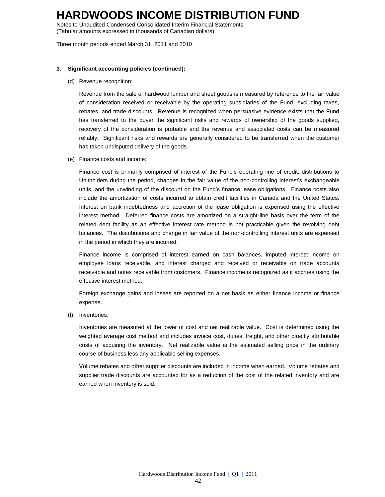Notes to Unaudited Condensed Consolidated Interim Financial Statements (Tabular amounts expressed in thousands of Canadian dollars)

Three month periods ended March 31, 2011 and 2010

### **3. Significant accounting policies (continued):**

(d) Revenue recognition:

Revenue from the sale of hardwood lumber and sheet goods is measured by reference to the fair value of consideration received or receivable by the operating subsidiaries of the Fund, excluding taxes, rebates, and trade discounts. Revenue is recognized when persuasive evidence exists that the Fund has transferred to the buyer the significant risks and rewards of ownership of the goods supplied, recovery of the consideration is probable and the revenue and associated costs can be measured reliably. Significant risks and rewards are generally considered to be transferred when the customer has taken undisputed delivery of the goods.

(e) Finance costs and income:

Finance cost is primarily comprised of interest of the Fund's operating line of credit, distributions to Unitholders during the period, changes in the fair value of the non-controlling interest's exchangeable units, and the unwinding of the discount on the Fund's finance lease obligations. Finance costs also include the amortization of costs incurred to obtain credit facilities in Canada and the United States. Interest on bank indebtedness and accretion of the lease obligation is expensed using the effective interest method. Deferred finance costs are amortized on a straight-line basis over the term of the related debt facility as an effective interest rate method is not practicable given the revolving debt balances. The distributions and change in fair value of the non-controlling interest units are expensed in the period in which they are incurred.

Finance income is comprised of interest earned on cash balances, imputed interest income on employee loans receivable, and interest charged and received or receivable on trade accounts receivable and notes receivable from customers. Finance income is recognized as it accrues using the effective interest method.

Foreign exchange gains and losses are reported on a net basis as either finance income or finance expense.

(f) Inventories:

Inventories are measured at the lower of cost and net realizable value. Cost is determined using the weighted average cost method and includes invoice cost, duties, freight, and other directly attributable costs of acquiring the inventory. Net realizable value is the estimated selling price in the ordinary course of business less any applicable selling expenses.

Volume rebates and other supplier discounts are included in income when earned. Volume rebates and supplier trade discounts are accounted for as a reduction of the cost of the related inventory and are earned when inventory is sold.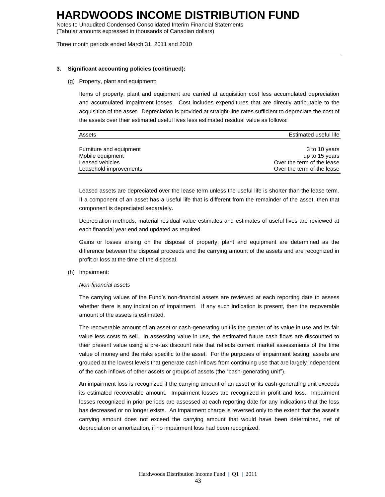Notes to Unaudited Condensed Consolidated Interim Financial Statements (Tabular amounts expressed in thousands of Canadian dollars)

Three month periods ended March 31, 2011 and 2010

#### **3. Significant accounting policies (continued):**

(g) Property, plant and equipment:

Items of property, plant and equipment are carried at acquisition cost less accumulated depreciation and accumulated impairment losses. Cost includes expenditures that are directly attributable to the acquisition of the asset. Depreciation is provided at straight-line rates sufficient to depreciate the cost of the assets over their estimated useful lives less estimated residual value as follows:

| Assets                  | Estimated useful life      |
|-------------------------|----------------------------|
|                         |                            |
| Furniture and equipment | 3 to 10 years              |
| Mobile equipment        | up to 15 years             |
| Leased vehicles         | Over the term of the lease |
| Leasehold improvements  | Over the term of the lease |

Leased assets are depreciated over the lease term unless the useful life is shorter than the lease term. If a component of an asset has a useful life that is different from the remainder of the asset, then that component is depreciated separately.

Depreciation methods, material residual value estimates and estimates of useful lives are reviewed at each financial year end and updated as required.

Gains or losses arising on the disposal of property, plant and equipment are determined as the difference between the disposal proceeds and the carrying amount of the assets and are recognized in profit or loss at the time of the disposal.

(h) Impairment:

#### *Non-financial assets*

The carrying values of the Fund's non-financial assets are reviewed at each reporting date to assess whether there is any indication of impairment. If any such indication is present, then the recoverable amount of the assets is estimated.

The recoverable amount of an asset or cash-generating unit is the greater of its value in use and its fair value less costs to sell. In assessing value in use, the estimated future cash flows are discounted to their present value using a pre-tax discount rate that reflects current market assessments of the time value of money and the risks specific to the asset. For the purposes of impairment testing, assets are grouped at the lowest levels that generate cash inflows from continuing use that are largely independent of the cash inflows of other assets or groups of assets (the "cash-generating unit").

An impairment loss is recognized if the carrying amount of an asset or its cash-generating unit exceeds its estimated recoverable amount. Impairment losses are recognized in profit and loss. Impairment losses recognized in prior periods are assessed at each reporting date for any indications that the loss has decreased or no longer exists. An impairment charge is reversed only to the extent that the asset's carrying amount does not exceed the carrying amount that would have been determined, net of depreciation or amortization, if no impairment loss had been recognized.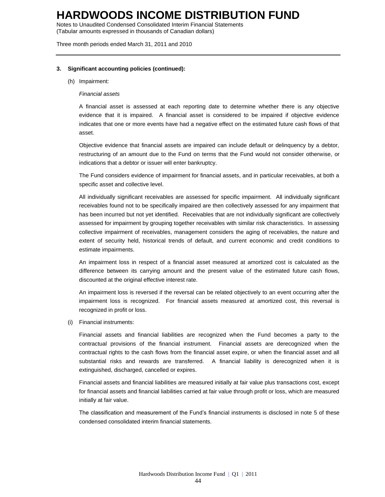Notes to Unaudited Condensed Consolidated Interim Financial Statements (Tabular amounts expressed in thousands of Canadian dollars)

Three month periods ended March 31, 2011 and 2010

#### **3. Significant accounting policies (continued):**

#### (h) Impairment:

#### *Financial assets*

A financial asset is assessed at each reporting date to determine whether there is any objective evidence that it is impaired. A financial asset is considered to be impaired if objective evidence indicates that one or more events have had a negative effect on the estimated future cash flows of that asset.

Objective evidence that financial assets are impaired can include default or delinquency by a debtor, restructuring of an amount due to the Fund on terms that the Fund would not consider otherwise, or indications that a debtor or issuer will enter bankruptcy.

The Fund considers evidence of impairment for financial assets, and in particular receivables, at both a specific asset and collective level.

All individually significant receivables are assessed for specific impairment. All individually significant receivables found not to be specifically impaired are then collectively assessed for any impairment that has been incurred but not yet identified. Receivables that are not individually significant are collectively assessed for impairment by grouping together receivables with similar risk characteristics. In assessing collective impairment of receivables, management considers the aging of receivables, the nature and extent of security held, historical trends of default, and current economic and credit conditions to estimate impairments.

An impairment loss in respect of a financial asset measured at amortized cost is calculated as the difference between its carrying amount and the present value of the estimated future cash flows, discounted at the original effective interest rate.

An impairment loss is reversed if the reversal can be related objectively to an event occurring after the impairment loss is recognized. For financial assets measured at amortized cost, this reversal is recognized in profit or loss.

(i) Financial instruments:

Financial assets and financial liabilities are recognized when the Fund becomes a party to the contractual provisions of the financial instrument. Financial assets are derecognized when the contractual rights to the cash flows from the financial asset expire, or when the financial asset and all substantial risks and rewards are transferred. A financial liability is derecognized when it is extinguished, discharged, cancelled or expires.

Financial assets and financial liabilities are measured initially at fair value plus transactions cost, except for financial assets and financial liabilities carried at fair value through profit or loss, which are measured initially at fair value.

The classification and measurement of the Fund's financial instruments is disclosed in note 5 of these condensed consolidated interim financial statements.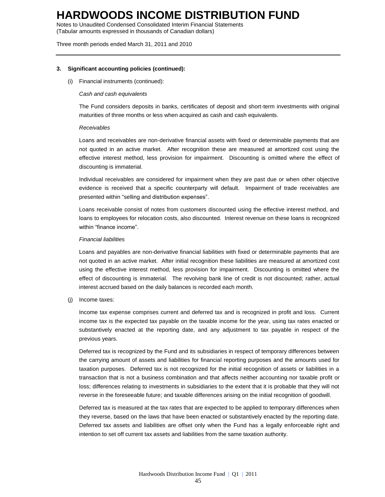Notes to Unaudited Condensed Consolidated Interim Financial Statements (Tabular amounts expressed in thousands of Canadian dollars)

Three month periods ended March 31, 2011 and 2010

### **3. Significant accounting policies (continued):**

(i) Financial instruments (continued):

#### *Cash and cash equivalents*

The Fund considers deposits in banks, certificates of deposit and short-term investments with original maturities of three months or less when acquired as cash and cash equivalents.

#### *Receivables*

Loans and receivables are non-derivative financial assets with fixed or determinable payments that are not quoted in an active market. After recognition these are measured at amortized cost using the effective interest method, less provision for impairment. Discounting is omitted where the effect of discounting is immaterial.

Individual receivables are considered for impairment when they are past due or when other objective evidence is received that a specific counterparty will default. Impairment of trade receivables are presented within "selling and distribution expenses".

Loans receivable consist of notes from customers discounted using the effective interest method, and loans to employees for relocation costs, also discounted. Interest revenue on these loans is recognized within "finance income".

#### *Financial liabilities*

Loans and payables are non-derivative financial liabilities with fixed or determinable payments that are not quoted in an active market. After initial recognition these liabilities are measured at amortized cost using the effective interest method, less provision for impairment. Discounting is omitted where the effect of discounting is immaterial. The revolving bank line of credit is not discounted; rather, actual interest accrued based on the daily balances is recorded each month.

(j) Income taxes:

Income tax expense comprises current and deferred tax and is recognized in profit and loss. Current income tax is the expected tax payable on the taxable income for the year, using tax rates enacted or substantively enacted at the reporting date, and any adjustment to tax payable in respect of the previous years.

Deferred tax is recognized by the Fund and its subsidiaries in respect of temporary differences between the carrying amount of assets and liabilities for financial reporting purposes and the amounts used for taxation purposes. Deferred tax is not recognized for the initial recognition of assets or liabilities in a transaction that is not a business combination and that affects neither accounting nor taxable profit or loss; differences relating to investments in subsidiaries to the extent that it is probable that they will not reverse in the foreseeable future; and taxable differences arising on the initial recognition of goodwill.

Deferred tax is measured at the tax rates that are expected to be applied to temporary differences when they reverse, based on the laws that have been enacted or substantively enacted by the reporting date. Deferred tax assets and liabilities are offset only when the Fund has a legally enforceable right and intention to set off current tax assets and liabilities from the same taxation authority.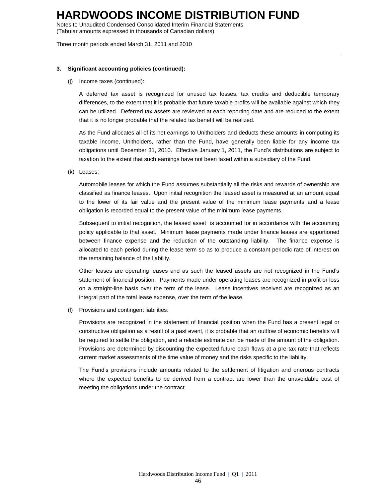Notes to Unaudited Condensed Consolidated Interim Financial Statements (Tabular amounts expressed in thousands of Canadian dollars)

Three month periods ended March 31, 2011 and 2010

#### **3. Significant accounting policies (continued):**

(j) Income taxes (continued):

A deferred tax asset is recognized for unused tax losses, tax credits and deductible temporary differences, to the extent that it is probable that future taxable profits will be available against which they can be utilized. Deferred tax assets are reviewed at each reporting date and are reduced to the extent that it is no longer probable that the related tax benefit will be realized.

As the Fund allocates all of its net earnings to Unitholders and deducts these amounts in computing its taxable income, Unitholders, rather than the Fund, have generally been liable for any income tax obligations until December 31, 2010. Effective January 1, 2011, the Fund's distributions are subject to taxation to the extent that such earnings have not been taxed within a subsidiary of the Fund.

(k) Leases:

Automobile leases for which the Fund assumes substantially all the risks and rewards of ownership are classified as finance leases. Upon initial recognition the leased asset is measured at an amount equal to the lower of its fair value and the present value of the minimum lease payments and a lease obligation is recorded equal to the present value of the minimum lease payments.

Subsequent to initial recognition, the leased asset is accounted for in accordance with the accounting policy applicable to that asset. Minimum lease payments made under finance leases are apportioned between finance expense and the reduction of the outstanding liability. The finance expense is allocated to each period during the lease term so as to produce a constant periodic rate of interest on the remaining balance of the liability.

Other leases are operating leases and as such the leased assets are not recognized in the Fund's statement of financial position. Payments made under operating leases are recognized in profit or loss on a straight-line basis over the term of the lease. Lease incentives received are recognized as an integral part of the total lease expense, over the term of the lease.

(l) Provisions and contingent liabilities:

Provisions are recognized in the statement of financial position when the Fund has a present legal or constructive obligation as a result of a past event, it is probable that an outflow of economic benefits will be required to settle the obligation, and a reliable estimate can be made of the amount of the obligation. Provisions are determined by discounting the expected future cash flows at a pre-tax rate that reflects current market assessments of the time value of money and the risks specific to the liability.

The Fund's provisions include amounts related to the settlement of litigation and onerous contracts where the expected benefits to be derived from a contract are lower than the unavoidable cost of meeting the obligations under the contract.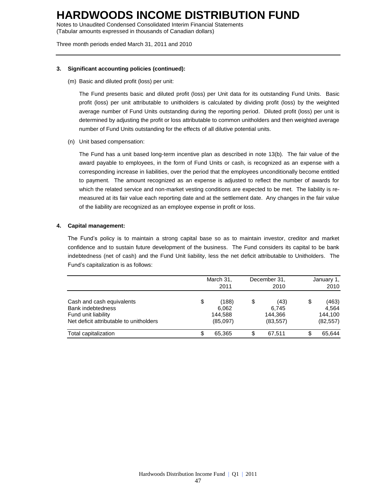Notes to Unaudited Condensed Consolidated Interim Financial Statements (Tabular amounts expressed in thousands of Canadian dollars)

Three month periods ended March 31, 2011 and 2010

### **3. Significant accounting policies (continued):**

(m) Basic and diluted profit (loss) per unit:

The Fund presents basic and diluted profit (loss) per Unit data for its outstanding Fund Units. Basic profit (loss) per unit attributable to unitholders is calculated by dividing profit (loss) by the weighted average number of Fund Units outstanding during the reporting period. Diluted profit (loss) per unit is determined by adjusting the profit or loss attributable to common unitholders and then weighted average number of Fund Units outstanding for the effects of all dilutive potential units.

(n) Unit based compensation:

The Fund has a unit based long-term incentive plan as described in note 13(b). The fair value of the award payable to employees, in the form of Fund Units or cash, is recognized as an expense with a corresponding increase in liabilities, over the period that the employees unconditionally become entitled to payment. The amount recognized as an expense is adjusted to reflect the number of awards for which the related service and non-market vesting conditions are expected to be met. The liability is remeasured at its fair value each reporting date and at the settlement date. Any changes in the fair value of the liability are recognized as an employee expense in profit or loss.

## **4. Capital management:**

The Fund's policy is to maintain a strong capital base so as to maintain investor, creditor and market confidence and to sustain future development of the business. The Fund considers its capital to be bank indebtedness (net of cash) and the Fund Unit liability, less the net deficit attributable to Unitholders. The Fund's capitalization is as follows:

|                                                                                                                  | March 31,<br>2011                           | December 31,<br>2010                        | January 1,<br>2010                           |
|------------------------------------------------------------------------------------------------------------------|---------------------------------------------|---------------------------------------------|----------------------------------------------|
| Cash and cash equivalents<br>Bank indebtedness<br>Fund unit liability<br>Net deficit attributable to unitholders | \$<br>(188)<br>6,062<br>144,588<br>(85,097) | \$<br>(43)<br>6.745<br>144.366<br>(83, 557) | \$<br>(463)<br>4.564<br>144,100<br>(82, 557) |
| Total capitalization                                                                                             | 65.365                                      | 67.511                                      | \$<br>65.644                                 |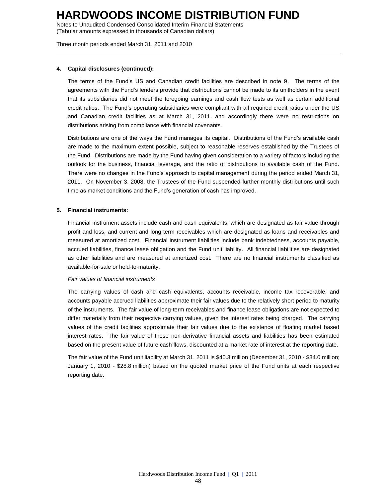Notes to Unaudited Condensed Consolidated Interim Financial Statements (Tabular amounts expressed in thousands of Canadian dollars)

Three month periods ended March 31, 2011 and 2010

### **4. Capital disclosures (continued):**

The terms of the Fund's US and Canadian credit facilities are described in note 9. The terms of the agreements with the Fund's lenders provide that distributions cannot be made to its unitholders in the event that its subsidiaries did not meet the foregoing earnings and cash flow tests as well as certain additional credit ratios. The Fund's operating subsidiaries were compliant with all required credit ratios under the US and Canadian credit facilities as at March 31, 2011, and accordingly there were no restrictions on distributions arising from compliance with financial covenants.

Distributions are one of the ways the Fund manages its capital. Distributions of the Fund's available cash are made to the maximum extent possible, subject to reasonable reserves established by the Trustees of the Fund. Distributions are made by the Fund having given consideration to a variety of factors including the outlook for the business, financial leverage, and the ratio of distributions to available cash of the Fund. There were no changes in the Fund's approach to capital management during the period ended March 31, 2011. On November 3, 2008, the Trustees of the Fund suspended further monthly distributions until such time as market conditions and the Fund's generation of cash has improved.

## **5. Financial instruments:**

Financial instrument assets include cash and cash equivalents, which are designated as fair value through profit and loss, and current and long-term receivables which are designated as loans and receivables and measured at amortized cost. Financial instrument liabilities include bank indebtedness, accounts payable, accrued liabilities, finance lease obligation and the Fund unit liability. All financial liabilities are designated as other liabilities and are measured at amortized cost. There are no financial instruments classified as available-for-sale or held-to-maturity.

### *Fair values of financial instruments*

The carrying values of cash and cash equivalents, accounts receivable, income tax recoverable, and accounts payable accrued liabilities approximate their fair values due to the relatively short period to maturity of the instruments. The fair value of long-term receivables and finance lease obligations are not expected to differ materially from their respective carrying values, given the interest rates being charged. The carrying values of the credit facilities approximate their fair values due to the existence of floating market based interest rates. The fair value of these non-derivative financial assets and liabilities has been estimated based on the present value of future cash flows, discounted at a market rate of interest at the reporting date.

The fair value of the Fund unit liability at March 31, 2011 is \$40.3 million (December 31, 2010 - \$34.0 million; January 1, 2010 - \$28.8 million) based on the quoted market price of the Fund units at each respective reporting date.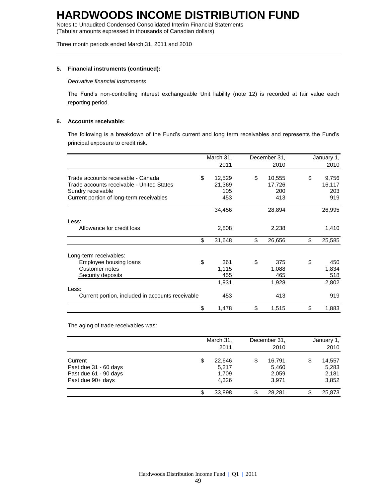Notes to Unaudited Condensed Consolidated Interim Financial Statements (Tabular amounts expressed in thousands of Canadian dollars)

Three month periods ended March 31, 2011 and 2010

## **5. Financial instruments (continued):**

#### *Derivative financial instruments*

The Fund's non-controlling interest exchangeable Unit liability (note 12) is recorded at fair value each reporting period.

### **6. Accounts receivable:**

The following is a breakdown of the Fund's current and long term receivables and represents the Fund's principal exposure to credit risk.

|                                                  | March 31,    | December 31, | January 1,   |
|--------------------------------------------------|--------------|--------------|--------------|
|                                                  | 2011         | 2010         | 2010         |
| Trade accounts receivable - Canada               | \$<br>12,529 | \$<br>10,555 | \$<br>9,756  |
| Trade accounts receivable - United States        | 21,369       | 17,726       | 16,117       |
| Sundry receivable                                | 105          | 200          | 203          |
| Current portion of long-term receivables         | 453          | 413          | 919          |
|                                                  | 34,456       | 28,894       | 26,995       |
| Less:                                            |              |              |              |
| Allowance for credit loss                        | 2,808        | 2,238        | 1,410        |
|                                                  | \$<br>31,648 | \$<br>26,656 | \$<br>25,585 |
| Long-term receivables:                           |              |              |              |
| Employee housing loans                           | \$<br>361    | \$<br>375    | \$<br>450    |
| <b>Customer notes</b>                            | 1,115        | 1,088        | 1,834        |
| Security deposits                                | 455          | 465          | 518          |
|                                                  | 1,931        | 1,928        | 2,802        |
| Less:                                            |              |              |              |
| Current portion, included in accounts receivable | 453          | 413          | 919          |
|                                                  | \$<br>1,478  | \$<br>1,515  | \$<br>1,883  |

The aging of trade receivables was:

|                                                                                | March 31,<br>2011                       | December 31,<br>2010                    | January 1,<br>2010                      |
|--------------------------------------------------------------------------------|-----------------------------------------|-----------------------------------------|-----------------------------------------|
| Current<br>Past due 31 - 60 days<br>Past due 61 - 90 days<br>Past due 90+ days | \$<br>22,646<br>5,217<br>1,709<br>4.326 | \$<br>16,791<br>5,460<br>2,059<br>3.971 | \$<br>14,557<br>5,283<br>2,181<br>3,852 |
|                                                                                | \$<br>33,898                            | \$<br>28.281                            | \$<br>25,873                            |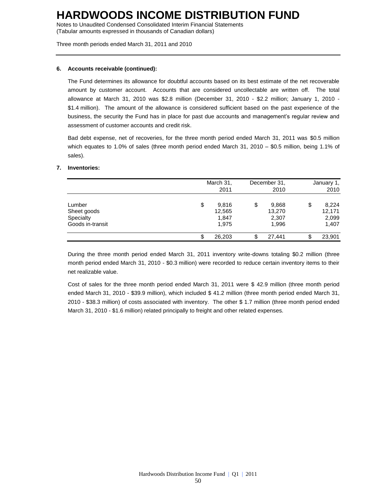Notes to Unaudited Condensed Consolidated Interim Financial Statements (Tabular amounts expressed in thousands of Canadian dollars)

Three month periods ended March 31, 2011 and 2010

### **6. Accounts receivable (continued):**

The Fund determines its allowance for doubtful accounts based on its best estimate of the net recoverable amount by customer account. Accounts that are considered uncollectable are written off. The total allowance at March 31, 2010 was \$2.8 million (December 31, 2010 - \$2.2 million; January 1, 2010 - \$1.4 million). The amount of the allowance is considered sufficient based on the past experience of the business, the security the Fund has in place for past due accounts and management's regular review and assessment of customer accounts and credit risk.

Bad debt expense, net of recoveries, for the three month period ended March 31, 2011 was \$0.5 million which equates to 1.0% of sales (three month period ended March 31, 2010 – \$0.5 million, being 1.1% of sales).

#### **7. Inventories:**

|                                                        |    | March 31,<br>2011                 | December 31,<br>2010                    | January 1,<br>2010                      |
|--------------------------------------------------------|----|-----------------------------------|-----------------------------------------|-----------------------------------------|
| Lumber<br>Sheet goods<br>Specialty<br>Goods in-transit | \$ | 9,816<br>12,565<br>1,847<br>1,975 | \$<br>9,868<br>13,270<br>2,307<br>1,996 | \$<br>8,224<br>12,171<br>2,099<br>1,407 |
|                                                        | æ  | 26.203                            | 27.441                                  | \$<br>23,901                            |

During the three month period ended March 31, 2011 inventory write-downs totaling \$0.2 million (three month period ended March 31, 2010 - \$0.3 million) were recorded to reduce certain inventory items to their net realizable value.

Cost of sales for the three month period ended March 31, 2011 were \$ 42.9 million (three month period ended March 31, 2010 - \$39.9 million), which included \$ 41.2 million (three month period ended March 31, 2010 - \$38.3 million) of costs associated with inventory. The other \$ 1.7 million (three month period ended March 31, 2010 - \$1.6 million) related principally to freight and other related expenses.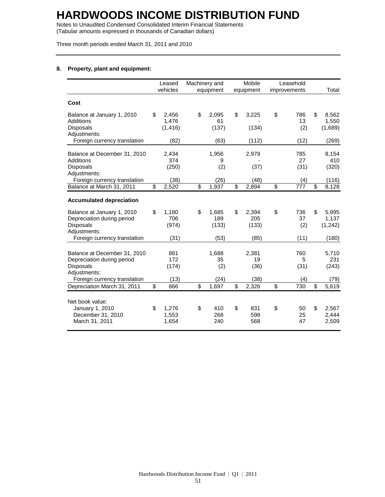Notes to Unaudited Condensed Consolidated Interim Financial Statements (Tabular amounts expressed in thousands of Canadian dollars)

Three month periods ended March 31, 2011 and 2010

## **8. Property, plant and equipment:**

|                                                                                              | Leased<br>vehicles               | Machinery and | equipment             | Mobile<br>equipment         |                         | Leasehold<br>improvements |                          | Total                      |
|----------------------------------------------------------------------------------------------|----------------------------------|---------------|-----------------------|-----------------------------|-------------------------|---------------------------|--------------------------|----------------------------|
| Cost                                                                                         |                                  |               |                       |                             |                         |                           |                          |                            |
| Balance at January 1, 2010<br><b>Additions</b><br><b>Disposals</b><br>Adjustments:           | \$<br>2,456<br>1,476<br>(1, 416) | \$            | 2,095<br>61<br>(137)  | \$<br>3,225<br>(134)        | \$                      | 786<br>13<br>(2)          | \$                       | 8,562<br>1,550<br>(1,689)  |
| Foreign currency translation                                                                 | (82)                             |               | (63)                  | (112)                       |                         | (12)                      |                          | (269)                      |
| Balance at December 31, 2010<br>Additions<br><b>Disposals</b>                                | 2,434<br>374<br>(250)            |               | 1,956<br>9<br>(2)     | 2,979<br>(37)               |                         | 785<br>27<br>(31)         |                          | 8,154<br>410<br>(320)      |
| Adjustments:<br>Foreign currency translation                                                 | (38)                             |               | (26)                  | (48)                        |                         | (4)                       |                          | (116)                      |
| Balance at March 31, 2011                                                                    | \$<br>$\overline{2,520}$         | \$            | 1,937                 | \$<br>$\overline{2,894}$    | $\overline{\mathbf{s}}$ | 777                       | $\overline{\mathcal{S}}$ | 8,128                      |
| <b>Accumulated depreciation</b>                                                              |                                  |               |                       |                             |                         |                           |                          |                            |
| Balance at January 1, 2010<br>Depreciation during period<br><b>Disposals</b><br>Adjustments: | \$<br>1,180<br>706<br>(974)      | \$            | 1,685<br>189<br>(133) | \$<br>2,394<br>205<br>(133) | \$                      | 736<br>37<br>(2)          | \$                       | 5,995<br>1,137<br>(1, 242) |
| Foreign currency translation                                                                 | (31)                             |               | (53)                  | (85)                        |                         | (11)                      |                          | (180)                      |
| Balance at December 31, 2010<br>Depreciation during period<br><b>Disposals</b>               | 881<br>172<br>(174)              |               | 1,688<br>35<br>(2)    | 2,381<br>19<br>(36)         |                         | 760<br>5<br>(31)          |                          | 5,710<br>231<br>(243)      |
| Adjustments:<br>Foreign currency translation                                                 | (13)                             |               | (24)                  | (38)                        |                         | (4)                       |                          | (79)                       |
| Depreciation March 31, 2011                                                                  | \$<br>866                        | \$            | 1,697                 | \$<br>2,326                 | \$                      | 730                       | \$                       | 5,619                      |
| Net book value:<br>January 1, 2010<br>December 31, 2010<br>March 31, 2011                    | \$<br>1,276<br>1,553<br>1,654    | \$            | 410<br>268<br>240     | \$<br>831<br>598<br>568     | \$                      | 50<br>25<br>47            | \$                       | 2,567<br>2,444<br>2,509    |
|                                                                                              |                                  |               |                       |                             |                         |                           |                          |                            |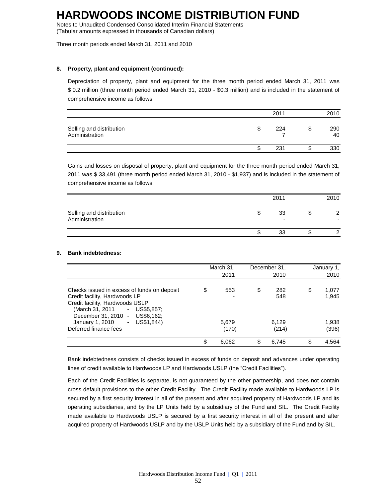Notes to Unaudited Condensed Consolidated Interim Financial Statements (Tabular amounts expressed in thousands of Canadian dollars)

Three month periods ended March 31, 2011 and 2010

### **8. Property, plant and equipment (continued):**

Depreciation of property, plant and equipment for the three month period ended March 31, 2011 was \$ 0.2 million (three month period ended March 31, 2010 - \$0.3 million) and is included in the statement of comprehensive income as follows:

|                                            |   | 2011 |   | 2010      |
|--------------------------------------------|---|------|---|-----------|
| Selling and distribution<br>Administration | S | 224  | J | 290<br>40 |
|                                            | S | 231  | ъ | 330       |

Gains and losses on disposal of property, plant and equipment for the three month period ended March 31, 2011 was \$ 33,491 (three month period ended March 31, 2010 - \$1,937) and is included in the statement of comprehensive income as follows:

|                                            | 2011                           | 2010 |
|--------------------------------------------|--------------------------------|------|
| Selling and distribution<br>Administration | 33<br>$\overline{\phantom{0}}$ |      |
|                                            | 33                             |      |

### **9. Bank indebtedness:**

|                                                                                                                                                                                                                                              | March 31,<br>2011  | December 31,<br>2010      |    | January 1,<br>2010      |
|----------------------------------------------------------------------------------------------------------------------------------------------------------------------------------------------------------------------------------------------|--------------------|---------------------------|----|-------------------------|
| Checks issued in excess of funds on deposit<br>Credit facility, Hardwoods LP<br>Credit facility, Hardwoods USLP<br>$-$ US\$5,857;<br>(March 31, 2011<br>US\$6,162;<br>December 31, 2010 -<br>US\$1,844)<br>January 1, 2010<br>$\blacksquare$ | \$<br>553<br>5,679 | \$<br>282<br>548<br>6,129 | \$ | 1.077<br>1.945<br>1,938 |
| Deferred finance fees                                                                                                                                                                                                                        | (170)              | (214)                     |    | (396)                   |
|                                                                                                                                                                                                                                              | \$<br>6,062        | \$<br>6,745               | ß. | 4,564                   |

Bank indebtedness consists of checks issued in excess of funds on deposit and advances under operating lines of credit available to Hardwoods LP and Hardwoods USLP (the "Credit Facilities").

Each of the Credit Facilities is separate, is not guaranteed by the other partnership, and does not contain cross default provisions to the other Credit Facility. The Credit Facility made available to Hardwoods LP is secured by a first security interest in all of the present and after acquired property of Hardwoods LP and its operating subsidiaries, and by the LP Units held by a subsidiary of the Fund and SIL. The Credit Facility made available to Hardwoods USLP is secured by a first security interest in all of the present and after acquired property of Hardwoods USLP and by the USLP Units held by a subsidiary of the Fund and by SIL.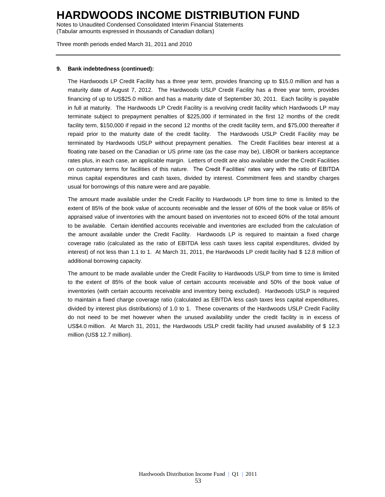Notes to Unaudited Condensed Consolidated Interim Financial Statements (Tabular amounts expressed in thousands of Canadian dollars)

Three month periods ended March 31, 2011 and 2010

### **9. Bank indebtedness (continued):**

The Hardwoods LP Credit Facility has a three year term, provides financing up to \$15.0 million and has a maturity date of August 7, 2012. The Hardwoods USLP Credit Facility has a three year term, provides financing of up to US\$25.0 million and has a maturity date of September 30, 2011. Each facility is payable in full at maturity. The Hardwoods LP Credit Facility is a revolving credit facility which Hardwoods LP may terminate subject to prepayment penalties of \$225,000 if terminated in the first 12 months of the credit facility term, \$150,000 if repaid in the second 12 months of the credit facility term, and \$75,000 thereafter if repaid prior to the maturity date of the credit facility. The Hardwoods USLP Credit Facility may be terminated by Hardwoods USLP without prepayment penalties. The Credit Facilities bear interest at a floating rate based on the Canadian or US prime rate (as the case may be), LIBOR or bankers acceptance rates plus, in each case, an applicable margin. Letters of credit are also available under the Credit Facilities on customary terms for facilities of this nature. The Credit Facilities' rates vary with the ratio of EBITDA minus capital expenditures and cash taxes, divided by interest. Commitment fees and standby charges usual for borrowings of this nature were and are payable.

The amount made available under the Credit Facility to Hardwoods LP from time to time is limited to the extent of 85% of the book value of accounts receivable and the lesser of 60% of the book value or 85% of appraised value of inventories with the amount based on inventories not to exceed 60% of the total amount to be available. Certain identified accounts receivable and inventories are excluded from the calculation of the amount available under the Credit Facility. Hardwoods LP is required to maintain a fixed charge coverage ratio (calculated as the ratio of EBITDA less cash taxes less capital expenditures, divided by interest) of not less than 1.1 to 1. At March 31, 2011, the Hardwoods LP credit facility had \$ 12.8 million of additional borrowing capacity.

The amount to be made available under the Credit Facility to Hardwoods USLP from time to time is limited to the extent of 85% of the book value of certain accounts receivable and 50% of the book value of inventories (with certain accounts receivable and inventory being excluded). Hardwoods USLP is required to maintain a fixed charge coverage ratio (calculated as EBITDA less cash taxes less capital expenditures, divided by interest plus distributions) of 1.0 to 1. These covenants of the Hardwoods USLP Credit Facility do not need to be met however when the unused availability under the credit facility is in excess of US\$4.0 million. At March 31, 2011, the Hardwoods USLP credit facility had unused availability of \$ 12.3 million (US\$ 12.7 million).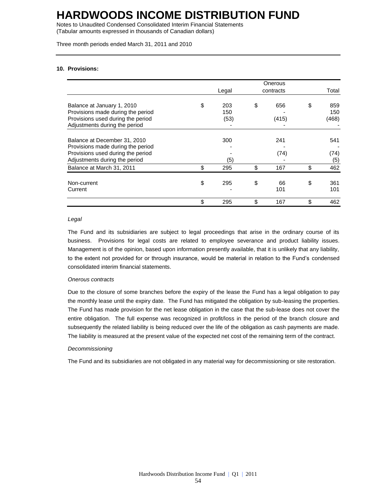Notes to Unaudited Condensed Consolidated Interim Financial Statements (Tabular amounts expressed in thousands of Canadian dollars)

Three month periods ended March 31, 2011 and 2010

### **10. Provisions:**

|                                   |           | Onerous   |           |
|-----------------------------------|-----------|-----------|-----------|
|                                   | Legal     | contracts | Total     |
| Balance at January 1, 2010        | \$<br>203 | \$<br>656 | \$<br>859 |
| Provisions made during the period | 150       |           | 150       |
| Provisions used during the period | (53)      | (415)     | (468)     |
| Adjustments during the period     |           |           |           |
|                                   |           |           |           |
| Balance at December 31, 2010      | 300       | 241       | 541       |
| Provisions made during the period |           |           |           |
| Provisions used during the period |           | (74)      | (74)      |
| Adjustments during the period     | (5)       |           | (5)       |
| Balance at March 31, 2011         | \$<br>295 | \$<br>167 | \$<br>462 |
| Non-current                       | \$<br>295 | \$<br>66  | \$<br>361 |
| Current                           |           | 101       | 101       |
|                                   | \$<br>295 | \$<br>167 | \$<br>462 |

#### *Legal*

The Fund and its subsidiaries are subject to legal proceedings that arise in the ordinary course of its business. Provisions for legal costs are related to employee severance and product liability issues. Management is of the opinion, based upon information presently available, that it is unlikely that any liability, to the extent not provided for or through insurance, would be material in relation to the Fund's condensed consolidated interim financial statements.

### *Onerous contracts*

Due to the closure of some branches before the expiry of the lease the Fund has a legal obligation to pay the monthly lease until the expiry date. The Fund has mitigated the obligation by sub-leasing the properties. The Fund has made provision for the net lease obligation in the case that the sub-lease does not cover the entire obligation. The full expense was recognized in profit/loss in the period of the branch closure and subsequently the related liability is being reduced over the life of the obligation as cash payments are made. The liability is measured at the present value of the expected net cost of the remaining term of the contract.

#### *Decommissioning*

The Fund and its subsidiaries are not obligated in any material way for decommissioning or site restoration.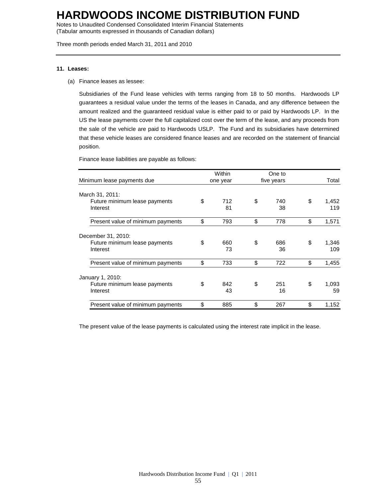Notes to Unaudited Condensed Consolidated Interim Financial Statements (Tabular amounts expressed in thousands of Canadian dollars)

Three month periods ended March 31, 2011 and 2010

#### **11. Leases:**

(a) Finance leases as lessee:

Subsidiaries of the Fund lease vehicles with terms ranging from 18 to 50 months. Hardwoods LP guarantees a residual value under the terms of the leases in Canada, and any difference between the amount realized and the guaranteed residual value is either paid to or paid by Hardwoods LP. In the US the lease payments cover the full capitalized cost over the term of the lease, and any proceeds from the sale of the vehicle are paid to Hardwoods USLP. The Fund and its subsidiaries have determined that these vehicle leases are considered finance leases and are recorded on the statement of financial position.

Finance lease liabilities are payable as follows:

| Minimum lease payments due                |    | Within<br>one year | One to<br>five years | Total              |
|-------------------------------------------|----|--------------------|----------------------|--------------------|
|                                           |    |                    |                      |                    |
| March 31, 2011:                           |    |                    |                      |                    |
| Future minimum lease payments<br>Interest | \$ | 712<br>81          | \$<br>740<br>38      | \$<br>1,452<br>119 |
| Present value of minimum payments         | \$ | 793                | \$<br>778            | \$<br>1,571        |
| December 31, 2010:                        |    |                    |                      |                    |
| Future minimum lease payments<br>Interest | \$ | 660<br>73          | \$<br>686<br>36      | \$<br>1,346<br>109 |
| Present value of minimum payments         | \$ | 733                | \$<br>722            | \$<br>1,455        |
| January 1, 2010:                          |    |                    |                      |                    |
| Future minimum lease payments<br>Interest | \$ | 842<br>43          | \$<br>251<br>16      | \$<br>1,093<br>59  |
| Present value of minimum payments         | \$ | 885                | \$<br>267            | \$<br>1,152        |

The present value of the lease payments is calculated using the interest rate implicit in the lease.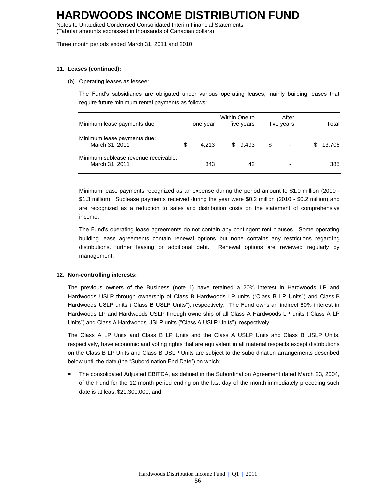Notes to Unaudited Condensed Consolidated Interim Financial Statements (Tabular amounts expressed in thousands of Canadian dollars)

Three month periods ended March 31, 2011 and 2010

### **11. Leases (continued):**

### (b) Operating leases as lessee:

The Fund's subsidiaries are obligated under various operating leases, mainly building leases that require future minimum rental payments as follows:

| Minimum lease payments due                             | one year    | Within One to | five years |     | After<br>five years      |   | Total  |
|--------------------------------------------------------|-------------|---------------|------------|-----|--------------------------|---|--------|
| Minimum lease payments due:<br>March 31, 2011          | \$<br>4.213 |               | \$9.493    | \$. | $\overline{\phantom{0}}$ | S | 13.706 |
| Minimum sublease revenue receivable:<br>March 31, 2011 | 343         |               | 42         |     | $\overline{\phantom{0}}$ |   | 385    |

Minimum lease payments recognized as an expense during the period amount to \$1.0 million (2010 - \$1.3 million). Sublease payments received during the year were \$0.2 million (2010 - \$0.2 million) and are recognized as a reduction to sales and distribution costs on the statement of comprehensive income.

The Fund's operating lease agreements do not contain any contingent rent clauses. Some operating building lease agreements contain renewal options but none contains any restrictions regarding distributions, further leasing or additional debt. Renewal options are reviewed regularly by management.

### **12. Non-controlling interests:**

The previous owners of the Business (note 1) have retained a 20% interest in Hardwoods LP and Hardwoods USLP through ownership of Class B Hardwoods LP units ("Class B LP Units") and Class B Hardwoods USLP units ("Class B USLP Units"), respectively. The Fund owns an indirect 80% interest in Hardwoods LP and Hardwoods USLP through ownership of all Class A Hardwoods LP units ("Class A LP Units") and Class A Hardwoods USLP units ("Class A USLP Units"), respectively.

The Class A LP Units and Class B LP Units and the Class A USLP Units and Class B USLP Units, respectively, have economic and voting rights that are equivalent in all material respects except distributions on the Class B LP Units and Class B USLP Units are subject to the subordination arrangements described below until the date (the "Subordination End Date") on which:

 The consolidated Adjusted EBITDA, as defined in the Subordination Agreement dated March 23, 2004, of the Fund for the 12 month period ending on the last day of the month immediately preceding such date is at least \$21,300,000; and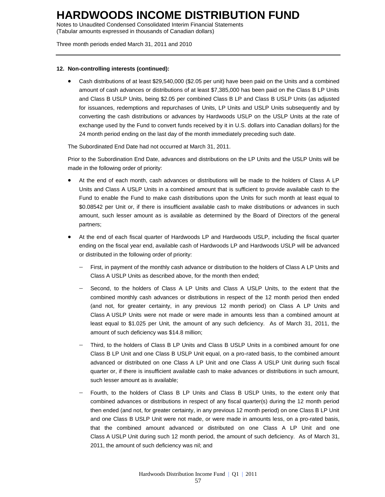Notes to Unaudited Condensed Consolidated Interim Financial Statements (Tabular amounts expressed in thousands of Canadian dollars)

Three month periods ended March 31, 2011 and 2010

### **12. Non-controlling interests (continued):**

 Cash distributions of at least \$29,540,000 (\$2.05 per unit) have been paid on the Units and a combined amount of cash advances or distributions of at least \$7,385,000 has been paid on the Class B LP Units and Class B USLP Units, being \$2.05 per combined Class B LP and Class B USLP Units (as adjusted for issuances, redemptions and repurchases of Units, LP Units and USLP Units subsequently and by converting the cash distributions or advances by Hardwoods USLP on the USLP Units at the rate of exchange used by the Fund to convert funds received by it in U.S. dollars into Canadian dollars) for the 24 month period ending on the last day of the month immediately preceding such date.

The Subordinated End Date had not occurred at March 31, 2011.

Prior to the Subordination End Date, advances and distributions on the LP Units and the USLP Units will be made in the following order of priority:

- At the end of each month, cash advances or distributions will be made to the holders of Class A LP Units and Class A USLP Units in a combined amount that is sufficient to provide available cash to the Fund to enable the Fund to make cash distributions upon the Units for such month at least equal to \$0.08542 per Unit or, if there is insufficient available cash to make distributions or advances in such amount, such lesser amount as is available as determined by the Board of Directors of the general partners;
- At the end of each fiscal quarter of Hardwoods LP and Hardwoods USLP, including the fiscal quarter ending on the fiscal year end, available cash of Hardwoods LP and Hardwoods USLP will be advanced or distributed in the following order of priority:
	- First, in payment of the monthly cash advance or distribution to the holders of Class A LP Units and Class A USLP Units as described above, for the month then ended;
	- Second, to the holders of Class A LP Units and Class A USLP Units, to the extent that the combined monthly cash advances or distributions in respect of the 12 month period then ended (and not, for greater certainty, in any previous 12 month period) on Class A LP Units and Class A USLP Units were not made or were made in amounts less than a combined amount at least equal to \$1.025 per Unit, the amount of any such deficiency. As of March 31, 2011, the amount of such deficiency was \$14.8 million;
	- Third, to the holders of Class B LP Units and Class B USLP Units in a combined amount for one Class B LP Unit and one Class B USLP Unit equal, on a pro-rated basis, to the combined amount advanced or distributed on one Class A LP Unit and one Class A USLP Unit during such fiscal quarter or, if there is insufficient available cash to make advances or distributions in such amount, such lesser amount as is available;
	- Fourth, to the holders of Class B LP Units and Class B USLP Units, to the extent only that combined advances or distributions in respect of any fiscal quarter(s) during the 12 month period then ended (and not, for greater certainty, in any previous 12 month period) on one Class B LP Unit and one Class B USLP Unit were not made, or were made in amounts less, on a pro-rated basis, that the combined amount advanced or distributed on one Class A LP Unit and one Class A USLP Unit during such 12 month period, the amount of such deficiency. As of March 31, 2011, the amount of such deficiency was nil; and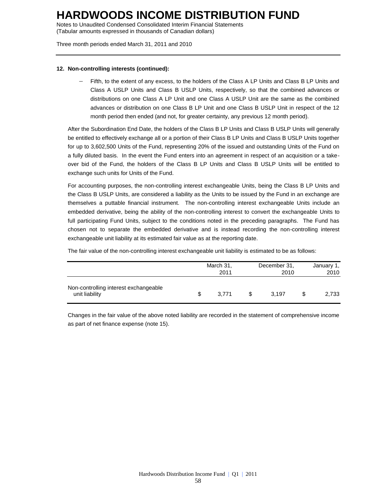Notes to Unaudited Condensed Consolidated Interim Financial Statements (Tabular amounts expressed in thousands of Canadian dollars)

Three month periods ended March 31, 2011 and 2010

### **12. Non-controlling interests (continued):**

 Fifth, to the extent of any excess, to the holders of the Class A LP Units and Class B LP Units and Class A USLP Units and Class B USLP Units, respectively, so that the combined advances or distributions on one Class A LP Unit and one Class A USLP Unit are the same as the combined advances or distribution on one Class B LP Unit and one Class B USLP Unit in respect of the 12 month period then ended (and not, for greater certainty, any previous 12 month period).

After the Subordination End Date, the holders of the Class B LP Units and Class B USLP Units will generally be entitled to effectively exchange all or a portion of their Class B LP Units and Class B USLP Units together for up to 3,602,500 Units of the Fund, representing 20% of the issued and outstanding Units of the Fund on a fully diluted basis. In the event the Fund enters into an agreement in respect of an acquisition or a takeover bid of the Fund, the holders of the Class B LP Units and Class B USLP Units will be entitled to exchange such units for Units of the Fund.

For accounting purposes, the non-controlling interest exchangeable Units, being the Class B LP Units and the Class B USLP Units, are considered a liability as the Units to be issued by the Fund in an exchange are themselves a puttable financial instrument. The non-controlling interest exchangeable Units include an embedded derivative, being the ability of the non-controlling interest to convert the exchangeable Units to full participating Fund Units, subject to the conditions noted in the preceding paragraphs. The Fund has chosen not to separate the embedded derivative and is instead recording the non-controlling interest exchangeable unit liability at its estimated fair value as at the reporting date.

The fair value of the non-controlling interest exchangeable unit liability is estimated to be as follows:

|                                                         | March 31,<br>2011 | December 31,<br>2010 | January 1,<br>2010 |
|---------------------------------------------------------|-------------------|----------------------|--------------------|
| Non-controlling interest exchangeable<br>unit liability | \$<br>3.771       | 3.197                | 2.733              |

Changes in the fair value of the above noted liability are recorded in the statement of comprehensive income as part of net finance expense (note 15).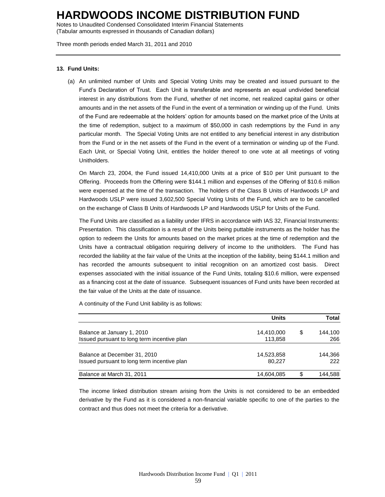Notes to Unaudited Condensed Consolidated Interim Financial Statements (Tabular amounts expressed in thousands of Canadian dollars)

Three month periods ended March 31, 2011 and 2010

### **13. Fund Units:**

(a) An unlimited number of Units and Special Voting Units may be created and issued pursuant to the Fund's Declaration of Trust. Each Unit is transferable and represents an equal undivided beneficial interest in any distributions from the Fund, whether of net income, net realized capital gains or other amounts and in the net assets of the Fund in the event of a termination or winding up of the Fund. Units of the Fund are redeemable at the holders' option for amounts based on the market price of the Units at the time of redemption, subject to a maximum of \$50,000 in cash redemptions by the Fund in any particular month. The Special Voting Units are not entitled to any beneficial interest in any distribution from the Fund or in the net assets of the Fund in the event of a termination or winding up of the Fund. Each Unit, or Special Voting Unit, entitles the holder thereof to one vote at all meetings of voting Unitholders.

On March 23, 2004, the Fund issued 14,410,000 Units at a price of \$10 per Unit pursuant to the Offering. Proceeds from the Offering were \$144.1 million and expenses of the Offering of \$10.6 million were expensed at the time of the transaction. The holders of the Class B Units of Hardwoods LP and Hardwoods USLP were issued 3,602,500 Special Voting Units of the Fund, which are to be cancelled on the exchange of Class B Units of Hardwoods LP and Hardwoods USLP for Units of the Fund.

The Fund Units are classified as a liability under IFRS in accordance with IAS 32, Financial Instruments: Presentation. This classification is a result of the Units being puttable instruments as the holder has the option to redeem the Units for amounts based on the market prices at the time of redemption and the Units have a contractual obligation requiring delivery of income to the unitholders. The Fund has recorded the liability at the fair value of the Units at the inception of the liability, being \$144.1 million and has recorded the amounts subsequent to initial recognition on an amortized cost basis. Direct expenses associated with the initial issuance of the Fund Units, totaling \$10.6 million, were expensed as a financing cost at the date of issuance. Subsequent issuances of Fund units have been recorded at the fair value of the Units at the date of issuance.

A continuity of the Fund Unit liability is as follows:

|                                             | <b>Units</b> | Total         |
|---------------------------------------------|--------------|---------------|
| Balance at January 1, 2010                  | 14,410,000   | \$<br>144.100 |
| Issued pursuant to long term incentive plan | 113.858      | 266           |
| Balance at December 31, 2010                | 14,523,858   | 144.366       |
| Issued pursuant to long term incentive plan | 80.227       | 222           |
| Balance at March 31, 2011                   | 14,604,085   | \$<br>144.588 |

The income linked distribution stream arising from the Units is not considered to be an embedded derivative by the Fund as it is considered a non-financial variable specific to one of the parties to the contract and thus does not meet the criteria for a derivative.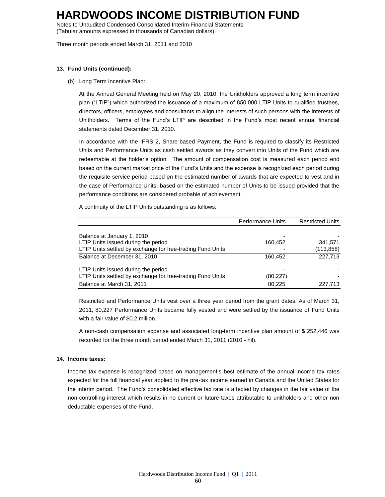Notes to Unaudited Condensed Consolidated Interim Financial Statements (Tabular amounts expressed in thousands of Canadian dollars)

Three month periods ended March 31, 2011 and 2010

### **13. Fund Units (continued):**

(b) Long Term Incentive Plan:

At the Annual General Meeting held on May 20, 2010, the Unitholders approved a long term incentive plan ("LTIP") which authorized the issuance of a maximum of 850,000 LTIP Units to qualified trustees, directors, officers, employees and consultants to align the interests of such persons with the interests of Unitholders. Terms of the Fund's LTIP are described in the Fund's most recent annual financial statements dated December 31, 2010.

In accordance with the IFRS 2, Share-based Payment, the Fund is required to classify its Restricted Units and Performance Units as cash settled awards as they convert into Units of the Fund which are redeemable at the holder's option. The amount of compensation cost is measured each period end based on the current market price of the Fund's Units and the expense is recognized each period during the requisite service period based on the estimated number of awards that are expected to vest and in the case of Performance Units, based on the estimated number of Units to be issued provided that the performance conditions are considered probable of achievement.

A continuity of the LTIP Units outstanding is as follows:

|                                                            | <b>Performance Units</b> | <b>Restricted Units</b> |
|------------------------------------------------------------|--------------------------|-------------------------|
|                                                            |                          |                         |
| Balance at January 1, 2010                                 |                          |                         |
| LTIP Units issued during the period                        | 160,452                  | 341,571                 |
| LTIP Units settled by exchange for free-trading Fund Units |                          | (113, 858)              |
| Balance at December 31, 2010                               | 160.452                  | 227.713                 |
| LTIP Units issued during the period                        |                          |                         |
| LTIP Units settled by exchange for free-trading Fund Units | (80, 227)                |                         |
| Balance at March 31, 2011                                  | 80.225                   | 227.713                 |

Restricted and Performance Units vest over a three year period from the grant dates. As of March 31, 2011, 80,227 Performance Units became fully vested and were settled by the issuance of Fund Units with a fair value of \$0.2 million.

A non-cash compensation expense and associated long-term incentive plan amount of \$ 252,446 was recorded for the three month period ended March 31, 2011 (2010 - nil).

## **14. Income taxes:**

Income tax expense is recognized based on management's best estimate of the annual income tax rates expected for the full financial year applied to the pre-tax income earned in Canada and the United States for the interim period. The Fund's consolidated effective tax rate is affected by changes in the fair value of the non-controlling interest which results in no current or future taxes attributable to unitholders and other non deductable expenses of the Fund.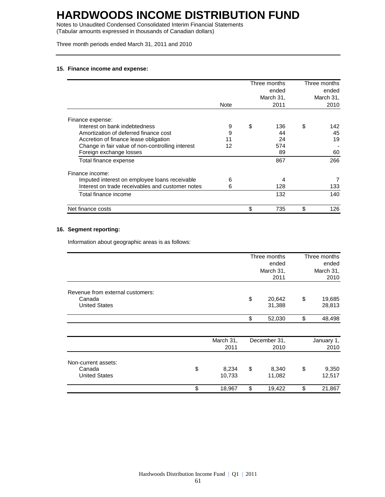Notes to Unaudited Condensed Consolidated Interim Financial Statements (Tabular amounts expressed in thousands of Canadian dollars)

Three month periods ended March 31, 2011 and 2010

## **15. Finance income and expense:**

|                                                  |      | Three months<br>ended | Three months<br>ended |
|--------------------------------------------------|------|-----------------------|-----------------------|
|                                                  | Note | March 31,<br>2011     | March 31,<br>2010     |
|                                                  |      |                       |                       |
| Finance expense:                                 |      |                       |                       |
| Interest on bank indebtedness                    | 9    | \$<br>136             | \$<br>142             |
| Amortization of deferred finance cost            | 9    | 44                    | 45                    |
| Accretion of finance lease obligation            | 11   | 24                    | 19                    |
| Change in fair value of non-controlling interest | 12   | 574                   |                       |
| Foreign exchange losses                          |      | 89                    | 60                    |
| Total finance expense                            |      | 867                   | 266                   |
| Finance income:                                  |      |                       |                       |
| Imputed interest on employee loans receivable    | 6    | 4                     |                       |
| Interest on trade receivables and customer notes | 6    | 128                   | 133                   |
| Total finance income                             |      | 132                   | 140                   |
| Net finance costs                                |      | \$<br>735             | \$<br>126             |

## **16. Segment reporting:**

Information about geographic areas is as follows:

|                                  |                       | Three months<br>ended  | Three months<br>ended  |
|----------------------------------|-----------------------|------------------------|------------------------|
|                                  |                       | March 31,<br>2011      | March 31,<br>2010      |
| Revenue from external customers: |                       |                        |                        |
| Canada<br><b>United States</b>   |                       | \$<br>20,642<br>31,388 | \$<br>19,685<br>28,813 |
|                                  |                       | \$<br>52,030           | \$<br>48,498           |
|                                  | March 31,             | December 31,           | January 1,             |
|                                  | 2011                  | 2010                   | 2010                   |
| Non-current assets:              |                       |                        |                        |
| Canada<br><b>United States</b>   | \$<br>8,234<br>10,733 | \$<br>8,340<br>11,082  | \$<br>9,350<br>12,517  |
|                                  | \$<br>18,967          | \$<br>19,422           | \$<br>21,867           |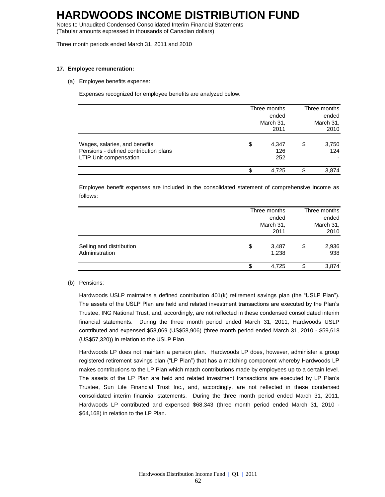Notes to Unaudited Condensed Consolidated Interim Financial Statements (Tabular amounts expressed in thousands of Canadian dollars)

Three month periods ended March 31, 2011 and 2010

### **17. Employee remuneration:**

(a) Employee benefits expense:

Expenses recognized for employee benefits are analyzed below.

|                                                                                                         | Three months<br>March 31, | Three months<br>ended<br>March 31,<br>2010 |    |              |
|---------------------------------------------------------------------------------------------------------|---------------------------|--------------------------------------------|----|--------------|
| Wages, salaries, and benefits<br>Pensions - defined contribution plans<br><b>LTIP Unit compensation</b> | \$                        | 4,347<br>126<br>252                        | \$ | 3,750<br>124 |
|                                                                                                         | \$                        | 4.725                                      | S  | 3.874        |

Employee benefit expenses are included in the consolidated statement of comprehensive income as follows:

|                                            | Three months |                | Three months<br>ended<br>March 31,<br>2010 |              |  |
|--------------------------------------------|--------------|----------------|--------------------------------------------|--------------|--|
| Selling and distribution<br>Administration | \$           | 3,487<br>1,238 | \$                                         | 2,936<br>938 |  |
|                                            | \$           | 4,725          | S                                          | 3,874        |  |

#### (b) Pensions:

Hardwoods USLP maintains a defined contribution 401(k) retirement savings plan (the "USLP Plan"). The assets of the USLP Plan are held and related investment transactions are executed by the Plan's Trustee, ING National Trust, and, accordingly, are not reflected in these condensed consolidated interim financial statements. During the three month period ended March 31, 2011, Hardwoods USLP contributed and expensed \$58,069 (US\$58,906) (three month period ended March 31, 2010 - \$59,618 (US\$57,320)) in relation to the USLP Plan.

Hardwoods LP does not maintain a pension plan. Hardwoods LP does, however, administer a group registered retirement savings plan ("LP Plan") that has a matching component whereby Hardwoods LP makes contributions to the LP Plan which match contributions made by employees up to a certain level. The assets of the LP Plan are held and related investment transactions are executed by LP Plan's Trustee, Sun Life Financial Trust Inc., and, accordingly, are not reflected in these condensed consolidated interim financial statements. During the three month period ended March 31, 2011, Hardwoods LP contributed and expensed \$68,343 (three month period ended March 31, 2010 - \$64,168) in relation to the LP Plan.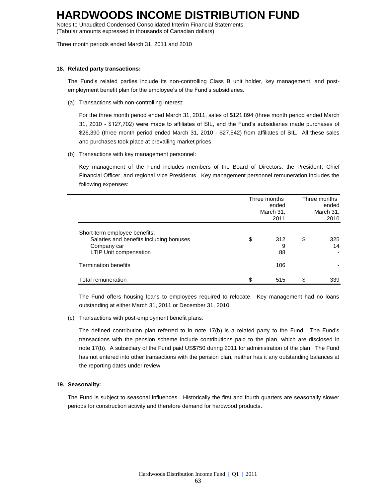Notes to Unaudited Condensed Consolidated Interim Financial Statements (Tabular amounts expressed in thousands of Canadian dollars)

Three month periods ended March 31, 2011 and 2010

### **18. Related party transactions:**

The Fund's related parties include its non-controlling Class B unit holder, key management, and postemployment benefit plan for the employee's of the Fund's subsidiaries.

(a) Transactions with non-controlling interest:

For the three month period ended March 31, 2011, sales of \$121,894 (three month period ended March 31, 2010 - \$127,702) were made to affiliates of SIL, and the Fund's subsidiaries made purchases of \$26,390 (three month period ended March 31, 2010 - \$27,542) from affiliates of SIL. All these sales and purchases took place at prevailing market prices.

(b) Transactions with key management personnel:

Key management of the Fund includes members of the Board of Directors, the President, Chief Financial Officer, and regional Vice Presidents. Key management personnel remuneration includes the following expenses:

|                                                                                                                          | Three months<br>March 31, | Three months<br>ended<br>March 31,<br>2010 |    |           |
|--------------------------------------------------------------------------------------------------------------------------|---------------------------|--------------------------------------------|----|-----------|
| Short-term employee benefits:<br>Salaries and benefits including bonuses<br>Company car<br><b>LTIP Unit compensation</b> | \$                        | 312<br>9<br>88                             | \$ | 325<br>14 |
| <b>Termination benefits</b>                                                                                              |                           | 106                                        |    |           |
| Total remuneration                                                                                                       | \$                        | 515                                        | \$ | 339       |

The Fund offers housing loans to employees required to relocate. Key management had no loans outstanding at either March 31, 2011 or December 31, 2010.

(c) Transactions with post-employment benefit plans:

The defined contribution plan referred to in note 17(b) is a related party to the Fund. The Fund's transactions with the pension scheme include contributions paid to the plan, which are disclosed in note 17(b). A subsidiary of the Fund paid US\$750 during 2011 for administration of the plan. The Fund has not entered into other transactions with the pension plan, neither has it any outstanding balances at the reporting dates under review.

## **19. Seasonality:**

The Fund is subject to seasonal influences. Historically the first and fourth quarters are seasonally slower periods for construction activity and therefore demand for hardwood products.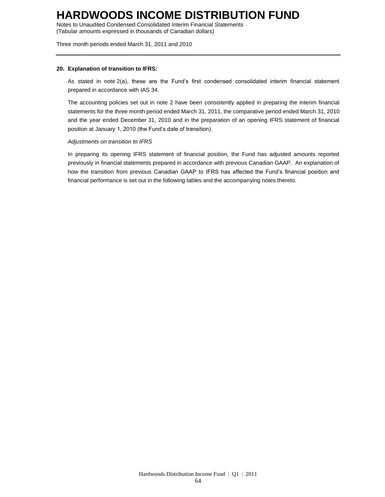Notes to Unaudited Condensed Consolidated Interim Financial Statements (Tabular amounts expressed in thousands of Canadian dollars)

Three month periods ended March 31, 2011 and 2010

### **20. Explanation of transition to IFRS:**

As stated in note 2(a), these are the Fund's first condensed consolidated interim financial statement prepared in accordance with IAS 34.

The accounting policies set out in note 2 have been consistently applied in preparing the interim financial statements for the three month period ended March 31, 2011, the comparative period ended March 31, 2010 and the year ended December 31, 2010 and in the preparation of an opening IFRS statement of financial position at January 1, 2010 (the Fund's date of transition).

## *Adjustments on transition to IFRS*

In preparing its opening IFRS statement of financial position, the Fund has adjusted amounts reported previously in financial statements prepared in accordance with previous Canadian GAAP. An explanation of how the transition from previous Canadian GAAP to IFRS has affected the Fund's financial position and financial performance is set out in the following tables and the accompanying notes thereto.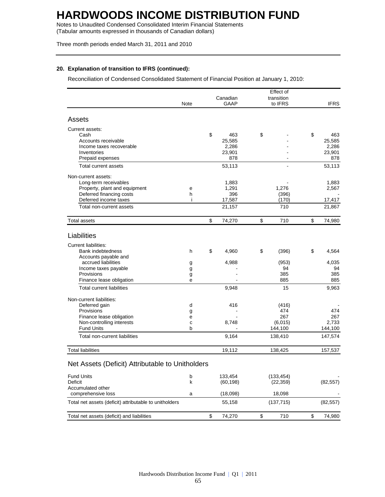Notes to Unaudited Condensed Consolidated Interim Financial Statements (Tabular amounts expressed in thousands of Canadian dollars)

Three month periods ended March 31, 2011 and 2010

## **20. Explanation of transition to IFRS (continued):**

Reconciliation of Condensed Consolidated Statement of Financial Position at January 1, 2010:

| Canadian<br>transition<br>Note<br>GAAP<br>to IFRS<br><b>IFRS</b><br>Assets<br>Current assets:<br>\$<br>\$<br>\$<br>Cash<br>463<br>463<br>25,585<br>25,585<br>Accounts receivable<br>2,286<br>2,286<br>Income taxes recoverable<br>23,901<br>23,901<br>Inventories<br>878<br>878<br>Prepaid expenses<br>53,113<br>53,113<br>Total current assets<br>$\blacksquare$<br>Non-current assets:<br>Long-term receivables<br>1,883<br>1,883<br>Property, plant and equipment<br>1,291<br>1,276<br>2,567<br>е<br>Deferred financing costs<br>396<br>h<br>(396)<br>Deferred income taxes<br>17,587<br>i<br>(170)<br>17,417<br>Total non-current assets<br>21,157<br>710<br>21,867<br>\$<br>\$<br>\$<br>710<br>74,980<br>Total assets<br>74,270<br>Liabilities<br><b>Current liabilities:</b><br>\$<br><b>Bank indebtedness</b><br>4,960<br>\$<br>(396)<br>\$<br>4,564<br>h<br>Accounts payable and<br>accrued liabilities<br>4,035<br>4,988<br>(953)<br>g<br>94<br>Income taxes payable<br>94<br>g<br>Provisions<br>385<br>385<br>g<br>885<br>Finance lease obligation<br>885<br>e<br>15<br><b>Total current liabilities</b><br>9,948<br>9,963<br>Non-current liabilities:<br>Deferred gain<br>416<br>d<br>(416)<br><b>Provisions</b><br>474<br>474<br>g |
|------------------------------------------------------------------------------------------------------------------------------------------------------------------------------------------------------------------------------------------------------------------------------------------------------------------------------------------------------------------------------------------------------------------------------------------------------------------------------------------------------------------------------------------------------------------------------------------------------------------------------------------------------------------------------------------------------------------------------------------------------------------------------------------------------------------------------------------------------------------------------------------------------------------------------------------------------------------------------------------------------------------------------------------------------------------------------------------------------------------------------------------------------------------------------------------------------------------------------------------------|
|                                                                                                                                                                                                                                                                                                                                                                                                                                                                                                                                                                                                                                                                                                                                                                                                                                                                                                                                                                                                                                                                                                                                                                                                                                                |
|                                                                                                                                                                                                                                                                                                                                                                                                                                                                                                                                                                                                                                                                                                                                                                                                                                                                                                                                                                                                                                                                                                                                                                                                                                                |
|                                                                                                                                                                                                                                                                                                                                                                                                                                                                                                                                                                                                                                                                                                                                                                                                                                                                                                                                                                                                                                                                                                                                                                                                                                                |
|                                                                                                                                                                                                                                                                                                                                                                                                                                                                                                                                                                                                                                                                                                                                                                                                                                                                                                                                                                                                                                                                                                                                                                                                                                                |
|                                                                                                                                                                                                                                                                                                                                                                                                                                                                                                                                                                                                                                                                                                                                                                                                                                                                                                                                                                                                                                                                                                                                                                                                                                                |
|                                                                                                                                                                                                                                                                                                                                                                                                                                                                                                                                                                                                                                                                                                                                                                                                                                                                                                                                                                                                                                                                                                                                                                                                                                                |
|                                                                                                                                                                                                                                                                                                                                                                                                                                                                                                                                                                                                                                                                                                                                                                                                                                                                                                                                                                                                                                                                                                                                                                                                                                                |
|                                                                                                                                                                                                                                                                                                                                                                                                                                                                                                                                                                                                                                                                                                                                                                                                                                                                                                                                                                                                                                                                                                                                                                                                                                                |
|                                                                                                                                                                                                                                                                                                                                                                                                                                                                                                                                                                                                                                                                                                                                                                                                                                                                                                                                                                                                                                                                                                                                                                                                                                                |
|                                                                                                                                                                                                                                                                                                                                                                                                                                                                                                                                                                                                                                                                                                                                                                                                                                                                                                                                                                                                                                                                                                                                                                                                                                                |
|                                                                                                                                                                                                                                                                                                                                                                                                                                                                                                                                                                                                                                                                                                                                                                                                                                                                                                                                                                                                                                                                                                                                                                                                                                                |
|                                                                                                                                                                                                                                                                                                                                                                                                                                                                                                                                                                                                                                                                                                                                                                                                                                                                                                                                                                                                                                                                                                                                                                                                                                                |
|                                                                                                                                                                                                                                                                                                                                                                                                                                                                                                                                                                                                                                                                                                                                                                                                                                                                                                                                                                                                                                                                                                                                                                                                                                                |
|                                                                                                                                                                                                                                                                                                                                                                                                                                                                                                                                                                                                                                                                                                                                                                                                                                                                                                                                                                                                                                                                                                                                                                                                                                                |
|                                                                                                                                                                                                                                                                                                                                                                                                                                                                                                                                                                                                                                                                                                                                                                                                                                                                                                                                                                                                                                                                                                                                                                                                                                                |
|                                                                                                                                                                                                                                                                                                                                                                                                                                                                                                                                                                                                                                                                                                                                                                                                                                                                                                                                                                                                                                                                                                                                                                                                                                                |
|                                                                                                                                                                                                                                                                                                                                                                                                                                                                                                                                                                                                                                                                                                                                                                                                                                                                                                                                                                                                                                                                                                                                                                                                                                                |
|                                                                                                                                                                                                                                                                                                                                                                                                                                                                                                                                                                                                                                                                                                                                                                                                                                                                                                                                                                                                                                                                                                                                                                                                                                                |
|                                                                                                                                                                                                                                                                                                                                                                                                                                                                                                                                                                                                                                                                                                                                                                                                                                                                                                                                                                                                                                                                                                                                                                                                                                                |
|                                                                                                                                                                                                                                                                                                                                                                                                                                                                                                                                                                                                                                                                                                                                                                                                                                                                                                                                                                                                                                                                                                                                                                                                                                                |
|                                                                                                                                                                                                                                                                                                                                                                                                                                                                                                                                                                                                                                                                                                                                                                                                                                                                                                                                                                                                                                                                                                                                                                                                                                                |
|                                                                                                                                                                                                                                                                                                                                                                                                                                                                                                                                                                                                                                                                                                                                                                                                                                                                                                                                                                                                                                                                                                                                                                                                                                                |
|                                                                                                                                                                                                                                                                                                                                                                                                                                                                                                                                                                                                                                                                                                                                                                                                                                                                                                                                                                                                                                                                                                                                                                                                                                                |
|                                                                                                                                                                                                                                                                                                                                                                                                                                                                                                                                                                                                                                                                                                                                                                                                                                                                                                                                                                                                                                                                                                                                                                                                                                                |
|                                                                                                                                                                                                                                                                                                                                                                                                                                                                                                                                                                                                                                                                                                                                                                                                                                                                                                                                                                                                                                                                                                                                                                                                                                                |
|                                                                                                                                                                                                                                                                                                                                                                                                                                                                                                                                                                                                                                                                                                                                                                                                                                                                                                                                                                                                                                                                                                                                                                                                                                                |
|                                                                                                                                                                                                                                                                                                                                                                                                                                                                                                                                                                                                                                                                                                                                                                                                                                                                                                                                                                                                                                                                                                                                                                                                                                                |
|                                                                                                                                                                                                                                                                                                                                                                                                                                                                                                                                                                                                                                                                                                                                                                                                                                                                                                                                                                                                                                                                                                                                                                                                                                                |
|                                                                                                                                                                                                                                                                                                                                                                                                                                                                                                                                                                                                                                                                                                                                                                                                                                                                                                                                                                                                                                                                                                                                                                                                                                                |
|                                                                                                                                                                                                                                                                                                                                                                                                                                                                                                                                                                                                                                                                                                                                                                                                                                                                                                                                                                                                                                                                                                                                                                                                                                                |
|                                                                                                                                                                                                                                                                                                                                                                                                                                                                                                                                                                                                                                                                                                                                                                                                                                                                                                                                                                                                                                                                                                                                                                                                                                                |
| Finance lease obligation<br>267<br>267<br>е                                                                                                                                                                                                                                                                                                                                                                                                                                                                                                                                                                                                                                                                                                                                                                                                                                                                                                                                                                                                                                                                                                                                                                                                    |
| Non-controlling interests<br>8,748<br>(6,015)<br>2,733<br>C                                                                                                                                                                                                                                                                                                                                                                                                                                                                                                                                                                                                                                                                                                                                                                                                                                                                                                                                                                                                                                                                                                                                                                                    |
| <b>Fund Units</b><br>144,100<br>144,100<br>b                                                                                                                                                                                                                                                                                                                                                                                                                                                                                                                                                                                                                                                                                                                                                                                                                                                                                                                                                                                                                                                                                                                                                                                                   |
| Total non-current liabilities<br>9,164<br>147,574<br>138,410                                                                                                                                                                                                                                                                                                                                                                                                                                                                                                                                                                                                                                                                                                                                                                                                                                                                                                                                                                                                                                                                                                                                                                                   |
| <b>Total liabilities</b><br>19,112<br>138,425<br>157,537                                                                                                                                                                                                                                                                                                                                                                                                                                                                                                                                                                                                                                                                                                                                                                                                                                                                                                                                                                                                                                                                                                                                                                                       |
|                                                                                                                                                                                                                                                                                                                                                                                                                                                                                                                                                                                                                                                                                                                                                                                                                                                                                                                                                                                                                                                                                                                                                                                                                                                |
| Net Assets (Deficit) Attributable to Unitholders                                                                                                                                                                                                                                                                                                                                                                                                                                                                                                                                                                                                                                                                                                                                                                                                                                                                                                                                                                                                                                                                                                                                                                                               |
| <b>Fund Units</b><br>b<br>133,454<br>(133, 454)                                                                                                                                                                                                                                                                                                                                                                                                                                                                                                                                                                                                                                                                                                                                                                                                                                                                                                                                                                                                                                                                                                                                                                                                |
| Deficit<br>k<br>(60, 198)<br>(22, 359)<br>(82, 557)                                                                                                                                                                                                                                                                                                                                                                                                                                                                                                                                                                                                                                                                                                                                                                                                                                                                                                                                                                                                                                                                                                                                                                                            |
| Accumulated other                                                                                                                                                                                                                                                                                                                                                                                                                                                                                                                                                                                                                                                                                                                                                                                                                                                                                                                                                                                                                                                                                                                                                                                                                              |
| 18,098<br>comprehensive loss<br>(18,098)<br>a                                                                                                                                                                                                                                                                                                                                                                                                                                                                                                                                                                                                                                                                                                                                                                                                                                                                                                                                                                                                                                                                                                                                                                                                  |
| Total net assets (deficit) attributable to unitholders<br>55,158<br>(137, 715)<br>(82, 557)                                                                                                                                                                                                                                                                                                                                                                                                                                                                                                                                                                                                                                                                                                                                                                                                                                                                                                                                                                                                                                                                                                                                                    |
| \$<br>\$<br>\$<br>Total net assets (deficit) and liabilities<br>74,270<br>710<br>74,980                                                                                                                                                                                                                                                                                                                                                                                                                                                                                                                                                                                                                                                                                                                                                                                                                                                                                                                                                                                                                                                                                                                                                        |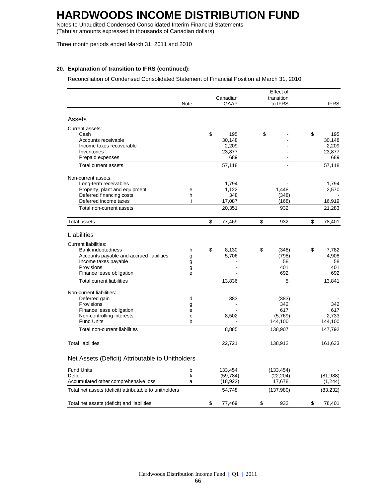Notes to Unaudited Condensed Consolidated Interim Financial Statements (Tabular amounts expressed in thousands of Canadian dollars)

Three month periods ended March 31, 2011 and 2010

## **20. Explanation of transition to IFRS (continued):**

Reconciliation of Condensed Consolidated Statement of Financial Position at March 31, 2010:

|                                                         |      |              | Effect of      |              |
|---------------------------------------------------------|------|--------------|----------------|--------------|
|                                                         |      | Canadian     | transition     |              |
|                                                         | Note | <b>GAAP</b>  | to IFRS        | <b>IFRS</b>  |
| Assets                                                  |      |              |                |              |
| Current assets:                                         |      |              |                |              |
| Cash                                                    |      | \$<br>195    | \$             | \$<br>195    |
| Accounts receivable                                     |      | 30,148       |                | 30,148       |
| Income taxes recoverable                                |      | 2,209        |                | 2,209        |
| Inventories                                             |      | 23,877       |                | 23,877       |
| Prepaid expenses                                        |      | 689          |                | 689          |
| Total current assets                                    |      | 57,118       |                | 57,118       |
| Non-current assets:                                     |      |              |                |              |
| Long-term receivables                                   |      | 1,794        |                | 1,794        |
| Property, plant and equipment                           | e    | 1,122        | 1,448          | 2,570        |
| Deferred financing costs                                | h    | 348          | (348)          |              |
| Deferred income taxes                                   | i    | 17,087       | (168)          | 16,919       |
| Total non-current assets                                |      | 20,351       | 932            | 21,283       |
| Total assets                                            |      | \$<br>77,469 | \$<br>932      | \$<br>78,401 |
| Liabilities                                             |      |              |                |              |
|                                                         |      |              |                |              |
| <b>Current liabilities:</b><br><b>Bank indebtedness</b> | h    | \$<br>8,130  | \$             | \$<br>7,782  |
| Accounts payable and accrued liabilities                | g    | 5,706        | (348)<br>(798) | 4,908        |
| Income taxes payable                                    | g    |              | 58             | 58           |
| Provisions                                              | g    |              | 401            | 401          |
| Finance lease obligation                                | е    |              | 692            | 692          |
| <b>Total current liabilities</b>                        |      | 13,836       | 5              | 13,841       |
| Non-current liabilities:                                |      |              |                |              |
| Deferred gain                                           | d    | 383          | (383)          |              |
| Provisions                                              | g    |              | 342            | 342          |
| Finance lease obligation                                | е    |              | 617            | 617          |
| Non-controlling interests                               | C    | 8,502        | (5,769)        | 2,733        |
| <b>Fund Units</b>                                       | b    |              | 144,100        | 144,100      |
| Total non-current liabilities                           |      | 8,885        | 138,907        | 147,792      |
| <b>Total liabilities</b>                                |      | 22,721       | 138,912        | 161,633      |
| Net Assets (Deficit) Attributable to Unitholders        |      |              |                |              |
|                                                         |      |              |                |              |
| <b>Fund Units</b>                                       | b    | 133,454      | (133, 454)     |              |
| Deficit                                                 | k    | (59, 784)    | (22, 204)      | (81,988)     |
| Accumulated other comprehensive loss                    | a    | (18, 922)    | 17,678         | (1, 244)     |
| Total net assets (deficit) attributable to unitholders  |      | 54,748       | (137,980)      | (83, 232)    |
| Total net assets (deficit) and liabilities              |      | \$<br>77,469 | \$<br>932      | \$<br>78,401 |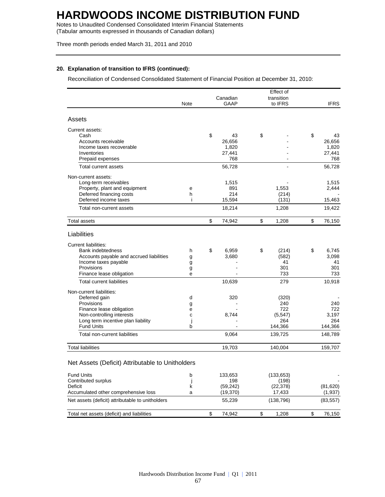Notes to Unaudited Condensed Consolidated Interim Financial Statements (Tabular amounts expressed in thousands of Canadian dollars)

Three month periods ended March 31, 2011 and 2010

## **20. Explanation of transition to IFRS (continued):**

Reconciliation of Condensed Consolidated Statement of Financial Position at December 31, 2010:

|                                                         |      | Effect of |           |    |                |    |                |
|---------------------------------------------------------|------|-----------|-----------|----|----------------|----|----------------|
|                                                         |      |           | Canadian  |    | transition     |    |                |
|                                                         | Note |           | GAAP      |    | to IFRS        |    | <b>IFRS</b>    |
| Assets                                                  |      |           |           |    |                |    |                |
| Current assets:                                         |      |           |           |    |                |    |                |
| Cash                                                    |      | \$        | 43        | \$ |                | \$ | 43             |
| Accounts receivable                                     |      |           | 26,656    |    |                |    | 26,656         |
| Income taxes recoverable                                |      |           | 1,820     |    |                |    | 1,820          |
| Inventories                                             |      |           | 27,441    |    |                |    | 27,441         |
| Prepaid expenses                                        |      |           | 768       |    |                |    | 768            |
| Total current assets                                    |      |           | 56.728    |    |                |    | 56,728         |
| Non-current assets:                                     |      |           |           |    |                |    |                |
| Long-term receivables                                   |      |           | 1,515     |    |                |    | 1,515          |
| Property, plant and equipment                           | e    |           | 891       |    | 1,553          |    | 2,444          |
| Deferred financing costs                                | h    |           | 214       |    | (214)          |    |                |
| Deferred income taxes                                   | i    |           | 15,594    |    | (131)          |    | 15,463         |
| Total non-current assets                                |      |           | 18,214    |    | 1,208          |    | 19,422         |
| <b>Total assets</b>                                     |      | \$        | 74,942    | \$ | 1,208          | \$ | 76,150         |
| Liabilities                                             |      |           |           |    |                |    |                |
| <b>Current liabilities:</b>                             |      |           |           |    |                |    |                |
| Bank indebtedness                                       | h    | \$        | 6,959     | \$ | (214)          | \$ | 6,745          |
| Accounts payable and accrued liabilities                | g    |           | 3,680     |    | (582)          |    | 3,098          |
| Income taxes payable                                    | g    |           |           |    | 41             |    | 41             |
| Provisions                                              | g    |           |           |    | 301            |    | 301            |
| Finance lease obligation                                | e    |           |           |    | 733            |    | 733            |
| <b>Total current liabilities</b>                        |      |           | 10,639    |    | 279            |    | 10,918         |
| Non-current liabilities:                                |      |           |           |    |                |    |                |
| Deferred gain                                           | d    |           | 320       |    | (320)          |    |                |
| Provisions                                              | g    |           |           |    | 240            |    | 240            |
| Finance lease obligation                                | е    |           |           |    | 722            |    | 722            |
| Non-controlling interests                               | C    |           | 8,744     |    | (5, 547)       |    | 3,197          |
| Long term incentive plan liability<br><b>Fund Units</b> | b    |           |           |    | 264<br>144,366 |    | 264<br>144,366 |
| Total non-current liabilities                           |      |           | 9,064     |    | 139,725        |    | 148,789        |
|                                                         |      |           |           |    |                |    |                |
| <b>Total liabilities</b>                                |      |           | 19,703    |    | 140,004        |    | 159,707        |
| Net Assets (Deficit) Attributable to Unitholders        |      |           |           |    |                |    |                |
| <b>Fund Units</b>                                       | b    |           | 133,653   |    | (133, 653)     |    |                |
| Contributed surplus                                     | j    |           | 198       |    | (198)          |    |                |
| Deficit                                                 | k    |           | (59, 242) |    | (22, 378)      |    | (81, 620)      |
| Accumulated other comprehensive loss                    | a    |           | (19, 370) |    | 17,433         |    | (1,937)        |
| Net assets (deficit) attributable to unitholders        |      |           | 55,239    |    | (138, 796)     |    | (83, 557)      |
| Total net assets (deficit) and liabilities              |      | \$        | 74,942    | \$ | 1,208          | \$ | 76,150         |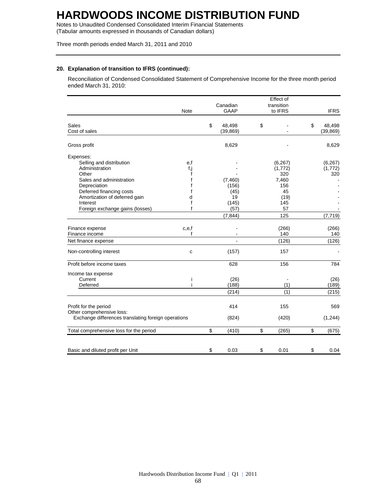Notes to Unaudited Condensed Consolidated Interim Financial Statements (Tabular amounts expressed in thousands of Canadian dollars)

Three month periods ended March 31, 2011 and 2010

## **20. Explanation of transition to IFRS (continued):**

Reconciliation of Condensed Consolidated Statement of Comprehensive Income for the three month period ended March 31, 2010:

|                                                     |             | Effect of |             |    |            |    |             |  |
|-----------------------------------------------------|-------------|-----------|-------------|----|------------|----|-------------|--|
|                                                     |             | Canadian  |             |    | transition |    |             |  |
|                                                     | <b>Note</b> |           | <b>GAAP</b> |    | to IFRS    |    | <b>IFRS</b> |  |
| Sales                                               |             | \$        | 48,498      | \$ |            | \$ | 48,498      |  |
| Cost of sales                                       |             |           | (39, 869)   |    |            |    | (39, 869)   |  |
| Gross profit                                        |             |           | 8,629       |    |            |    | 8,629       |  |
| Expenses:                                           |             |           |             |    |            |    |             |  |
| Selling and distribution                            | e,f         |           |             |    | (6, 267)   |    | (6, 267)    |  |
| Administration                                      | f,j         |           |             |    | (1,772)    |    | (1,772)     |  |
| Other                                               | f           |           |             |    | 320        |    | 320         |  |
| Sales and administration                            |             |           | (7, 460)    |    | 7,460      |    |             |  |
| Depreciation                                        |             |           | (156)       |    | 156        |    |             |  |
| Deferred financing costs                            | f           |           | (45)        |    | 45         |    |             |  |
| Amortization of deferred gain                       | d           |           | 19          |    | (19)       |    |             |  |
| Interest                                            | f           |           | (145)       |    | 145        |    |             |  |
| Foreign exchange gains (losses)                     | f           |           | (57)        |    | 57         |    |             |  |
|                                                     |             |           | (7, 844)    |    | 125        |    | (7, 719)    |  |
| Finance expense                                     | c,e,f       |           |             |    | (266)      |    | (266)       |  |
| Finance income                                      | f           |           |             |    | 140        |    | 140         |  |
| Net finance expense                                 |             |           | ÷,          |    | (126)      |    | (126)       |  |
| Non-controlling interest                            | C           |           | (157)       |    | 157        |    |             |  |
| Profit before income taxes                          |             |           | 628         |    | 156        |    | 784         |  |
| Income tax expense                                  |             |           |             |    |            |    |             |  |
| Current                                             | Ť           |           | (26)        |    |            |    | (26)        |  |
| Deferred                                            | i.          |           | (188)       |    | (1)        |    | (189)       |  |
|                                                     |             |           | (214)       |    | (1)        |    | (215)       |  |
|                                                     |             |           |             |    |            |    |             |  |
| Profit for the period                               |             |           | 414         |    | 155        |    | 569         |  |
| Other comprehensive loss:                           |             |           |             |    |            |    |             |  |
| Exchange differences translating foreign operations |             |           | (824)       |    | (420)      |    | (1, 244)    |  |
| Total comprehensive loss for the period             |             | \$        | (410)       | \$ | (265)      | \$ | (675)       |  |
|                                                     |             |           |             |    |            |    |             |  |
| Basic and diluted profit per Unit                   |             | \$        | 0.03        | \$ | 0.01       | \$ | 0.04        |  |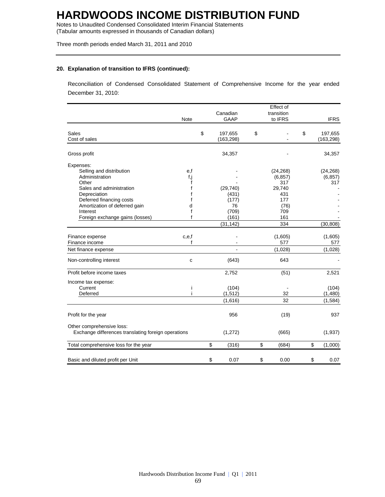Notes to Unaudited Condensed Consolidated Interim Financial Statements (Tabular amounts expressed in thousands of Canadian dollars)

Three month periods ended March 31, 2011 and 2010

## **20. Explanation of transition to IFRS (continued):**

Reconciliation of Condensed Consolidated Statement of Comprehensive Income for the year ended December 31, 2010:

| <b>Note</b>                                                                                                                                                                                                              |                                     | Canadian<br>GAAP                                                 | Effect of<br>transition<br>to IFRS                                                | <b>IFRS</b>                               |
|--------------------------------------------------------------------------------------------------------------------------------------------------------------------------------------------------------------------------|-------------------------------------|------------------------------------------------------------------|-----------------------------------------------------------------------------------|-------------------------------------------|
| Sales<br>Cost of sales                                                                                                                                                                                                   |                                     | \$<br>197,655<br>(163, 298)                                      | \$                                                                                | \$<br>197,655<br>(163, 298)               |
| Gross profit                                                                                                                                                                                                             |                                     | 34,357                                                           |                                                                                   | 34,357                                    |
| Expenses:<br>Selling and distribution<br>Administration<br>Other<br>Sales and administration<br>Depreciation<br>Deferred financing costs<br>Amortization of deferred gain<br>Interest<br>Foreign exchange gains (losses) | e,f<br>f,j<br>f<br>f<br>d<br>f<br>f | (29, 740)<br>(431)<br>(177)<br>76<br>(709)<br>(161)<br>(31, 142) | (24, 268)<br>(6, 857)<br>317<br>29,740<br>431<br>177<br>(76)<br>709<br>161<br>334 | (24, 268)<br>(6, 857)<br>317<br>(30, 808) |
| Finance expense<br>c,e,f<br>Finance income<br>Net finance expense                                                                                                                                                        | f                                   |                                                                  | (1,605)<br>577                                                                    | (1,605)<br>577<br>(1,028)                 |
| Non-controlling interest                                                                                                                                                                                                 | C                                   | (643)                                                            | (1,028)<br>643                                                                    |                                           |
| Profit before income taxes                                                                                                                                                                                               |                                     | 2,752                                                            | (51)                                                                              | 2,521                                     |
| Income tax expense:<br>Current<br>Deferred                                                                                                                                                                               | i<br>i                              | (104)<br>(1, 512)<br>(1,616)                                     | 32<br>32                                                                          | (104)<br>(1,480)<br>(1,584)               |
| Profit for the year                                                                                                                                                                                                      |                                     | 956                                                              | (19)                                                                              | 937                                       |
| Other comprehensive loss:<br>Exchange differences translating foreign operations                                                                                                                                         |                                     | (1,272)                                                          | (665)                                                                             | (1,937)                                   |
| Total comprehensive loss for the year                                                                                                                                                                                    |                                     | \$<br>(316)                                                      | \$<br>(684)                                                                       | \$<br>(1,000)                             |
| Basic and diluted profit per Unit                                                                                                                                                                                        |                                     | \$<br>0.07                                                       | \$<br>0.00                                                                        | \$<br>0.07                                |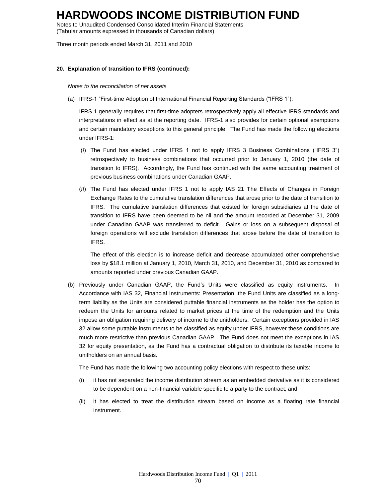Notes to Unaudited Condensed Consolidated Interim Financial Statements (Tabular amounts expressed in thousands of Canadian dollars)

Three month periods ended March 31, 2011 and 2010

### **20. Explanation of transition to IFRS (continued):**

*Notes to the reconciliation of net assets*

(a) IFRS-1 "First-time Adoption of International Financial Reporting Standards ("IFRS 1"):

IFRS 1 generally requires that first-time adopters retrospectively apply all effective IFRS standards and interpretations in effect as at the reporting date. IFRS-1 also provides for certain optional exemptions and certain mandatory exceptions to this general principle. The Fund has made the following elections under IFRS-1:

- (*i*) The Fund has elected under IFRS 1 not to apply IFRS 3 Business Combinations ("IFRS 3") retrospectively to business combinations that occurred prior to January 1, 2010 (the date of transition to IFRS). Accordingly, the Fund has continued with the same accounting treatment of previous business combinations under Canadian GAAP.
- (*ii*) The Fund has elected under IFRS 1 not to apply IAS 21 The Effects of Changes in Foreign Exchange Rates to the cumulative translation differences that arose prior to the date of transition to IFRS. The cumulative translation differences that existed for foreign subsidiaries at the date of transition to IFRS have been deemed to be nil and the amount recorded at December 31, 2009 under Canadian GAAP was transferred to deficit. Gains or loss on a subsequent disposal of foreign operations will exclude translation differences that arose before the date of transition to IFRS.

The effect of this election is to increase deficit and decrease accumulated other comprehensive loss by \$18.1 million at January 1, 2010, March 31, 2010, and December 31, 2010 as compared to amounts reported under previous Canadian GAAP.

(b) Previously under Canadian GAAP, the Fund's Units were classified as equity instruments. In Accordance with IAS 32, Financial Instruments: Presentation, the Fund Units are classified as a longterm liability as the Units are considered puttable financial instruments as the holder has the option to redeem the Units for amounts related to market prices at the time of the redemption and the Units impose an obligation requiring delivery of income to the unitholders. Certain exceptions provided in IAS 32 allow some puttable instruments to be classified as equity under IFRS, however these conditions are much more restrictive than previous Canadian GAAP. The Fund does not meet the exceptions in IAS 32 for equity presentation, as the Fund has a contractual obligation to distribute its taxable income to unitholders on an annual basis.

The Fund has made the following two accounting policy elections with respect to these units:

- (i) it has not separated the income distribution stream as an embedded derivative as it is considered to be dependent on a non-financial variable specific to a party to the contract, and
- (ii) it has elected to treat the distribution stream based on income as a floating rate financial instrument.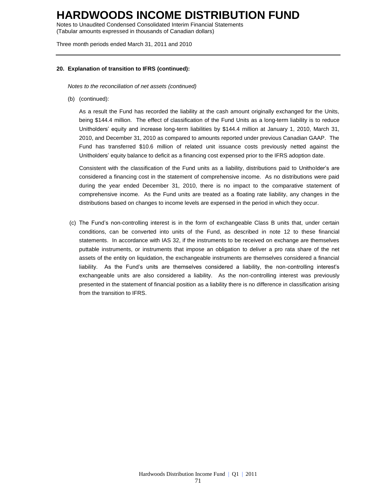Notes to Unaudited Condensed Consolidated Interim Financial Statements (Tabular amounts expressed in thousands of Canadian dollars)

Three month periods ended March 31, 2011 and 2010

### **20. Explanation of transition to IFRS (continued):**

*Notes to the reconciliation of net assets (continued)*

(b) (continued):

As a result the Fund has recorded the liability at the cash amount originally exchanged for the Units, being \$144.4 million. The effect of classification of the Fund Units as a long-term liability is to reduce Unitholders' equity and increase long-term liabilities by \$144.4 million at January 1, 2010, March 31, 2010, and December 31, 2010 as compared to amounts reported under previous Canadian GAAP. The Fund has transferred \$10.6 million of related unit issuance costs previously netted against the Unitholders' equity balance to deficit as a financing cost expensed prior to the IFRS adoption date.

Consistent with the classification of the Fund units as a liability, distributions paid to Unitholder's are considered a financing cost in the statement of comprehensive income. As no distributions were paid during the year ended December 31, 2010, there is no impact to the comparative statement of comprehensive income. As the Fund units are treated as a floating rate liability, any changes in the distributions based on changes to income levels are expensed in the period in which they occur.

(c) The Fund's non-controlling interest is in the form of exchangeable Class B units that, under certain conditions, can be converted into units of the Fund, as described in note 12 to these financial statements. In accordance with IAS 32, if the instruments to be received on exchange are themselves puttable instruments, or instruments that impose an obligation to deliver a pro rata share of the net assets of the entity on liquidation, the exchangeable instruments are themselves considered a financial liability. As the Fund's units are themselves considered a liability, the non-controlling interest's exchangeable units are also considered a liability. As the non-controlling interest was previously presented in the statement of financial position as a liability there is no difference in classification arising from the transition to IFRS.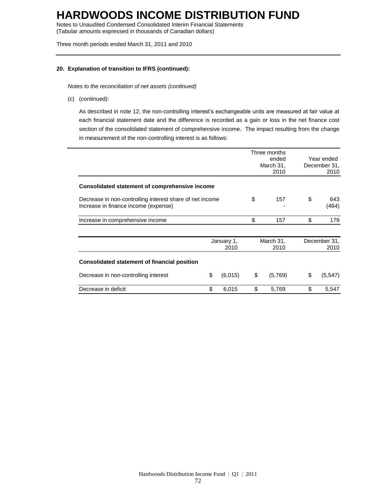Notes to Unaudited Condensed Consolidated Interim Financial Statements (Tabular amounts expressed in thousands of Canadian dollars)

Three month periods ended March 31, 2011 and 2010

## **20. Explanation of transition to IFRS (continued):**

*Notes to the reconciliation of net assets (continued)*

(c) (continued):

As described in note 12, the non-controlling interest's exchangeable units are measured at fair value at each financial statement date and the difference is recorded as a gain or loss in the net finance cost section of the consolidated statement of comprehensive income. The impact resulting from the change in measurement of the non-controlling interest is as follows:

|                                                                                                  |                    |         |                   | Three months<br>ended<br>March 31,<br>2010 | Year ended<br>December 31,<br>2010 |              |
|--------------------------------------------------------------------------------------------------|--------------------|---------|-------------------|--------------------------------------------|------------------------------------|--------------|
| Consolidated statement of comprehensive income                                                   |                    |         |                   |                                            |                                    |              |
| Decrease in non-controlling interest share of net income<br>Increase in finance income (expense) |                    |         | \$                | 157                                        | \$                                 | 643<br>(464) |
| Increase in comprehensive income                                                                 |                    |         | \$                | 157                                        | \$                                 | 179          |
|                                                                                                  | January 1,<br>2010 |         | March 31,<br>2010 |                                            | December 31,<br>2010               |              |
| <b>Consolidated statement of financial position</b>                                              |                    |         |                   |                                            |                                    |              |
| Decrease in non-controlling interest                                                             | \$                 | (6,015) | \$                | (5,769)                                    | \$                                 | (5, 547)     |
| Decrease in deficit                                                                              | \$                 | 6,015   | \$                | 5,769                                      | \$                                 | 5,547        |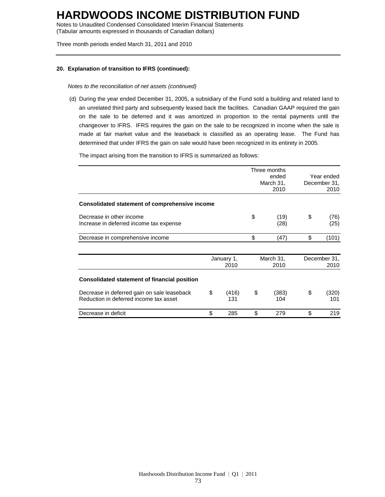Notes to Unaudited Condensed Consolidated Interim Financial Statements (Tabular amounts expressed in thousands of Canadian dollars)

Three month periods ended March 31, 2011 and 2010

### **20. Explanation of transition to IFRS (continued):**

*Notes to the reconciliation of net assets (continued)*

(d) During the year ended December 31, 2005, a subsidiary of the Fund sold a building and related land to an unrelated third party and subsequently leased back the facilities. Canadian GAAP required the gain on the sale to be deferred and it was amortized in proportion to the rental payments until the changeover to IFRS. IFRS requires the gain on the sale to be recognized in income when the sale is made at fair market value and the leaseback is classified as an operating lease. The Fund has determined that under IFRS the gain on sale would have been recognized in its entirety in 2005.

The impact arising from the transition to IFRS is summarized as follows:

|                                                                                       |                    | Three months<br>ended<br>March 31,<br>2010 |                   | Year ended<br>December 31,<br>2010 |
|---------------------------------------------------------------------------------------|--------------------|--------------------------------------------|-------------------|------------------------------------|
| Consolidated statement of comprehensive income                                        |                    |                                            |                   |                                    |
| Decrease in other income<br>Increase in deferred income tax expense                   |                    | \$<br>(19)<br>(28)                         |                   | \$<br>(76)<br>(25)                 |
| Decrease in comprehensive income                                                      |                    | \$                                         | (47)              | \$<br>(101)                        |
|                                                                                       | January 1,<br>2010 |                                            | March 31,<br>2010 | December 31,<br>2010               |
| <b>Consolidated statement of financial position</b>                                   |                    |                                            |                   |                                    |
| Decrease in deferred gain on sale leaseback<br>Reduction in deferred income tax asset | \$<br>(416)<br>131 | \$                                         | (383)<br>104      | \$<br>(320)<br>101                 |
| Decrease in deficit                                                                   | \$<br>285          | \$                                         | 279               | \$<br>219                          |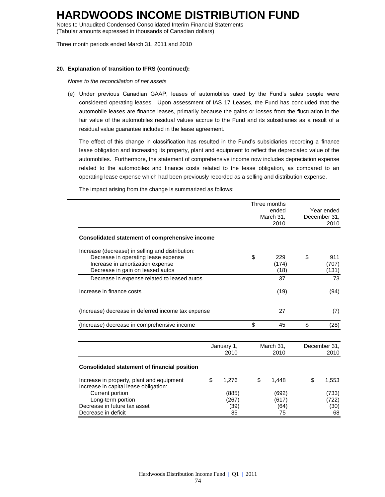Notes to Unaudited Condensed Consolidated Interim Financial Statements (Tabular amounts expressed in thousands of Canadian dollars)

Three month periods ended March 31, 2011 and 2010

#### **20. Explanation of transition to IFRS (continued):**

*Notes to the reconciliation of net assets*

(e) Under previous Canadian GAAP, leases of automobiles used by the Fund's sales people were considered operating leases. Upon assessment of IAS 17 Leases, the Fund has concluded that the automobile leases are finance leases, primarily because the gains or losses from the fluctuation in the fair value of the automobiles residual values accrue to the Fund and its subsidiaries as a result of a residual value guarantee included in the lease agreement.

The effect of this change in classification has resulted in the Fund's subsidiaries recording a finance lease obligation and increasing its property, plant and equipment to reflect the depreciated value of the automobiles. Furthermore, the statement of comprehensive income now includes depreciation expense related to the automobiles and finance costs related to the lease obligation, as compared to an operating lease expense which had been previously recorded as a selling and distribution expense.

The impact arising from the change is summarized as follows:

|                                                                                                                                                                 |    | Three months<br>ended<br>March 31,<br>2010 |      |                              | Year ended<br>December 31,<br>2010 |                              |
|-----------------------------------------------------------------------------------------------------------------------------------------------------------------|----|--------------------------------------------|------|------------------------------|------------------------------------|------------------------------|
| Consolidated statement of comprehensive income                                                                                                                  |    |                                            |      |                              |                                    |                              |
| Increase (decrease) in selling and distribution:<br>Decrease in operating lease expense<br>Increase in amortization expense<br>Decrease in gain on leased autos |    |                                            | \$   | 229<br>(174)<br>(18)         | \$                                 | 911<br>(707)<br>(131)        |
| Decrease in expense related to leased autos                                                                                                                     |    |                                            |      | 37                           |                                    | 73                           |
| Increase in finance costs                                                                                                                                       |    |                                            | (19) |                              | (94)                               |                              |
| (Increase) decrease in deferred income tax expense                                                                                                              |    |                                            |      | 27                           |                                    | (7)                          |
| (Increase) decrease in comprehensive income                                                                                                                     |    |                                            | \$   | 45                           | \$                                 | (28)                         |
|                                                                                                                                                                 |    | January 1,<br>2010                         |      | March 31,<br>2010            |                                    | December 31,<br>2010         |
| <b>Consolidated statement of financial position</b>                                                                                                             |    |                                            |      |                              |                                    |                              |
| Increase in property, plant and equipment<br>Increase in capital lease obligation:                                                                              | \$ | 1,276                                      | \$   | 1,448                        | \$                                 | 1,553                        |
| Current portion<br>Long-term portion<br>Decrease in future tax asset<br>Decrease in deficit                                                                     |    | (885)<br>(267)<br>(39)<br>85               |      | (692)<br>(617)<br>(64)<br>75 |                                    | (733)<br>(722)<br>(30)<br>68 |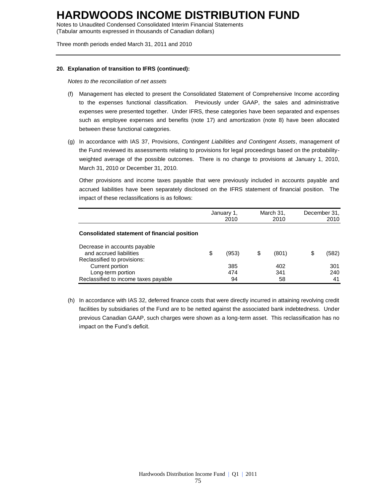Notes to Unaudited Condensed Consolidated Interim Financial Statements (Tabular amounts expressed in thousands of Canadian dollars)

Three month periods ended March 31, 2011 and 2010

#### **20. Explanation of transition to IFRS (continued):**

*Notes to the reconciliation of net assets*

- (f) Management has elected to present the Consolidated Statement of Comprehensive Income according to the expenses functional classification. Previously under GAAP, the sales and administrative expenses were presented together. Under IFRS, these categories have been separated and expenses such as employee expenses and benefits (note 17) and amortization (note 8) have been allocated between these functional categories.
- (g) In accordance with IAS 37, Provisions, *Contingent Liabilities and Contingent Assets*, management of the Fund reviewed its assessments relating to provisions for legal proceedings based on the probabilityweighted average of the possible outcomes. There is no change to provisions at January 1, 2010, March 31, 2010 or December 31, 2010.

Other provisions and income taxes payable that were previously included in accounts payable and accrued liabilities have been separately disclosed on the IFRS statement of financial position. The impact of these reclassifications is as follows:

|                                                                                        |    | January 1,<br>2010 |   | March 31,<br>2010 |  | December 31,<br>2010 |
|----------------------------------------------------------------------------------------|----|--------------------|---|-------------------|--|----------------------|
| Consolidated statement of financial position                                           |    |                    |   |                   |  |                      |
| Decrease in accounts payable<br>and accrued liabilities<br>Reclassified to provisions: | \$ | (953)              | S | (801)             |  | (582)                |
| Current portion                                                                        |    | 385                |   | 402               |  | 301                  |
| Long-term portion<br>Reclassified to income taxes payable                              |    | 474<br>94          |   | 341<br>58         |  | 240<br>41            |

(h) In accordance with IAS 32, deferred finance costs that were directly incurred in attaining revolving credit facilities by subsidiaries of the Fund are to be netted against the associated bank indebtedness. Under previous Canadian GAAP, such charges were shown as a long-term asset. This reclassification has no impact on the Fund's deficit.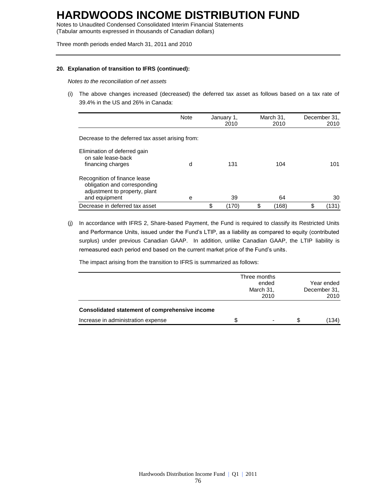Notes to Unaudited Condensed Consolidated Interim Financial Statements (Tabular amounts expressed in thousands of Canadian dollars)

Three month periods ended March 31, 2011 and 2010

### **20. Explanation of transition to IFRS (continued):**

*Notes to the reconciliation of net assets*

(i) The above changes increased (decreased) the deferred tax asset as follows based on a tax rate of 39.4% in the US and 26% in Canada:

|                                                                                                                | <b>Note</b> | January 1, | 2010  | March 31,<br>2010 |       | December 31,<br>2010 |
|----------------------------------------------------------------------------------------------------------------|-------------|------------|-------|-------------------|-------|----------------------|
| Decrease to the deferred tax asset arising from:                                                               |             |            |       |                   |       |                      |
| Elimination of deferred gain<br>on sale lease-back<br>financing charges                                        | d           |            | 131   |                   | 104   | 101                  |
| Recognition of finance lease<br>obligation and corresponding<br>adjustment to property, plant<br>and equipment | е           |            | 39    |                   | 64    | 30                   |
| Decrease in deferred tax asset                                                                                 |             | \$         | (170) | \$                | (168) | \$<br>(131)          |

(j) In accordance with IFRS 2, Share-based Payment, the Fund is required to classify its Restricted Units and Performance Units, issued under the Fund's LTIP, as a liability as compared to equity (contributed surplus) under previous Canadian GAAP. In addition, unlike Canadian GAAP, the LTIP liability is remeasured each period end based on the current market price of the Fund's units.

The impact arising from the transition to IFRS is summarized as follows:

| <b>Consolidated statement of comprehensive income</b> |    | Three months<br>ended<br>March 31,<br>2010 |    | Year ended<br>December 31.<br>2010 |
|-------------------------------------------------------|----|--------------------------------------------|----|------------------------------------|
| Increase in administration expense                    | S. |                                            | S. | (134)                              |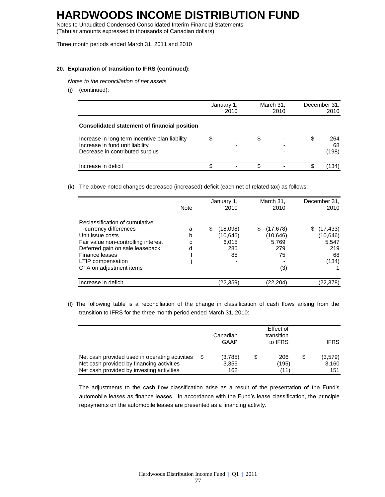Notes to Unaudited Condensed Consolidated Interim Financial Statements (Tabular amounts expressed in thousands of Canadian dollars)

Three month periods ended March 31, 2011 and 2010

### **20. Explanation of transition to IFRS (continued):**

*Notes to the reconciliation of net assets*

(j) (continued):

|                                                                                                                      |    | January 1,<br>2010 | March 31,<br>2010 |        | December 31,<br>2010 |                    |
|----------------------------------------------------------------------------------------------------------------------|----|--------------------|-------------------|--------|----------------------|--------------------|
| Consolidated statement of financial position                                                                         |    |                    |                   |        |                      |                    |
| Increase in long term incentive plan liability<br>Increase in fund unit liability<br>Decrease in contributed surplus | \$ |                    | \$                | ۰<br>- | S                    | 264<br>68<br>(198) |
| Increase in deficit                                                                                                  | \$ |                    | S                 |        |                      | (134)              |

(k) The above noted changes decreased (increased) deficit (each net of related tax) as follows:

|                                                                                                                                                                                                                        | <b>Note</b>      | January 1,<br>2010                               | March 31,<br>2010                                       | December 31,<br>2010                                       |
|------------------------------------------------------------------------------------------------------------------------------------------------------------------------------------------------------------------------|------------------|--------------------------------------------------|---------------------------------------------------------|------------------------------------------------------------|
| Reclassification of cumulative<br>currency differences<br>Unit issue costs<br>Fair value non-controlling interest<br>Deferred gain on sale leaseback<br>Finance leases<br>LTIP compensation<br>CTA on adjustment items | a<br>b<br>c<br>d | \$<br>(18,098)<br>(10,646)<br>6.015<br>285<br>85 | (17, 678)<br>S<br>(10,646)<br>5,769<br>279<br>75<br>(3) | (17, 433)<br>S<br>(10, 646)<br>5,547<br>219<br>68<br>(134) |
| Increase in deficit                                                                                                                                                                                                    |                  | (22,359)                                         | (22.204)                                                | (22,378)                                                   |

(l) The following table is a reconciliation of the change in classification of cash flows arising from the transition to IFRS for the three month period ended March 31, 2010:

|                                                                                                                                          | Canadian<br>GAAP | Effect of<br>transition<br>to IFRS | <b>IFRS</b>          |                               |
|------------------------------------------------------------------------------------------------------------------------------------------|------------------|------------------------------------|----------------------|-------------------------------|
| Net cash provided used in operating activities<br>Net cash provided by financing activities<br>Net cash provided by investing activities | S                | (3,785)<br>3,355<br>162            | 206<br>(195)<br>(11) | \$<br>(3,579)<br>3.160<br>151 |

The adjustments to the cash flow classification arise as a result of the presentation of the Fund's automobile leases as finance leases. In accordance with the Fund's lease classification, the principle repayments on the automobile leases are presented as a financing activity.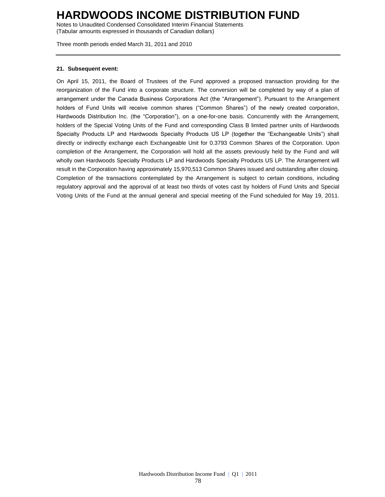Notes to Unaudited Condensed Consolidated Interim Financial Statements (Tabular amounts expressed in thousands of Canadian dollars)

Three month periods ended March 31, 2011 and 2010

#### **21. Subsequent event:**

On April 15, 2011, the Board of Trustees of the Fund approved a proposed transaction providing for the reorganization of the Fund into a corporate structure. The conversion will be completed by way of a plan of arrangement under the Canada Business Corporations Act (the "Arrangement"). Pursuant to the Arrangement holders of Fund Units will receive common shares ("Common Shares") of the newly created corporation, Hardwoods Distribution Inc. (the "Corporation"), on a one-for-one basis. Concurrently with the Arrangement, holders of the Special Voting Units of the Fund and corresponding Class B limited partner units of Hardwoods Specialty Products LP and Hardwoods Specialty Products US LP (together the "Exchangeable Units") shall directly or indirectly exchange each Exchangeable Unit for 0.3793 Common Shares of the Corporation. Upon completion of the Arrangement, the Corporation will hold all the assets previously held by the Fund and will wholly own Hardwoods Specialty Products LP and Hardwoods Specialty Products US LP. The Arrangement will result in the Corporation having approximately 15,970,513 Common Shares issued and outstanding after closing. Completion of the transactions contemplated by the Arrangement is subject to certain conditions, including regulatory approval and the approval of at least two thirds of votes cast by holders of Fund Units and Special Voting Units of the Fund at the annual general and special meeting of the Fund scheduled for May 19, 2011.